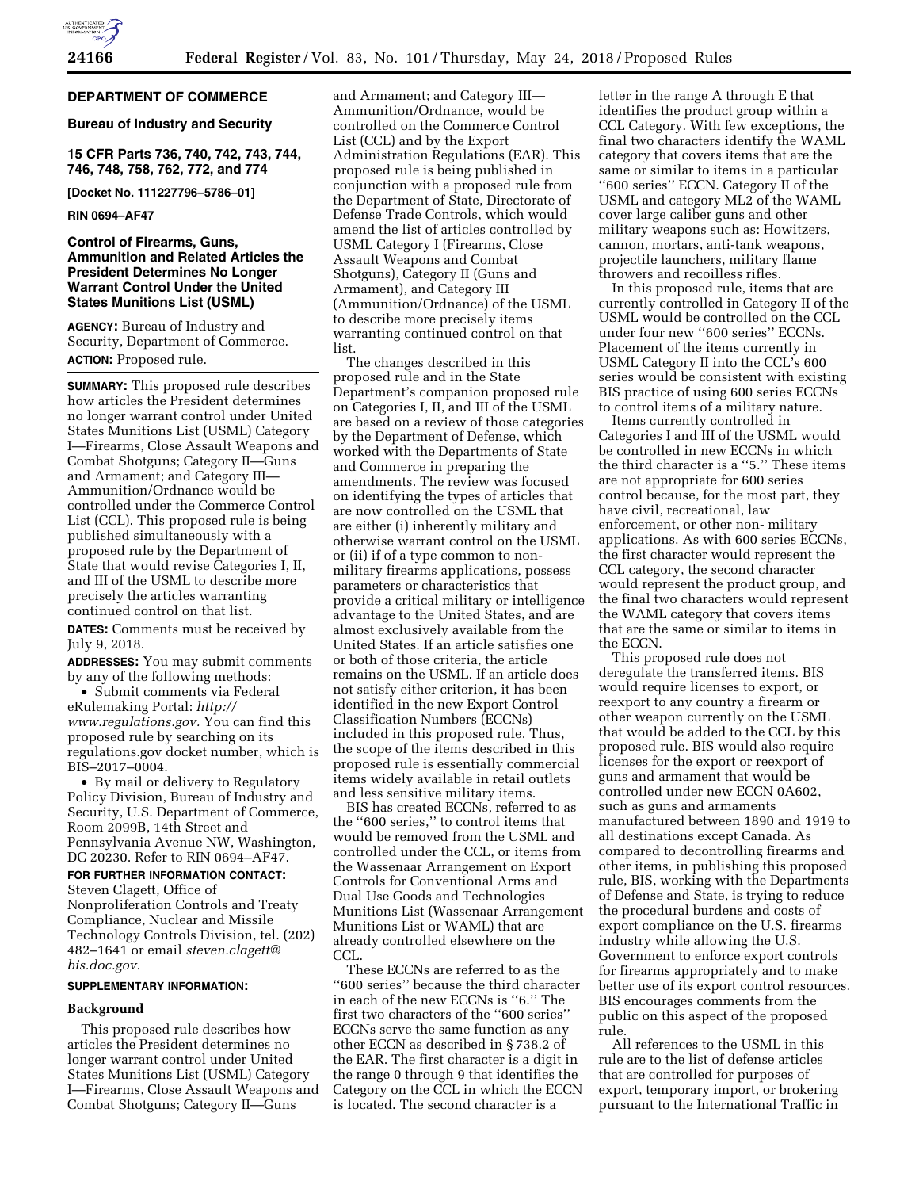

# **DEPARTMENT OF COMMERCE**

# **Bureau of Industry and Security**

**15 CFR Parts 736, 740, 742, 743, 744, 746, 748, 758, 762, 772, and 774** 

**[Docket No. 111227796–5786–01]** 

### **RIN 0694–AF47**

# **Control of Firearms, Guns, Ammunition and Related Articles the President Determines No Longer Warrant Control Under the United States Munitions List (USML)**

**AGENCY:** Bureau of Industry and Security, Department of Commerce. **ACTION:** Proposed rule.

**SUMMARY:** This proposed rule describes how articles the President determines no longer warrant control under United States Munitions List (USML) Category I—Firearms, Close Assault Weapons and Combat Shotguns; Category II—Guns and Armament; and Category III— Ammunition/Ordnance would be controlled under the Commerce Control List (CCL). This proposed rule is being published simultaneously with a proposed rule by the Department of State that would revise Categories I, II, and III of the USML to describe more precisely the articles warranting continued control on that list.

**DATES:** Comments must be received by July 9, 2018.

**ADDRESSES:** You may submit comments by any of the following methods:

• Submit comments via Federal eRulemaking Portal: *[http://](http://www.regulations.gov) [www.regulations.gov.](http://www.regulations.gov)* You can find this proposed rule by searching on its regulations.gov docket number, which is BIS–2017–0004.

• By mail or delivery to Regulatory Policy Division, Bureau of Industry and Security, U.S. Department of Commerce, Room 2099B, 14th Street and Pennsylvania Avenue NW, Washington, DC 20230. Refer to RIN 0694–AF47.

# **FOR FURTHER INFORMATION CONTACT:**

Steven Clagett, Office of Nonproliferation Controls and Treaty Compliance, Nuclear and Missile Technology Controls Division, tel. (202) 482–1641 or email *[steven.clagett@](mailto:steven.clagett@bis.doc.gov) [bis.doc.gov.](mailto:steven.clagett@bis.doc.gov)* 

#### **SUPPLEMENTARY INFORMATION:**

#### **Background**

This proposed rule describes how articles the President determines no longer warrant control under United States Munitions List (USML) Category I—Firearms, Close Assault Weapons and Combat Shotguns; Category II—Guns

and Armament; and Category III— Ammunition/Ordnance, would be controlled on the Commerce Control List (CCL) and by the Export Administration Regulations (EAR). This proposed rule is being published in conjunction with a proposed rule from the Department of State, Directorate of Defense Trade Controls, which would amend the list of articles controlled by USML Category I (Firearms, Close Assault Weapons and Combat Shotguns), Category II (Guns and Armament), and Category III (Ammunition/Ordnance) of the USML to describe more precisely items warranting continued control on that list.

The changes described in this proposed rule and in the State Department's companion proposed rule on Categories I, II, and III of the USML are based on a review of those categories by the Department of Defense, which worked with the Departments of State and Commerce in preparing the amendments. The review was focused on identifying the types of articles that are now controlled on the USML that are either (i) inherently military and otherwise warrant control on the USML or (ii) if of a type common to nonmilitary firearms applications, possess parameters or characteristics that provide a critical military or intelligence advantage to the United States, and are almost exclusively available from the United States. If an article satisfies one or both of those criteria, the article remains on the USML. If an article does not satisfy either criterion, it has been identified in the new Export Control Classification Numbers (ECCNs) included in this proposed rule. Thus, the scope of the items described in this proposed rule is essentially commercial items widely available in retail outlets and less sensitive military items.

BIS has created ECCNs, referred to as the ''600 series,'' to control items that would be removed from the USML and controlled under the CCL, or items from the Wassenaar Arrangement on Export Controls for Conventional Arms and Dual Use Goods and Technologies Munitions List (Wassenaar Arrangement Munitions List or WAML) that are already controlled elsewhere on the CCL.

These ECCNs are referred to as the ''600 series'' because the third character in each of the new ECCNs is ''6.'' The first two characters of the ''600 series'' ECCNs serve the same function as any other ECCN as described in § 738.2 of the EAR. The first character is a digit in the range 0 through 9 that identifies the Category on the CCL in which the ECCN is located. The second character is a

letter in the range A through E that identifies the product group within a CCL Category. With few exceptions, the final two characters identify the WAML category that covers items that are the same or similar to items in a particular ''600 series'' ECCN. Category II of the USML and category ML2 of the WAML cover large caliber guns and other military weapons such as: Howitzers, cannon, mortars, anti-tank weapons, projectile launchers, military flame throwers and recoilless rifles.

In this proposed rule, items that are currently controlled in Category II of the USML would be controlled on the CCL under four new ''600 series'' ECCNs. Placement of the items currently in USML Category II into the CCL's 600 series would be consistent with existing BIS practice of using 600 series ECCNs to control items of a military nature.

Items currently controlled in Categories I and III of the USML would be controlled in new ECCNs in which the third character is a ''5.'' These items are not appropriate for 600 series control because, for the most part, they have civil, recreational, law enforcement, or other non- military applications. As with 600 series ECCNs, the first character would represent the CCL category, the second character would represent the product group, and the final two characters would represent the WAML category that covers items that are the same or similar to items in the ECCN.

This proposed rule does not deregulate the transferred items. BIS would require licenses to export, or reexport to any country a firearm or other weapon currently on the USML that would be added to the CCL by this proposed rule. BIS would also require licenses for the export or reexport of guns and armament that would be controlled under new ECCN 0A602, such as guns and armaments manufactured between 1890 and 1919 to all destinations except Canada. As compared to decontrolling firearms and other items, in publishing this proposed rule, BIS, working with the Departments of Defense and State, is trying to reduce the procedural burdens and costs of export compliance on the U.S. firearms industry while allowing the U.S. Government to enforce export controls for firearms appropriately and to make better use of its export control resources. BIS encourages comments from the public on this aspect of the proposed rule.

All references to the USML in this rule are to the list of defense articles that are controlled for purposes of export, temporary import, or brokering pursuant to the International Traffic in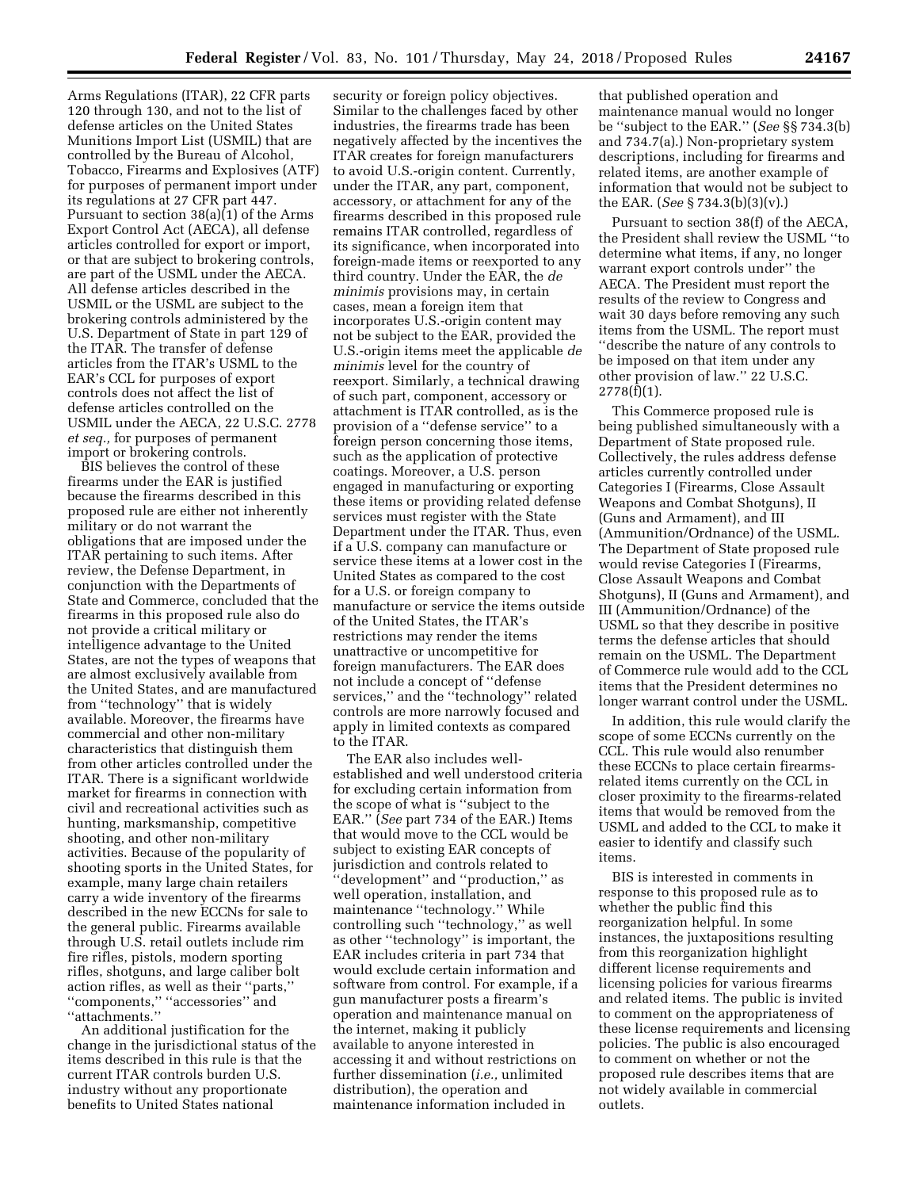Arms Regulations (ITAR), 22 CFR parts 120 through 130, and not to the list of defense articles on the United States Munitions Import List (USMIL) that are controlled by the Bureau of Alcohol, Tobacco, Firearms and Explosives (ATF) for purposes of permanent import under its regulations at 27 CFR part 447. Pursuant to section 38(a)(1) of the Arms Export Control Act (AECA), all defense articles controlled for export or import, or that are subject to brokering controls, are part of the USML under the AECA. All defense articles described in the USMIL or the USML are subject to the brokering controls administered by the U.S. Department of State in part 129 of the ITAR. The transfer of defense articles from the ITAR's USML to the EAR's CCL for purposes of export controls does not affect the list of defense articles controlled on the USMIL under the AECA, 22 U.S.C. 2778 *et seq.,* for purposes of permanent import or brokering controls.

BIS believes the control of these firearms under the EAR is justified because the firearms described in this proposed rule are either not inherently military or do not warrant the obligations that are imposed under the ITAR pertaining to such items. After review, the Defense Department, in conjunction with the Departments of State and Commerce, concluded that the firearms in this proposed rule also do not provide a critical military or intelligence advantage to the United States, are not the types of weapons that are almost exclusively available from the United States, and are manufactured from ''technology'' that is widely available. Moreover, the firearms have commercial and other non-military characteristics that distinguish them from other articles controlled under the ITAR. There is a significant worldwide market for firearms in connection with civil and recreational activities such as hunting, marksmanship, competitive shooting, and other non-military activities. Because of the popularity of shooting sports in the United States, for example, many large chain retailers carry a wide inventory of the firearms described in the new ECCNs for sale to the general public. Firearms available through U.S. retail outlets include rim fire rifles, pistols, modern sporting rifles, shotguns, and large caliber bolt action rifles, as well as their ''parts,'' ''components,'' ''accessories'' and ''attachments.''

An additional justification for the change in the jurisdictional status of the items described in this rule is that the current ITAR controls burden U.S. industry without any proportionate benefits to United States national

security or foreign policy objectives. Similar to the challenges faced by other industries, the firearms trade has been negatively affected by the incentives the ITAR creates for foreign manufacturers to avoid U.S.-origin content. Currently, under the ITAR, any part, component, accessory, or attachment for any of the firearms described in this proposed rule remains ITAR controlled, regardless of its significance, when incorporated into foreign-made items or reexported to any third country. Under the EAR, the *de minimis* provisions may, in certain cases, mean a foreign item that incorporates U.S.-origin content may not be subject to the EAR, provided the U.S.-origin items meet the applicable *de minimis* level for the country of reexport. Similarly, a technical drawing of such part, component, accessory or attachment is ITAR controlled, as is the provision of a ''defense service'' to a foreign person concerning those items, such as the application of protective coatings. Moreover, a U.S. person engaged in manufacturing or exporting these items or providing related defense services must register with the State Department under the ITAR. Thus, even if a U.S. company can manufacture or service these items at a lower cost in the United States as compared to the cost for a U.S. or foreign company to manufacture or service the items outside of the United States, the ITAR's restrictions may render the items unattractive or uncompetitive for foreign manufacturers. The EAR does not include a concept of ''defense services,'' and the ''technology'' related controls are more narrowly focused and apply in limited contexts as compared to the ITAR.

The EAR also includes wellestablished and well understood criteria for excluding certain information from the scope of what is ''subject to the EAR.'' (*See* part 734 of the EAR.) Items that would move to the CCL would be subject to existing EAR concepts of jurisdiction and controls related to ''development'' and ''production,'' as well operation, installation, and maintenance ''technology.'' While controlling such ''technology,'' as well as other ''technology'' is important, the EAR includes criteria in part 734 that would exclude certain information and software from control. For example, if a gun manufacturer posts a firearm's operation and maintenance manual on the internet, making it publicly available to anyone interested in accessing it and without restrictions on further dissemination (*i.e.,* unlimited distribution), the operation and maintenance information included in

that published operation and maintenance manual would no longer be ''subject to the EAR.'' (*See* §§ 734.3(b) and 734.7(a).) Non-proprietary system descriptions, including for firearms and related items, are another example of information that would not be subject to the EAR. (*See* § 734.3(b)(3)(v).)

Pursuant to section 38(f) of the AECA, the President shall review the USML ''to determine what items, if any, no longer warrant export controls under'' the AECA. The President must report the results of the review to Congress and wait 30 days before removing any such items from the USML. The report must ''describe the nature of any controls to be imposed on that item under any other provision of law.'' 22 U.S.C. 2778(f)(1).

This Commerce proposed rule is being published simultaneously with a Department of State proposed rule. Collectively, the rules address defense articles currently controlled under Categories I (Firearms, Close Assault Weapons and Combat Shotguns), II (Guns and Armament), and III (Ammunition/Ordnance) of the USML. The Department of State proposed rule would revise Categories I (Firearms, Close Assault Weapons and Combat Shotguns), II (Guns and Armament), and III (Ammunition/Ordnance) of the USML so that they describe in positive terms the defense articles that should remain on the USML. The Department of Commerce rule would add to the CCL items that the President determines no longer warrant control under the USML.

In addition, this rule would clarify the scope of some ECCNs currently on the CCL. This rule would also renumber these ECCNs to place certain firearmsrelated items currently on the CCL in closer proximity to the firearms-related items that would be removed from the USML and added to the CCL to make it easier to identify and classify such items.

BIS is interested in comments in response to this proposed rule as to whether the public find this reorganization helpful. In some instances, the juxtapositions resulting from this reorganization highlight different license requirements and licensing policies for various firearms and related items. The public is invited to comment on the appropriateness of these license requirements and licensing policies. The public is also encouraged to comment on whether or not the proposed rule describes items that are not widely available in commercial outlets.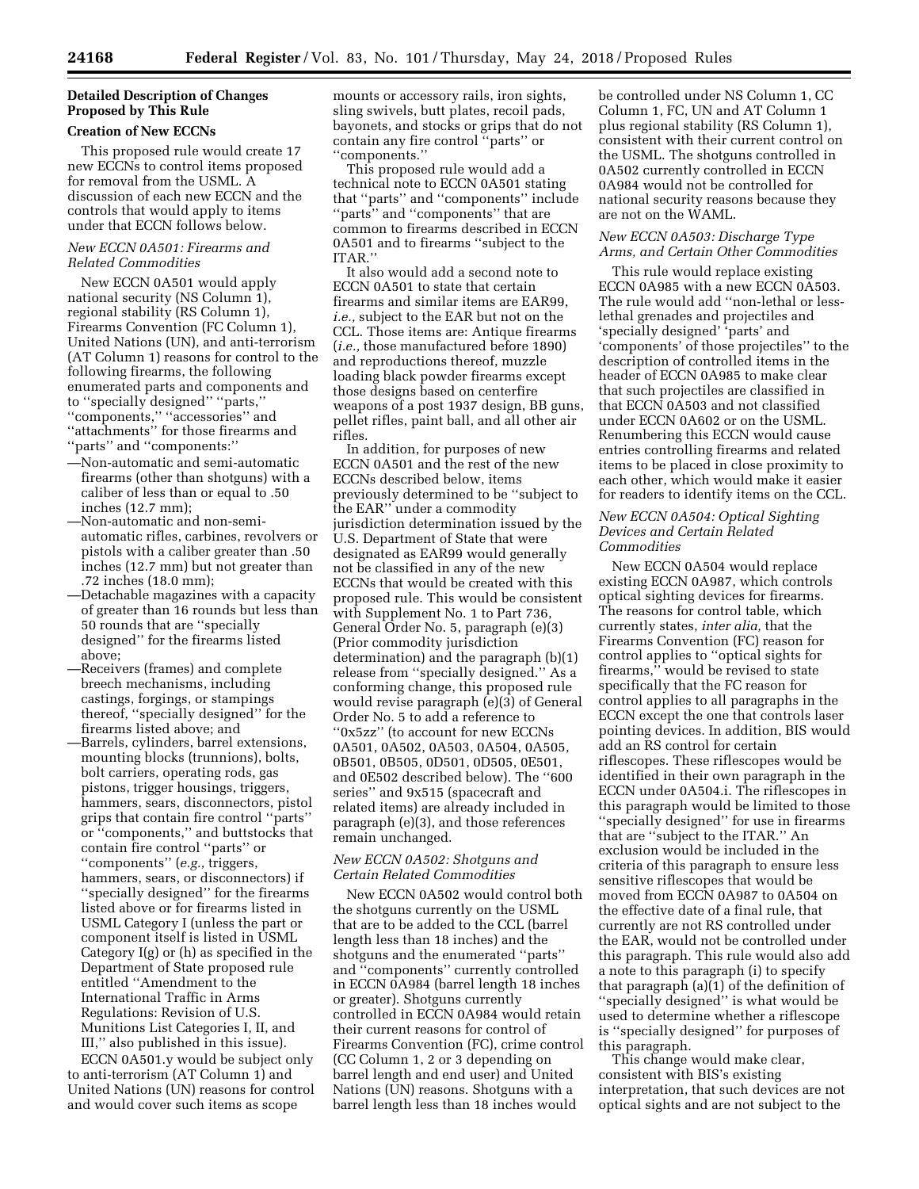# **Detailed Description of Changes Proposed by This Rule**

# **Creation of New ECCNs**

This proposed rule would create 17 new ECCNs to control items proposed for removal from the USML. A discussion of each new ECCN and the controls that would apply to items under that ECCN follows below.

### *New ECCN 0A501: Firearms and Related Commodities*

New ECCN 0A501 would apply national security (NS Column 1), regional stability (RS Column 1), Firearms Convention (FC Column 1), United Nations (UN), and anti-terrorism (AT Column 1) reasons for control to the following firearms, the following enumerated parts and components and to ''specially designed'' ''parts,'' ''components,'' ''accessories'' and ''attachments'' for those firearms and ''parts'' and ''components:''

- —Non-automatic and semi-automatic firearms (other than shotguns) with a caliber of less than or equal to .50 inches (12.7 mm);
- —Non-automatic and non-semiautomatic rifles, carbines, revolvers or pistols with a caliber greater than .50 inches (12.7 mm) but not greater than .72 inches (18.0 mm);
- —Detachable magazines with a capacity of greater than 16 rounds but less than 50 rounds that are ''specially designed'' for the firearms listed above;
- —Receivers (frames) and complete breech mechanisms, including castings, forgings, or stampings thereof, ''specially designed'' for the firearms listed above; and
- —Barrels, cylinders, barrel extensions, mounting blocks (trunnions), bolts, bolt carriers, operating rods, gas pistons, trigger housings, triggers, hammers, sears, disconnectors, pistol grips that contain fire control ''parts'' or ''components,'' and buttstocks that contain fire control ''parts'' or ''components'' (*e.g.,* triggers, hammers, sears, or disconnectors) if ''specially designed'' for the firearms listed above or for firearms listed in USML Category I (unless the part or component itself is listed in USML Category I(g) or (h) as specified in the Department of State proposed rule entitled ''Amendment to the International Traffic in Arms Regulations: Revision of U.S. Munitions List Categories I, II, and III,'' also published in this issue).

ECCN 0A501.y would be subject only to anti-terrorism (AT Column 1) and United Nations (UN) reasons for control and would cover such items as scope

mounts or accessory rails, iron sights, sling swivels, butt plates, recoil pads, bayonets, and stocks or grips that do not contain any fire control ''parts'' or ''components.''

This proposed rule would add a technical note to ECCN 0A501 stating that ''parts'' and ''components'' include ''parts'' and ''components'' that are common to firearms described in ECCN 0A501 and to firearms ''subject to the ITAR.''

It also would add a second note to ECCN 0A501 to state that certain firearms and similar items are EAR99, *i.e.,* subject to the EAR but not on the CCL. Those items are: Antique firearms (*i.e.,* those manufactured before 1890) and reproductions thereof, muzzle loading black powder firearms except those designs based on centerfire weapons of a post 1937 design, BB guns, pellet rifles, paint ball, and all other air rifles.

In addition, for purposes of new ECCN 0A501 and the rest of the new ECCNs described below, items previously determined to be ''subject to the EAR'' under a commodity jurisdiction determination issued by the U.S. Department of State that were designated as EAR99 would generally not be classified in any of the new ECCNs that would be created with this proposed rule. This would be consistent with Supplement No. 1 to Part 736, General Order No. 5, paragraph (e)(3) (Prior commodity jurisdiction determination) and the paragraph (b)(1) release from ''specially designed.'' As a conforming change, this proposed rule would revise paragraph (e)(3) of General Order No. 5 to add a reference to ''0x5zz'' (to account for new ECCNs 0A501, 0A502, 0A503, 0A504, 0A505, 0B501, 0B505, 0D501, 0D505, 0E501, and 0E502 described below). The ''600 series'' and 9x515 (spacecraft and related items) are already included in paragraph (e)(3), and those references remain unchanged.

# *New ECCN 0A502: Shotguns and Certain Related Commodities*

New ECCN 0A502 would control both the shotguns currently on the USML that are to be added to the CCL (barrel length less than 18 inches) and the shotguns and the enumerated ''parts'' and ''components'' currently controlled in ECCN 0A984 (barrel length 18 inches or greater). Shotguns currently controlled in ECCN 0A984 would retain their current reasons for control of Firearms Convention (FC), crime control (CC Column 1, 2 or 3 depending on barrel length and end user) and United Nations (UN) reasons. Shotguns with a barrel length less than 18 inches would

be controlled under NS Column 1, CC Column 1, FC, UN and AT Column 1 plus regional stability (RS Column 1), consistent with their current control on the USML. The shotguns controlled in 0A502 currently controlled in ECCN 0A984 would not be controlled for national security reasons because they are not on the WAML.

# *New ECCN 0A503: Discharge Type Arms, and Certain Other Commodities*

This rule would replace existing ECCN 0A985 with a new ECCN 0A503. The rule would add ''non-lethal or lesslethal grenades and projectiles and 'specially designed' 'parts' and 'components' of those projectiles'' to the description of controlled items in the header of ECCN 0A985 to make clear that such projectiles are classified in that ECCN 0A503 and not classified under ECCN 0A602 or on the USML. Renumbering this ECCN would cause entries controlling firearms and related items to be placed in close proximity to each other, which would make it easier for readers to identify items on the CCL.

# *New ECCN 0A504: Optical Sighting Devices and Certain Related Commodities*

New ECCN 0A504 would replace existing ECCN 0A987, which controls optical sighting devices for firearms. The reasons for control table, which currently states, *inter alia,* that the Firearms Convention (FC) reason for control applies to ''optical sights for firearms,'' would be revised to state specifically that the FC reason for control applies to all paragraphs in the ECCN except the one that controls laser pointing devices. In addition, BIS would add an RS control for certain riflescopes. These riflescopes would be identified in their own paragraph in the ECCN under 0A504.i. The riflescopes in this paragraph would be limited to those ''specially designed'' for use in firearms that are ''subject to the ITAR.'' An exclusion would be included in the criteria of this paragraph to ensure less sensitive riflescopes that would be moved from ECCN 0A987 to 0A504 on the effective date of a final rule, that currently are not RS controlled under the EAR, would not be controlled under this paragraph. This rule would also add a note to this paragraph (i) to specify that paragraph (a)(1) of the definition of ''specially designed'' is what would be used to determine whether a riflescope is ''specially designed'' for purposes of this paragraph.

This change would make clear, consistent with BIS's existing interpretation, that such devices are not optical sights and are not subject to the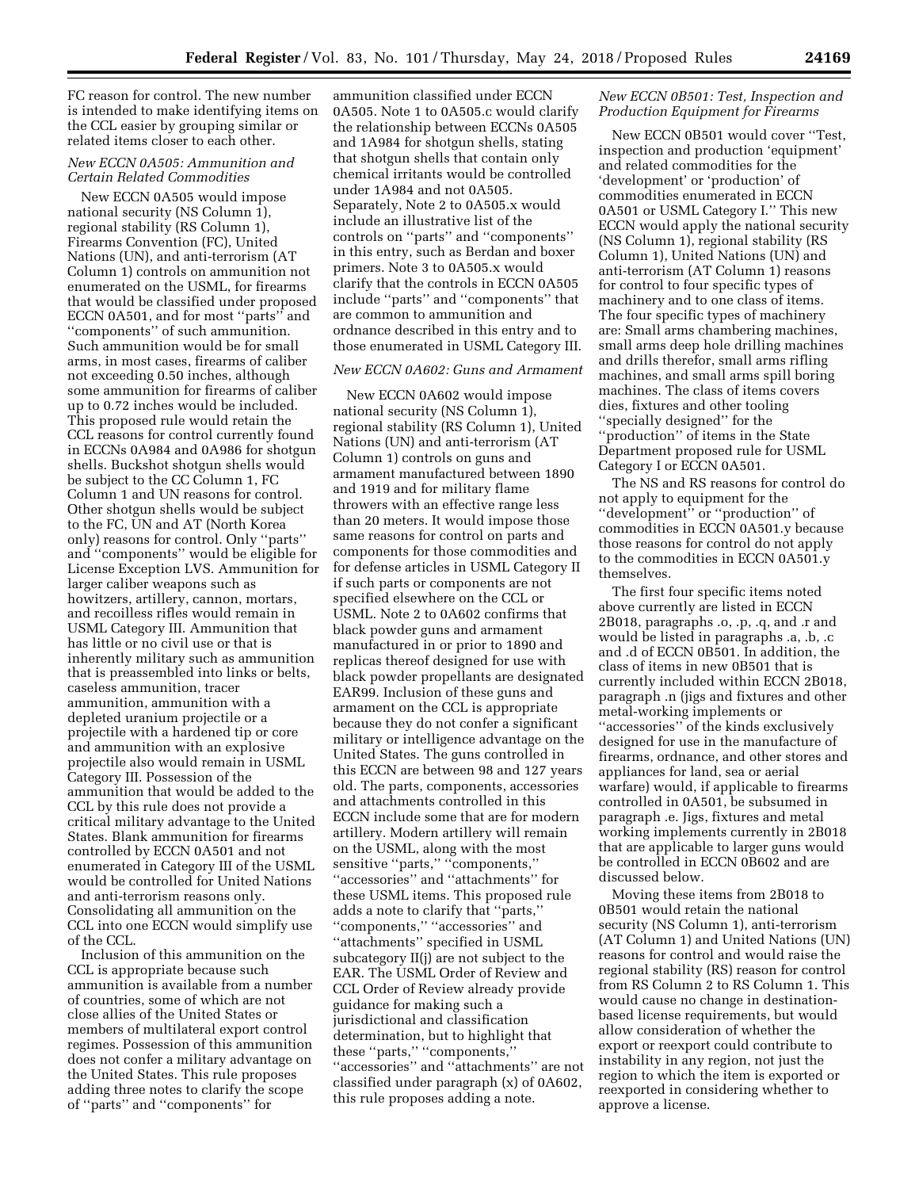FC reason for control. The new number is intended to make identifying items on the CCL easier by grouping similar or related items closer to each other.

# *New ECCN 0A505: Ammunition and Certain Related Commodities*

New ECCN 0A505 would impose national security (NS Column 1), regional stability (RS Column 1), Firearms Convention (FC), United Nations (UN), and anti-terrorism (AT Column 1) controls on ammunition not enumerated on the USML, for firearms that would be classified under proposed ECCN 0A501, and for most ''parts'' and ''components'' of such ammunition. Such ammunition would be for small arms, in most cases, firearms of caliber not exceeding 0.50 inches, although some ammunition for firearms of caliber up to 0.72 inches would be included. This proposed rule would retain the CCL reasons for control currently found in ECCNs 0A984 and 0A986 for shotgun shells. Buckshot shotgun shells would be subject to the CC Column 1, FC Column 1 and UN reasons for control. Other shotgun shells would be subject to the FC, UN and AT (North Korea only) reasons for control. Only ''parts'' and ''components'' would be eligible for License Exception LVS. Ammunition for larger caliber weapons such as howitzers, artillery, cannon, mortars, and recoilless rifles would remain in USML Category III. Ammunition that has little or no civil use or that is inherently military such as ammunition that is preassembled into links or belts, caseless ammunition, tracer ammunition, ammunition with a depleted uranium projectile or a projectile with a hardened tip or core and ammunition with an explosive projectile also would remain in USML Category III. Possession of the ammunition that would be added to the CCL by this rule does not provide a critical military advantage to the United States. Blank ammunition for firearms controlled by ECCN 0A501 and not enumerated in Category III of the USML would be controlled for United Nations and anti-terrorism reasons only. Consolidating all ammunition on the CCL into one ECCN would simplify use of the CCL.

Inclusion of this ammunition on the CCL is appropriate because such ammunition is available from a number of countries, some of which are not close allies of the United States or members of multilateral export control regimes. Possession of this ammunition does not confer a military advantage on the United States. This rule proposes adding three notes to clarify the scope of ''parts'' and ''components'' for

ammunition classified under ECCN 0A505. Note 1 to 0A505.c would clarify the relationship between ECCNs 0A505 and 1A984 for shotgun shells, stating that shotgun shells that contain only chemical irritants would be controlled under 1A984 and not 0A505. Separately, Note 2 to 0A505.x would include an illustrative list of the controls on ''parts'' and ''components'' in this entry, such as Berdan and boxer primers. Note 3 to 0A505.x would clarify that the controls in ECCN 0A505 include ''parts'' and ''components'' that are common to ammunition and ordnance described in this entry and to those enumerated in USML Category III.

# *New ECCN 0A602: Guns and Armament*

New ECCN 0A602 would impose national security (NS Column 1), regional stability (RS Column 1), United Nations (UN) and anti-terrorism (AT Column 1) controls on guns and armament manufactured between 1890 and 1919 and for military flame throwers with an effective range less than 20 meters. It would impose those same reasons for control on parts and components for those commodities and for defense articles in USML Category II if such parts or components are not specified elsewhere on the CCL or USML. Note 2 to 0A602 confirms that black powder guns and armament manufactured in or prior to 1890 and replicas thereof designed for use with black powder propellants are designated EAR99. Inclusion of these guns and armament on the CCL is appropriate because they do not confer a significant military or intelligence advantage on the United States. The guns controlled in this ECCN are between 98 and 127 years old. The parts, components, accessories and attachments controlled in this ECCN include some that are for modern artillery. Modern artillery will remain on the USML, along with the most sensitive "parts," "components," ''accessories'' and ''attachments'' for these USML items. This proposed rule adds a note to clarify that ''parts,'' ''components,'' ''accessories'' and ''attachments'' specified in USML subcategory II(j) are not subject to the EAR. The USML Order of Review and CCL Order of Review already provide guidance for making such a jurisdictional and classification determination, but to highlight that these ''parts,'' ''components,'' ''accessories'' and ''attachments'' are not classified under paragraph (x) of 0A602, this rule proposes adding a note.

# *New ECCN 0B501: Test, Inspection and Production Equipment for Firearms*

New ECCN 0B501 would cover ''Test, inspection and production 'equipment' and related commodities for the 'development' or 'production' of commodities enumerated in ECCN 0A501 or USML Category I.'' This new ECCN would apply the national security (NS Column 1), regional stability (RS Column 1), United Nations (UN) and anti-terrorism (AT Column 1) reasons for control to four specific types of machinery and to one class of items. The four specific types of machinery are: Small arms chambering machines, small arms deep hole drilling machines and drills therefor, small arms rifling machines, and small arms spill boring machines. The class of items covers dies, fixtures and other tooling ''specially designed'' for the ''production'' of items in the State Department proposed rule for USML Category I or ECCN 0A501.

The NS and RS reasons for control do not apply to equipment for the ''development'' or ''production'' of commodities in ECCN 0A501.y because those reasons for control do not apply to the commodities in ECCN 0A501.y themselves.

The first four specific items noted above currently are listed in ECCN 2B018, paragraphs .o, .p, .q, and .r and would be listed in paragraphs .a, .b, .c and .d of ECCN 0B501. In addition, the class of items in new 0B501 that is currently included within ECCN 2B018, paragraph .n (jigs and fixtures and other metal-working implements or ''accessories'' of the kinds exclusively designed for use in the manufacture of firearms, ordnance, and other stores and appliances for land, sea or aerial warfare) would, if applicable to firearms controlled in 0A501, be subsumed in paragraph .e. Jigs, fixtures and metal working implements currently in 2B018 that are applicable to larger guns would be controlled in ECCN 0B602 and are discussed below.

Moving these items from 2B018 to 0B501 would retain the national security (NS Column 1), anti-terrorism (AT Column 1) and United Nations (UN) reasons for control and would raise the regional stability (RS) reason for control from RS Column 2 to RS Column 1. This would cause no change in destinationbased license requirements, but would allow consideration of whether the export or reexport could contribute to instability in any region, not just the region to which the item is exported or reexported in considering whether to approve a license.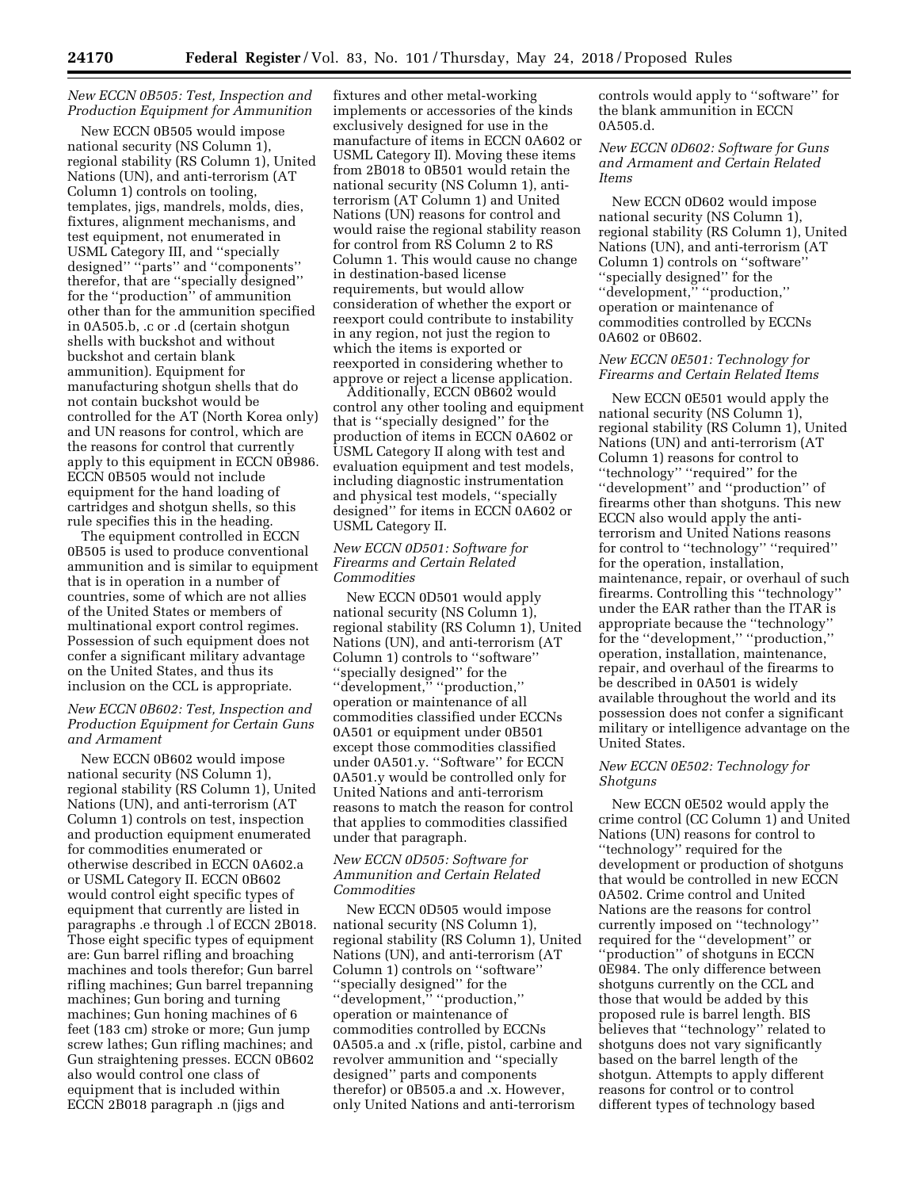# *New ECCN 0B505: Test, Inspection and Production Equipment for Ammunition*

New ECCN 0B505 would impose national security (NS Column 1), regional stability (RS Column 1), United Nations (UN), and anti-terrorism (AT Column 1) controls on tooling, templates, jigs, mandrels, molds, dies, fixtures, alignment mechanisms, and test equipment, not enumerated in USML Category III, and ''specially designed'' ''parts'' and ''components'' therefor, that are ''specially designed'' for the ''production'' of ammunition other than for the ammunition specified in 0A505.b, .c or .d (certain shotgun shells with buckshot and without buckshot and certain blank ammunition). Equipment for manufacturing shotgun shells that do not contain buckshot would be controlled for the AT (North Korea only) and UN reasons for control, which are the reasons for control that currently apply to this equipment in ECCN 0B986. ECCN 0B505 would not include equipment for the hand loading of cartridges and shotgun shells, so this rule specifies this in the heading.

The equipment controlled in ECCN 0B505 is used to produce conventional ammunition and is similar to equipment that is in operation in a number of countries, some of which are not allies of the United States or members of multinational export control regimes. Possession of such equipment does not confer a significant military advantage on the United States, and thus its inclusion on the CCL is appropriate.

# *New ECCN 0B602: Test, Inspection and Production Equipment for Certain Guns and Armament*

New ECCN 0B602 would impose national security (NS Column 1), regional stability (RS Column 1), United Nations (UN), and anti-terrorism (AT Column 1) controls on test, inspection and production equipment enumerated for commodities enumerated or otherwise described in ECCN 0A602.a or USML Category II. ECCN 0B602 would control eight specific types of equipment that currently are listed in paragraphs .e through .l of ECCN 2B018. Those eight specific types of equipment are: Gun barrel rifling and broaching machines and tools therefor; Gun barrel rifling machines; Gun barrel trepanning machines; Gun boring and turning machines; Gun honing machines of 6 feet (183 cm) stroke or more; Gun jump screw lathes; Gun rifling machines; and Gun straightening presses. ECCN 0B602 also would control one class of equipment that is included within ECCN 2B018 paragraph .n (jigs and

fixtures and other metal-working implements or accessories of the kinds exclusively designed for use in the manufacture of items in ECCN 0A602 or USML Category II). Moving these items from 2B018 to 0B501 would retain the national security (NS Column 1), antiterrorism (AT Column 1) and United Nations (UN) reasons for control and would raise the regional stability reason for control from RS Column 2 to RS Column 1. This would cause no change in destination-based license requirements, but would allow consideration of whether the export or reexport could contribute to instability in any region, not just the region to which the items is exported or reexported in considering whether to approve or reject a license application.

Additionally, ECCN 0B602 would control any other tooling and equipment that is ''specially designed'' for the production of items in ECCN 0A602 or USML Category II along with test and evaluation equipment and test models, including diagnostic instrumentation and physical test models, ''specially designed'' for items in ECCN 0A602 or USML Category II.

# *New ECCN 0D501: Software for Firearms and Certain Related Commodities*

New ECCN 0D501 would apply national security (NS Column 1), regional stability (RS Column 1), United Nations (UN), and anti-terrorism (AT Column 1) controls to ''software'' ''specially designed'' for the ''development,'' ''production,'' operation or maintenance of all commodities classified under ECCNs 0A501 or equipment under 0B501 except those commodities classified under 0A501.y. ''Software'' for ECCN 0A501.y would be controlled only for United Nations and anti-terrorism reasons to match the reason for control that applies to commodities classified under that paragraph.

# *New ECCN 0D505: Software for Ammunition and Certain Related Commodities*

New ECCN 0D505 would impose national security (NS Column 1), regional stability (RS Column 1), United Nations (UN), and anti-terrorism (AT Column 1) controls on ''software'' ''specially designed'' for the ''development,'' ''production,'' operation or maintenance of commodities controlled by ECCNs 0A505.a and .x (rifle, pistol, carbine and revolver ammunition and ''specially designed'' parts and components therefor) or 0B505.a and .x. However, only United Nations and anti-terrorism

controls would apply to ''software'' for the blank ammunition in ECCN 0A505.d.

# *New ECCN 0D602: Software for Guns and Armament and Certain Related Items*

New ECCN 0D602 would impose national security (NS Column 1), regional stability (RS Column 1), United Nations (UN), and anti-terrorism (AT Column 1) controls on ''software'' ''specially designed'' for the ''development,'' ''production,'' operation or maintenance of commodities controlled by ECCNs 0A602 or 0B602.

# *New ECCN 0E501: Technology for Firearms and Certain Related Items*

New ECCN 0E501 would apply the national security (NS Column 1), regional stability (RS Column 1), United Nations (UN) and anti-terrorism (AT Column 1) reasons for control to ''technology'' ''required'' for the "development" and "production" of firearms other than shotguns. This new ECCN also would apply the antiterrorism and United Nations reasons for control to ''technology'' ''required'' for the operation, installation, maintenance, repair, or overhaul of such firearms. Controlling this ''technology'' under the EAR rather than the ITAR is appropriate because the ''technology'' for the ''development,'' ''production,'' operation, installation, maintenance, repair, and overhaul of the firearms to be described in 0A501 is widely available throughout the world and its possession does not confer a significant military or intelligence advantage on the United States.

# *New ECCN 0E502: Technology for Shotguns*

New ECCN 0E502 would apply the crime control (CC Column 1) and United Nations (UN) reasons for control to ''technology'' required for the development or production of shotguns that would be controlled in new ECCN 0A502. Crime control and United Nations are the reasons for control currently imposed on ''technology'' required for the ''development'' or ''production'' of shotguns in ECCN 0E984. The only difference between shotguns currently on the CCL and those that would be added by this proposed rule is barrel length. BIS believes that ''technology'' related to shotguns does not vary significantly based on the barrel length of the shotgun. Attempts to apply different reasons for control or to control different types of technology based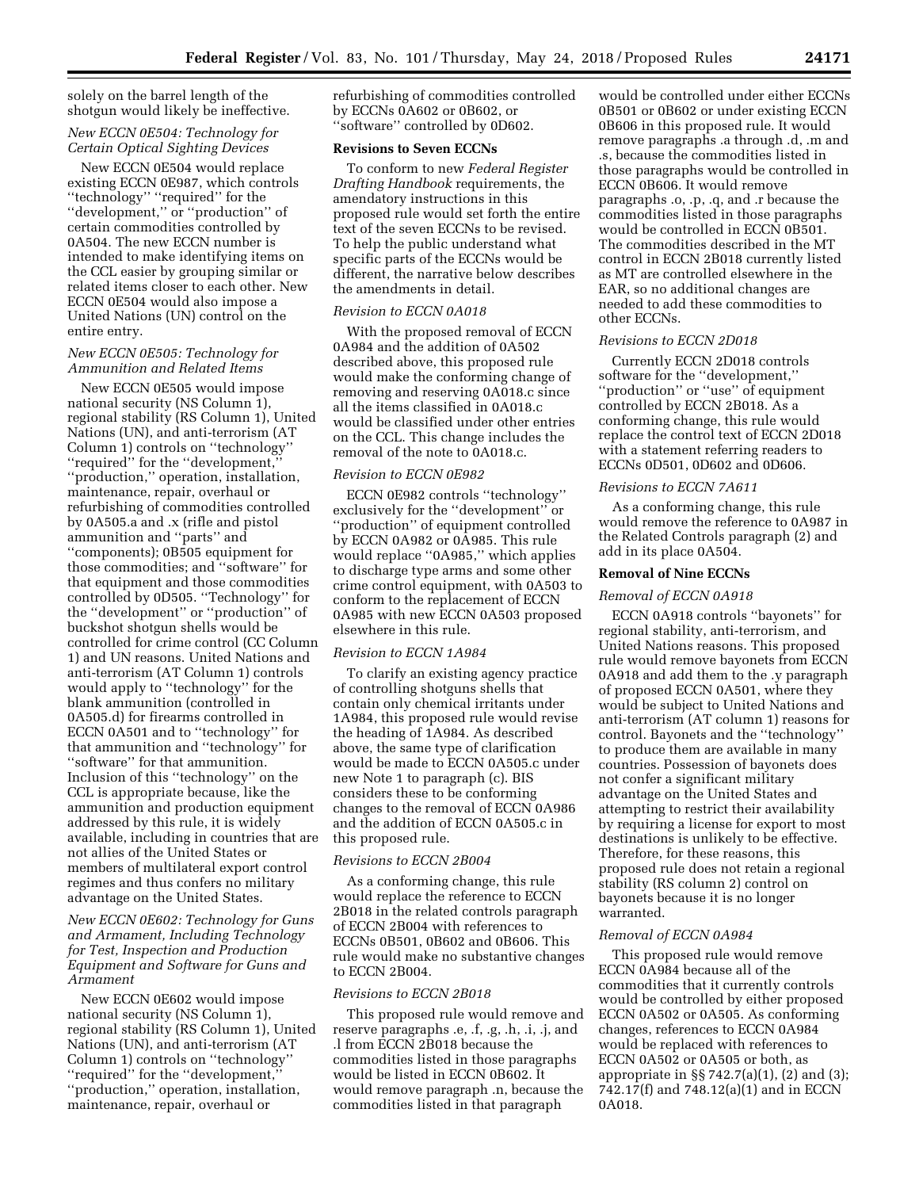solely on the barrel length of the shotgun would likely be ineffective.

# *New ECCN 0E504: Technology for Certain Optical Sighting Devices*

New ECCN 0E504 would replace existing ECCN 0E987, which controls ''technology'' ''required'' for the ''development,'' or ''production'' of certain commodities controlled by 0A504. The new ECCN number is intended to make identifying items on the CCL easier by grouping similar or related items closer to each other. New ECCN 0E504 would also impose a United Nations (UN) control on the entire entry.

# *New ECCN 0E505: Technology for Ammunition and Related Items*

New ECCN 0E505 would impose national security (NS Column 1), regional stability (RS Column 1), United Nations (UN), and anti-terrorism (AT Column 1) controls on ''technology'' ''required'' for the ''development,'' ''production,'' operation, installation, maintenance, repair, overhaul or refurbishing of commodities controlled by 0A505.a and .x (rifle and pistol ammunition and ''parts'' and ''components); 0B505 equipment for those commodities; and ''software'' for that equipment and those commodities controlled by 0D505. ''Technology'' for the ''development'' or ''production'' of buckshot shotgun shells would be controlled for crime control (CC Column 1) and UN reasons. United Nations and anti-terrorism (AT Column 1) controls would apply to ''technology'' for the blank ammunition (controlled in 0A505.d) for firearms controlled in ECCN 0A501 and to ''technology'' for that ammunition and ''technology'' for ''software'' for that ammunition. Inclusion of this ''technology'' on the CCL is appropriate because, like the ammunition and production equipment addressed by this rule, it is widely available, including in countries that are not allies of the United States or members of multilateral export control regimes and thus confers no military advantage on the United States.

*New ECCN 0E602: Technology for Guns and Armament, Including Technology for Test, Inspection and Production Equipment and Software for Guns and Armament* 

New ECCN 0E602 would impose national security (NS Column 1), regional stability (RS Column 1), United Nations (UN), and anti-terrorism (AT Column 1) controls on ''technology'' ''required'' for the ''development,'' ''production,'' operation, installation, maintenance, repair, overhaul or

refurbishing of commodities controlled by ECCNs 0A602 or 0B602, or ''software'' controlled by 0D602.

### **Revisions to Seven ECCNs**

To conform to new *Federal Register Drafting Handbook* requirements, the amendatory instructions in this proposed rule would set forth the entire text of the seven ECCNs to be revised. To help the public understand what specific parts of the ECCNs would be different, the narrative below describes the amendments in detail.

## *Revision to ECCN 0A018*

With the proposed removal of ECCN 0A984 and the addition of 0A502 described above, this proposed rule would make the conforming change of removing and reserving 0A018.c since all the items classified in 0A018.c would be classified under other entries on the CCL. This change includes the removal of the note to 0A018.c.

# *Revision to ECCN 0E982*

ECCN 0E982 controls ''technology'' exclusively for the ''development'' or ''production'' of equipment controlled by ECCN 0A982 or 0A985. This rule would replace ''0A985,'' which applies to discharge type arms and some other crime control equipment, with 0A503 to conform to the replacement of ECCN 0A985 with new ECCN 0A503 proposed elsewhere in this rule.

### *Revision to ECCN 1A984*

To clarify an existing agency practice of controlling shotguns shells that contain only chemical irritants under 1A984, this proposed rule would revise the heading of 1A984. As described above, the same type of clarification would be made to ECCN 0A505.c under new Note 1 to paragraph (c). BIS considers these to be conforming changes to the removal of ECCN 0A986 and the addition of ECCN 0A505.c in this proposed rule.

#### *Revisions to ECCN 2B004*

As a conforming change, this rule would replace the reference to ECCN 2B018 in the related controls paragraph of ECCN 2B004 with references to ECCNs 0B501, 0B602 and 0B606. This rule would make no substantive changes to ECCN 2B004.

# *Revisions to ECCN 2B018*

This proposed rule would remove and reserve paragraphs .e, .f, .g, .h, .i, .j, and .l from ECCN 2B018 because the commodities listed in those paragraphs would be listed in ECCN 0B602. It would remove paragraph .n, because the commodities listed in that paragraph

would be controlled under either ECCNs 0B501 or 0B602 or under existing ECCN 0B606 in this proposed rule. It would remove paragraphs .a through .d, .m and .s, because the commodities listed in those paragraphs would be controlled in ECCN 0B606. It would remove paragraphs .o, .p, .q, and .r because the commodities listed in those paragraphs would be controlled in ECCN 0B501. The commodities described in the MT control in ECCN 2B018 currently listed as MT are controlled elsewhere in the EAR, so no additional changes are needed to add these commodities to other ECCNs.

# *Revisions to ECCN 2D018*

Currently ECCN 2D018 controls software for the ''development,'' ''production'' or ''use'' of equipment controlled by ECCN 2B018. As a conforming change, this rule would replace the control text of ECCN 2D018 with a statement referring readers to ECCNs 0D501, 0D602 and 0D606.

## *Revisions to ECCN 7A611*

As a conforming change, this rule would remove the reference to 0A987 in the Related Controls paragraph (2) and add in its place 0A504.

# **Removal of Nine ECCNs**

### *Removal of ECCN 0A918*

ECCN 0A918 controls ''bayonets'' for regional stability, anti-terrorism, and United Nations reasons. This proposed rule would remove bayonets from ECCN 0A918 and add them to the .y paragraph of proposed ECCN 0A501, where they would be subject to United Nations and anti-terrorism (AT column 1) reasons for control. Bayonets and the ''technology'' to produce them are available in many countries. Possession of bayonets does not confer a significant military advantage on the United States and attempting to restrict their availability by requiring a license for export to most destinations is unlikely to be effective. Therefore, for these reasons, this proposed rule does not retain a regional stability (RS column 2) control on bayonets because it is no longer warranted.

#### *Removal of ECCN 0A984*

This proposed rule would remove ECCN 0A984 because all of the commodities that it currently controls would be controlled by either proposed ECCN 0A502 or 0A505. As conforming changes, references to ECCN 0A984 would be replaced with references to ECCN 0A502 or 0A505 or both, as appropriate in §§ 742.7(a)(1), (2) and (3); 742.17(f) and 748.12(a)(1) and in ECCN 0A018.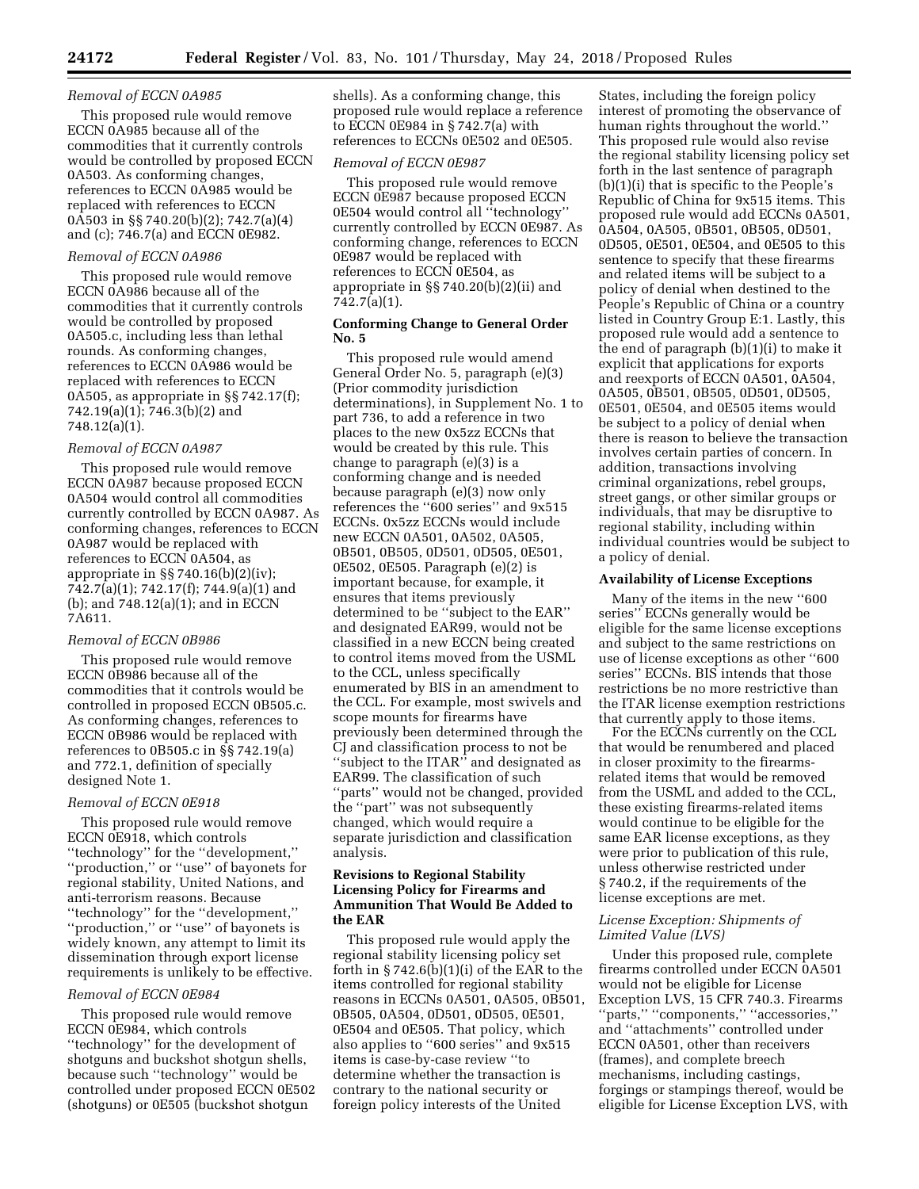## *Removal of ECCN 0A985*

This proposed rule would remove ECCN 0A985 because all of the commodities that it currently controls would be controlled by proposed ECCN 0A503. As conforming changes, references to ECCN 0A985 would be replaced with references to ECCN 0A503 in §§ 740.20(b)(2); 742.7(a)(4) and (c); 746.7(a) and ECCN 0E982.

# *Removal of ECCN 0A986*

This proposed rule would remove ECCN 0A986 because all of the commodities that it currently controls would be controlled by proposed 0A505.c, including less than lethal rounds. As conforming changes, references to ECCN 0A986 would be replaced with references to ECCN 0A505, as appropriate in §§ 742.17(f); 742.19(a)(1); 746.3(b)(2) and 748.12(a)(1).

#### *Removal of ECCN 0A987*

This proposed rule would remove ECCN 0A987 because proposed ECCN 0A504 would control all commodities currently controlled by ECCN 0A987. As conforming changes, references to ECCN 0A987 would be replaced with references to ECCN 0A504, as appropriate in  $\S$  740.16(b)(2)(iv); 742.7(a)(1); 742.17(f); 744.9(a)(1) and (b); and 748.12(a)(1); and in ECCN 7A611.

# *Removal of ECCN 0B986*

This proposed rule would remove ECCN 0B986 because all of the commodities that it controls would be controlled in proposed ECCN 0B505.c. As conforming changes, references to ECCN 0B986 would be replaced with references to 0B505.c in §§ 742.19(a) and 772.1, definition of specially designed Note 1.

#### *Removal of ECCN 0E918*

This proposed rule would remove ECCN 0E918, which controls ''technology'' for the ''development,'' ''production,'' or ''use'' of bayonets for regional stability, United Nations, and anti-terrorism reasons. Because ''technology'' for the ''development,'' ''production,'' or ''use'' of bayonets is widely known, any attempt to limit its dissemination through export license requirements is unlikely to be effective.

# *Removal of ECCN 0E984*

This proposed rule would remove ECCN 0E984, which controls ''technology'' for the development of shotguns and buckshot shotgun shells, because such ''technology'' would be controlled under proposed ECCN 0E502 (shotguns) or 0E505 (buckshot shotgun

shells). As a conforming change, this proposed rule would replace a reference to ECCN 0E984 in § 742.7(a) with references to ECCNs 0E502 and 0E505.

# *Removal of ECCN 0E987*

This proposed rule would remove ECCN 0E987 because proposed ECCN 0E504 would control all ''technology'' currently controlled by ECCN 0E987. As conforming change, references to ECCN 0E987 would be replaced with references to ECCN 0E504, as appropriate in §§ 740.20(b)(2)(ii) and 742.7(a)(1).

# **Conforming Change to General Order No. 5**

This proposed rule would amend General Order No. 5, paragraph (e)(3) (Prior commodity jurisdiction determinations), in Supplement No. 1 to part 736, to add a reference in two places to the new 0x5zz ECCNs that would be created by this rule. This change to paragraph (e)(3) is a conforming change and is needed because paragraph (e)(3) now only references the ''600 series'' and 9x515 ECCNs. 0x5zz ECCNs would include new ECCN 0A501, 0A502, 0A505, 0B501, 0B505, 0D501, 0D505, 0E501, 0E502, 0E505. Paragraph (e)(2) is important because, for example, it ensures that items previously determined to be ''subject to the EAR'' and designated EAR99, would not be classified in a new ECCN being created to control items moved from the USML to the CCL, unless specifically enumerated by BIS in an amendment to the CCL. For example, most swivels and scope mounts for firearms have previously been determined through the CJ and classification process to not be ''subject to the ITAR'' and designated as EAR99. The classification of such ''parts'' would not be changed, provided the ''part'' was not subsequently changed, which would require a separate jurisdiction and classification analysis.

# **Revisions to Regional Stability Licensing Policy for Firearms and Ammunition That Would Be Added to the EAR**

This proposed rule would apply the regional stability licensing policy set forth in  $\S 742.6(b)(1)(i)$  of the EAR to the items controlled for regional stability reasons in ECCNs 0A501, 0A505, 0B501, 0B505, 0A504, 0D501, 0D505, 0E501, 0E504 and 0E505. That policy, which also applies to ''600 series'' and 9x515 items is case-by-case review ''to determine whether the transaction is contrary to the national security or foreign policy interests of the United

States, including the foreign policy interest of promoting the observance of human rights throughout the world.'' This proposed rule would also revise the regional stability licensing policy set forth in the last sentence of paragraph (b)(1)(i) that is specific to the People's Republic of China for 9x515 items. This proposed rule would add ECCNs 0A501, 0A504, 0A505, 0B501, 0B505, 0D501, 0D505, 0E501, 0E504, and 0E505 to this sentence to specify that these firearms and related items will be subject to a policy of denial when destined to the People's Republic of China or a country listed in Country Group E:1. Lastly, this proposed rule would add a sentence to the end of paragraph (b)(1)(i) to make it explicit that applications for exports and reexports of ECCN 0A501, 0A504, 0A505, 0B501, 0B505, 0D501, 0D505, 0E501, 0E504, and 0E505 items would be subject to a policy of denial when there is reason to believe the transaction involves certain parties of concern. In addition, transactions involving criminal organizations, rebel groups, street gangs, or other similar groups or individuals, that may be disruptive to regional stability, including within individual countries would be subject to a policy of denial.

### **Availability of License Exceptions**

Many of the items in the new ''600 series'' ECCNs generally would be eligible for the same license exceptions and subject to the same restrictions on use of license exceptions as other ''600 series'' ECCNs. BIS intends that those restrictions be no more restrictive than the ITAR license exemption restrictions that currently apply to those items.

For the ECCNs currently on the CCL that would be renumbered and placed in closer proximity to the firearmsrelated items that would be removed from the USML and added to the CCL, these existing firearms-related items would continue to be eligible for the same EAR license exceptions, as they were prior to publication of this rule, unless otherwise restricted under § 740.2, if the requirements of the license exceptions are met.

# *License Exception: Shipments of Limited Value (LVS)*

Under this proposed rule, complete firearms controlled under ECCN 0A501 would not be eligible for License Exception LVS, 15 CFR 740.3. Firearms ''parts,'' ''components,'' ''accessories,'' and ''attachments'' controlled under ECCN 0A501, other than receivers (frames), and complete breech mechanisms, including castings, forgings or stampings thereof, would be eligible for License Exception LVS, with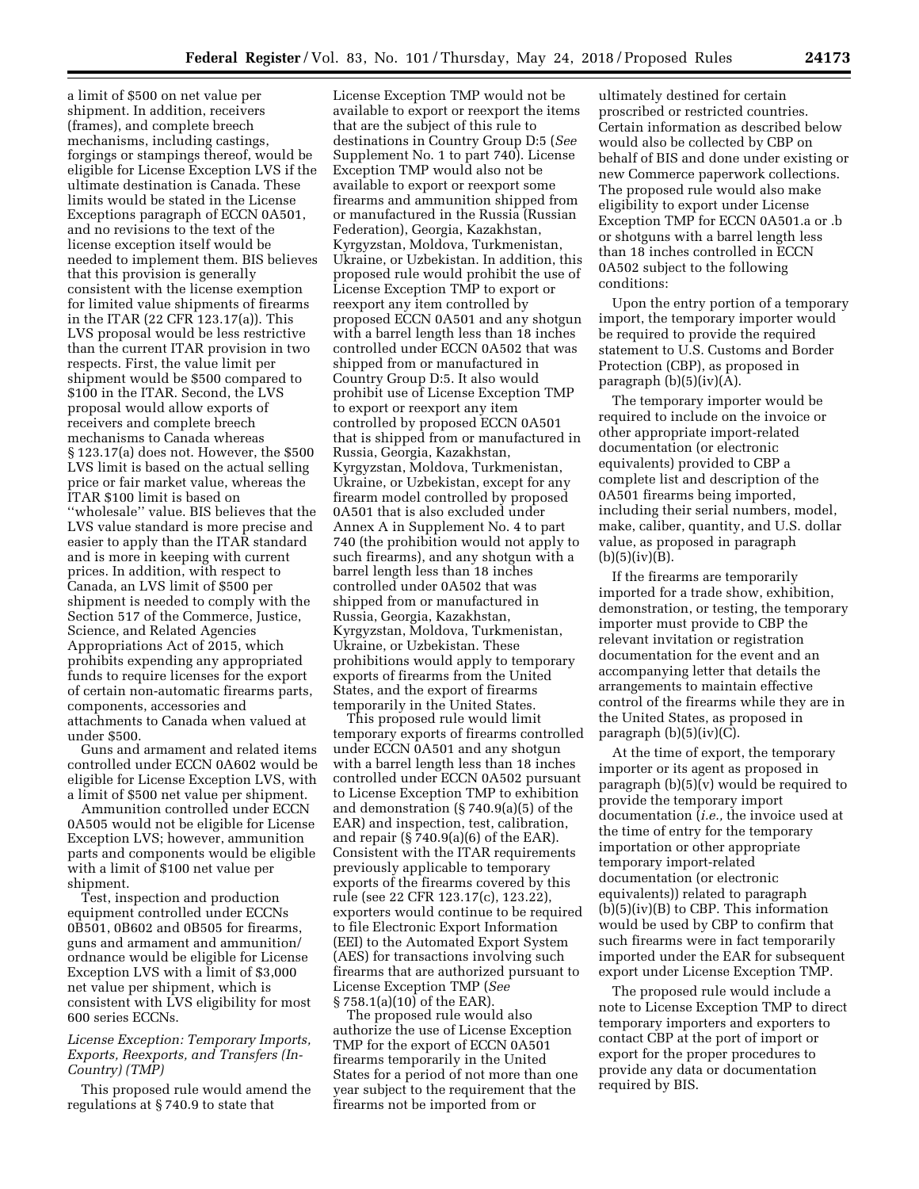a limit of \$500 on net value per shipment. In addition, receivers (frames), and complete breech mechanisms, including castings, forgings or stampings thereof, would be eligible for License Exception LVS if the ultimate destination is Canada. These limits would be stated in the License Exceptions paragraph of ECCN 0A501, and no revisions to the text of the license exception itself would be needed to implement them. BIS believes that this provision is generally consistent with the license exemption for limited value shipments of firearms in the ITAR (22 CFR 123.17(a)). This LVS proposal would be less restrictive than the current ITAR provision in two respects. First, the value limit per shipment would be \$500 compared to \$100 in the ITAR. Second, the LVS proposal would allow exports of receivers and complete breech mechanisms to Canada whereas § 123.17(a) does not. However, the \$500 LVS limit is based on the actual selling price or fair market value, whereas the ITAR \$100 limit is based on ''wholesale'' value. BIS believes that the LVS value standard is more precise and easier to apply than the ITAR standard and is more in keeping with current prices. In addition, with respect to Canada, an LVS limit of \$500 per shipment is needed to comply with the Section 517 of the Commerce, Justice, Science, and Related Agencies Appropriations Act of 2015, which prohibits expending any appropriated funds to require licenses for the export of certain non-automatic firearms parts, components, accessories and attachments to Canada when valued at under \$500.

Guns and armament and related items controlled under ECCN 0A602 would be eligible for License Exception LVS, with a limit of \$500 net value per shipment.

Ammunition controlled under ECCN 0A505 would not be eligible for License Exception LVS; however, ammunition parts and components would be eligible with a limit of \$100 net value per shipment.

Test, inspection and production equipment controlled under ECCNs 0B501, 0B602 and 0B505 for firearms, guns and armament and ammunition/ ordnance would be eligible for License Exception LVS with a limit of \$3,000 net value per shipment, which is consistent with LVS eligibility for most 600 series ECCNs.

# *License Exception: Temporary Imports, Exports, Reexports, and Transfers (In-Country) (TMP)*

This proposed rule would amend the regulations at § 740.9 to state that

License Exception TMP would not be available to export or reexport the items that are the subject of this rule to destinations in Country Group D:5 (*See*  Supplement No. 1 to part 740). License Exception TMP would also not be available to export or reexport some firearms and ammunition shipped from or manufactured in the Russia (Russian Federation), Georgia, Kazakhstan, Kyrgyzstan, Moldova, Turkmenistan, Ukraine, or Uzbekistan. In addition, this proposed rule would prohibit the use of License Exception TMP to export or reexport any item controlled by proposed ECCN 0A501 and any shotgun with a barrel length less than 18 inches controlled under ECCN 0A502 that was shipped from or manufactured in Country Group D:5. It also would prohibit use of License Exception TMP to export or reexport any item controlled by proposed ECCN 0A501 that is shipped from or manufactured in Russia, Georgia, Kazakhstan, Kyrgyzstan, Moldova, Turkmenistan, Ukraine, or Uzbekistan, except for any firearm model controlled by proposed 0A501 that is also excluded under Annex A in Supplement No. 4 to part 740 (the prohibition would not apply to such firearms), and any shotgun with a barrel length less than 18 inches controlled under 0A502 that was shipped from or manufactured in Russia, Georgia, Kazakhstan, Kyrgyzstan, Moldova, Turkmenistan, Ukraine, or Uzbekistan. These prohibitions would apply to temporary exports of firearms from the United States, and the export of firearms temporarily in the United States.

This proposed rule would limit temporary exports of firearms controlled under ECCN 0A501 and any shotgun with a barrel length less than 18 inches controlled under ECCN 0A502 pursuant to License Exception TMP to exhibition and demonstration (§ 740.9(a)(5) of the EAR) and inspection, test, calibration, and repair  $(\S 740.9(a)(6)$  of the EAR). Consistent with the ITAR requirements previously applicable to temporary exports of the firearms covered by this rule (see 22 CFR 123.17(c), 123.22), exporters would continue to be required to file Electronic Export Information (EEI) to the Automated Export System (AES) for transactions involving such firearms that are authorized pursuant to License Exception TMP (*See*  § 758.1(a)(10) of the EAR).

The proposed rule would also authorize the use of License Exception TMP for the export of ECCN 0A501 firearms temporarily in the United States for a period of not more than one year subject to the requirement that the firearms not be imported from or

ultimately destined for certain proscribed or restricted countries. Certain information as described below would also be collected by CBP on behalf of BIS and done under existing or new Commerce paperwork collections. The proposed rule would also make eligibility to export under License Exception TMP for ECCN 0A501.a or .b or shotguns with a barrel length less than 18 inches controlled in ECCN 0A502 subject to the following conditions:

Upon the entry portion of a temporary import, the temporary importer would be required to provide the required statement to U.S. Customs and Border Protection (CBP), as proposed in paragraph  $(b)(5)(iv)(A)$ .

The temporary importer would be required to include on the invoice or other appropriate import-related documentation (or electronic equivalents) provided to CBP a complete list and description of the 0A501 firearms being imported, including their serial numbers, model, make, caliber, quantity, and U.S. dollar value, as proposed in paragraph  $(b)(5)(iv)(B).$ 

If the firearms are temporarily imported for a trade show, exhibition, demonstration, or testing, the temporary importer must provide to CBP the relevant invitation or registration documentation for the event and an accompanying letter that details the arrangements to maintain effective control of the firearms while they are in the United States, as proposed in paragraph  $(b)(5)(iv)(C)$ .

At the time of export, the temporary importer or its agent as proposed in paragraph (b)(5)(v) would be required to provide the temporary import documentation (*i.e.,* the invoice used at the time of entry for the temporary importation or other appropriate temporary import-related documentation (or electronic equivalents)) related to paragraph (b)(5)(iv)(B) to CBP. This information would be used by CBP to confirm that such firearms were in fact temporarily imported under the EAR for subsequent export under License Exception TMP.

The proposed rule would include a note to License Exception TMP to direct temporary importers and exporters to contact CBP at the port of import or export for the proper procedures to provide any data or documentation required by BIS.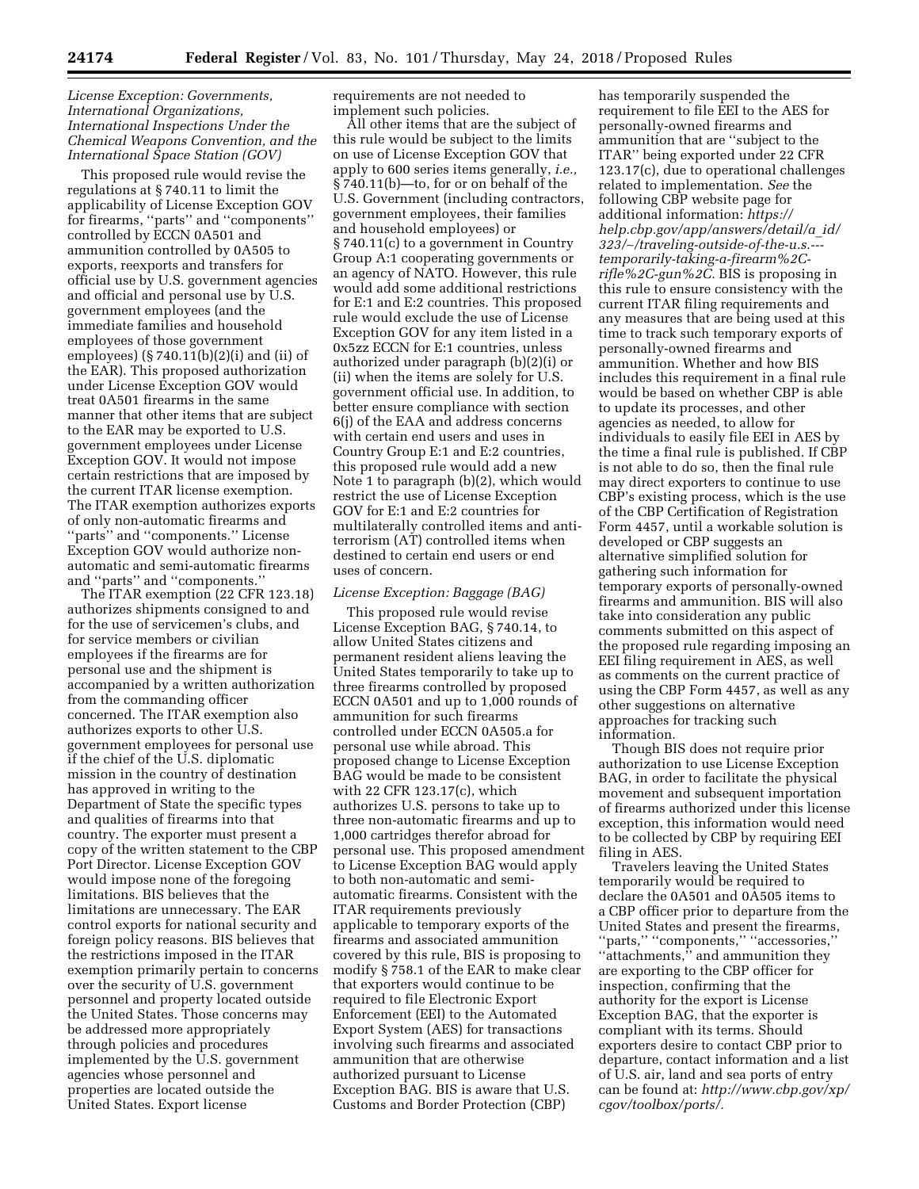# *License Exception: Governments, International Organizations, International Inspections Under the Chemical Weapons Convention, and the International Space Station (GOV)*

This proposed rule would revise the regulations at § 740.11 to limit the applicability of License Exception GOV for firearms, ''parts'' and ''components'' controlled by ECCN 0A501 and ammunition controlled by 0A505 to exports, reexports and transfers for official use by U.S. government agencies and official and personal use by U.S. government employees (and the immediate families and household employees of those government employees) (§ 740.11(b)(2)(i) and (ii) of the EAR). This proposed authorization under License Exception GOV would treat 0A501 firearms in the same manner that other items that are subject to the EAR may be exported to U.S. government employees under License Exception GOV. It would not impose certain restrictions that are imposed by the current ITAR license exemption. The ITAR exemption authorizes exports of only non-automatic firearms and ''parts'' and ''components.'' License Exception GOV would authorize nonautomatic and semi-automatic firearms and ''parts'' and ''components.''

The ITAR exemption (22 CFR 123.18) authorizes shipments consigned to and for the use of servicemen's clubs, and for service members or civilian employees if the firearms are for personal use and the shipment is accompanied by a written authorization from the commanding officer concerned. The ITAR exemption also authorizes exports to other U.S. government employees for personal use if the chief of the U.S. diplomatic mission in the country of destination has approved in writing to the Department of State the specific types and qualities of firearms into that country. The exporter must present a copy of the written statement to the CBP Port Director. License Exception GOV would impose none of the foregoing limitations. BIS believes that the limitations are unnecessary. The EAR control exports for national security and foreign policy reasons. BIS believes that the restrictions imposed in the ITAR exemption primarily pertain to concerns over the security of U.S. government personnel and property located outside the United States. Those concerns may be addressed more appropriately through policies and procedures implemented by the U.S. government agencies whose personnel and properties are located outside the United States. Export license

requirements are not needed to implement such policies.

All other items that are the subject of this rule would be subject to the limits on use of License Exception GOV that apply to 600 series items generally, *i.e.,*  § 740.11(b)—to, for or on behalf of the U.S. Government (including contractors, government employees, their families and household employees) or § 740.11(c) to a government in Country Group A:1 cooperating governments or an agency of NATO. However, this rule would add some additional restrictions for E:1 and E:2 countries. This proposed rule would exclude the use of License Exception GOV for any item listed in a 0x5zz ECCN for E:1 countries, unless authorized under paragraph (b)(2)(i) or (ii) when the items are solely for U.S. government official use. In addition, to better ensure compliance with section 6(j) of the EAA and address concerns with certain end users and uses in Country Group E:1 and E:2 countries, this proposed rule would add a new Note 1 to paragraph (b)(2), which would restrict the use of License Exception GOV for E:1 and E:2 countries for multilaterally controlled items and antiterrorism (AT) controlled items when destined to certain end users or end uses of concern.

# *License Exception: Baggage (BAG)*

This proposed rule would revise License Exception BAG, § 740.14, to allow United States citizens and permanent resident aliens leaving the United States temporarily to take up to three firearms controlled by proposed ECCN 0A501 and up to 1,000 rounds of ammunition for such firearms controlled under ECCN 0A505.a for personal use while abroad. This proposed change to License Exception BAG would be made to be consistent with 22 CFR 123.17(c), which authorizes U.S. persons to take up to three non-automatic firearms and up to 1,000 cartridges therefor abroad for personal use. This proposed amendment to License Exception BAG would apply to both non-automatic and semiautomatic firearms. Consistent with the ITAR requirements previously applicable to temporary exports of the firearms and associated ammunition covered by this rule, BIS is proposing to modify § 758.1 of the EAR to make clear that exporters would continue to be required to file Electronic Export Enforcement (EEI) to the Automated Export System (AES) for transactions involving such firearms and associated ammunition that are otherwise authorized pursuant to License Exception BAG. BIS is aware that U.S. Customs and Border Protection (CBP)

has temporarily suspended the requirement to file EEI to the AES for personally-owned firearms and ammunition that are ''subject to the ITAR'' being exported under 22 CFR 123.17(c), due to operational challenges related to implementation. *See* the following CBP website page for additional information: *[https://](https://help.cbp.gov/app/answers/detail/a_id/323/~/traveling-outside-of-the-u.s.---temporarily-taking-a-firearm%2C-rifle%2C-gun%2C) [help.cbp.gov/app/answers/detail/a](https://help.cbp.gov/app/answers/detail/a_id/323/~/traveling-outside-of-the-u.s.---temporarily-taking-a-firearm%2C-rifle%2C-gun%2C)*\_*id/ 323/*∼*[/traveling-outside-of-the-u.s.--](https://help.cbp.gov/app/answers/detail/a_id/323/~/traveling-outside-of-the-u.s.---temporarily-taking-a-firearm%2C-rifle%2C-gun%2C) [temporarily-taking-a-firearm%2C](https://help.cbp.gov/app/answers/detail/a_id/323/~/traveling-outside-of-the-u.s.---temporarily-taking-a-firearm%2C-rifle%2C-gun%2C)[rifle%2C-gun%2C.](https://help.cbp.gov/app/answers/detail/a_id/323/~/traveling-outside-of-the-u.s.---temporarily-taking-a-firearm%2C-rifle%2C-gun%2C)* BIS is proposing in this rule to ensure consistency with the current ITAR filing requirements and any measures that are being used at this time to track such temporary exports of personally-owned firearms and ammunition. Whether and how BIS includes this requirement in a final rule would be based on whether CBP is able to update its processes, and other agencies as needed, to allow for individuals to easily file EEI in AES by the time a final rule is published. If CBP is not able to do so, then the final rule may direct exporters to continue to use CBP's existing process, which is the use of the CBP Certification of Registration Form 4457, until a workable solution is developed or CBP suggests an alternative simplified solution for gathering such information for temporary exports of personally-owned firearms and ammunition. BIS will also take into consideration any public comments submitted on this aspect of the proposed rule regarding imposing an EEI filing requirement in AES, as well as comments on the current practice of using the CBP Form 4457, as well as any other suggestions on alternative approaches for tracking such information.

Though BIS does not require prior authorization to use License Exception BAG, in order to facilitate the physical movement and subsequent importation of firearms authorized under this license exception, this information would need to be collected by CBP by requiring EEI filing in AES.

Travelers leaving the United States temporarily would be required to declare the 0A501 and 0A505 items to a CBP officer prior to departure from the United States and present the firearms, ''parts,'' ''components,'' ''accessories,'' "attachments," and ammunition they are exporting to the CBP officer for inspection, confirming that the authority for the export is License Exception BAG, that the exporter is compliant with its terms. Should exporters desire to contact CBP prior to departure, contact information and a list of U.S. air, land and sea ports of entry can be found at: *[http://www.cbp.gov/xp/](http://www.cbp.gov/xp/cgov/toolbox/ports/) [cgov/toolbox/ports/.](http://www.cbp.gov/xp/cgov/toolbox/ports/)*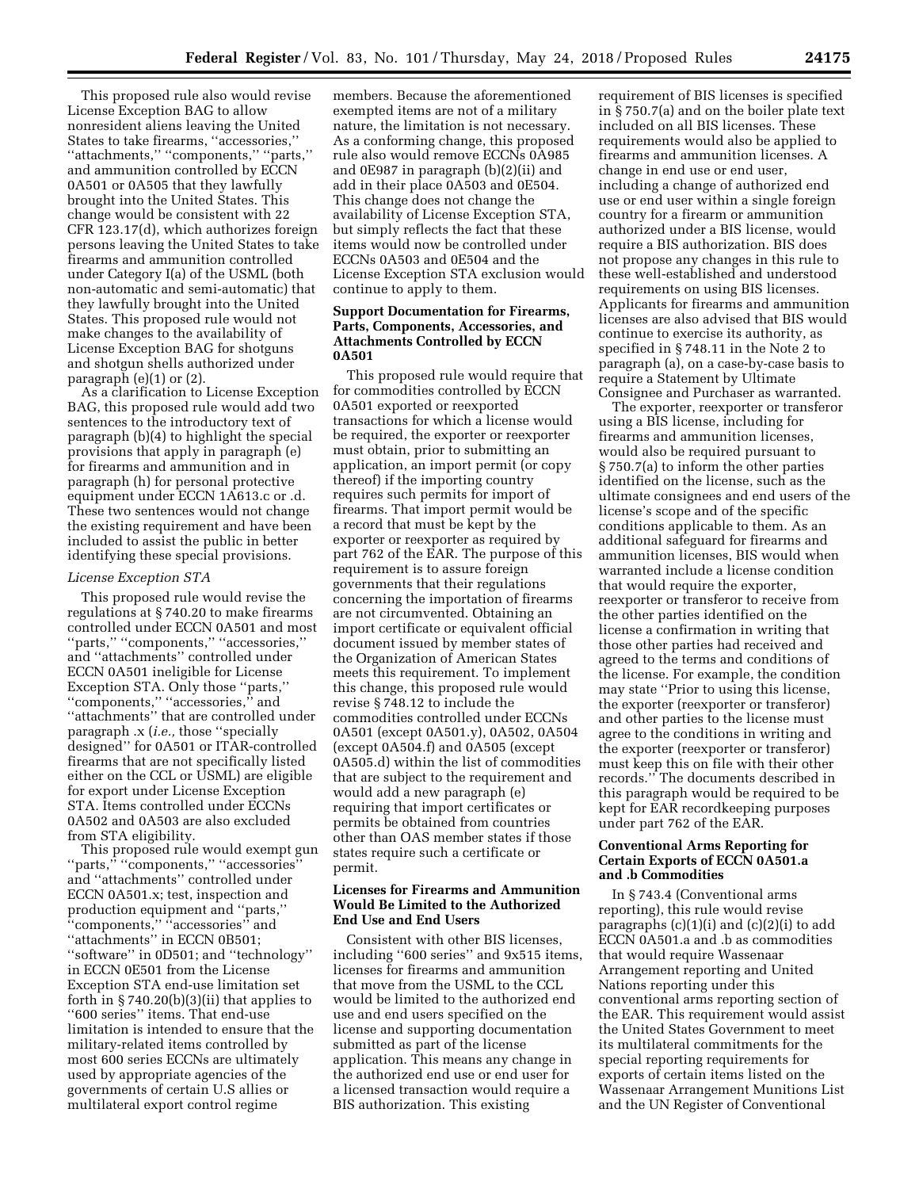This proposed rule also would revise License Exception BAG to allow nonresident aliens leaving the United States to take firearms, ''accessories,'' ''attachments,'' ''components,'' ''parts,'' and ammunition controlled by ECCN 0A501 or 0A505 that they lawfully brought into the United States. This change would be consistent with 22 CFR 123.17(d), which authorizes foreign persons leaving the United States to take firearms and ammunition controlled under Category I(a) of the USML (both non-automatic and semi-automatic) that they lawfully brought into the United States. This proposed rule would not make changes to the availability of License Exception BAG for shotguns and shotgun shells authorized under paragraph (e)(1) or (2).

As a clarification to License Exception BAG, this proposed rule would add two sentences to the introductory text of paragraph (b)(4) to highlight the special provisions that apply in paragraph (e) for firearms and ammunition and in paragraph (h) for personal protective equipment under ECCN 1A613.c or .d. These two sentences would not change the existing requirement and have been included to assist the public in better identifying these special provisions.

### *License Exception STA*

This proposed rule would revise the regulations at § 740.20 to make firearms controlled under ECCN 0A501 and most ''parts,'' ''components,'' ''accessories,'' and ''attachments'' controlled under ECCN 0A501 ineligible for License Exception STA. Only those ''parts,'' ''components,'' ''accessories,'' and ''attachments'' that are controlled under paragraph .x (*i.e.,* those ''specially designed'' for 0A501 or ITAR-controlled firearms that are not specifically listed either on the CCL or USML) are eligible for export under License Exception STA. Items controlled under ECCNs 0A502 and 0A503 are also excluded from STA eligibility.

This proposed rule would exempt gun ''parts,'' ''components,'' ''accessories'' and ''attachments'' controlled under ECCN 0A501.x; test, inspection and production equipment and ''parts,'' "components," "accessories" and ''attachments'' in ECCN 0B501; ''software'' in 0D501; and ''technology'' in ECCN 0E501 from the License Exception STA end-use limitation set forth in  $\S 740.20(b)(3)(ii)$  that applies to ''600 series'' items. That end-use limitation is intended to ensure that the military-related items controlled by most 600 series ECCNs are ultimately used by appropriate agencies of the governments of certain U.S allies or multilateral export control regime

members. Because the aforementioned exempted items are not of a military nature, the limitation is not necessary. As a conforming change, this proposed rule also would remove ECCNs 0A985 and 0E987 in paragraph (b)(2)(ii) and add in their place 0A503 and 0E504. This change does not change the availability of License Exception STA, but simply reflects the fact that these items would now be controlled under ECCNs 0A503 and 0E504 and the License Exception STA exclusion would continue to apply to them.

# **Support Documentation for Firearms, Parts, Components, Accessories, and Attachments Controlled by ECCN 0A501**

This proposed rule would require that for commodities controlled by ECCN 0A501 exported or reexported transactions for which a license would be required, the exporter or reexporter must obtain, prior to submitting an application, an import permit (or copy thereof) if the importing country requires such permits for import of firearms. That import permit would be a record that must be kept by the exporter or reexporter as required by part 762 of the EAR. The purpose of this requirement is to assure foreign governments that their regulations concerning the importation of firearms are not circumvented. Obtaining an import certificate or equivalent official document issued by member states of the Organization of American States meets this requirement. To implement this change, this proposed rule would revise § 748.12 to include the commodities controlled under ECCNs 0A501 (except 0A501.y), 0A502, 0A504 (except 0A504.f) and 0A505 (except 0A505.d) within the list of commodities that are subject to the requirement and would add a new paragraph (e) requiring that import certificates or permits be obtained from countries other than OAS member states if those states require such a certificate or permit.

# **Licenses for Firearms and Ammunition Would Be Limited to the Authorized End Use and End Users**

Consistent with other BIS licenses, including ''600 series'' and 9x515 items, licenses for firearms and ammunition that move from the USML to the CCL would be limited to the authorized end use and end users specified on the license and supporting documentation submitted as part of the license application. This means any change in the authorized end use or end user for a licensed transaction would require a BIS authorization. This existing

requirement of BIS licenses is specified in § 750.7(a) and on the boiler plate text included on all BIS licenses. These requirements would also be applied to firearms and ammunition licenses. A change in end use or end user, including a change of authorized end use or end user within a single foreign country for a firearm or ammunition authorized under a BIS license, would require a BIS authorization. BIS does not propose any changes in this rule to these well-established and understood requirements on using BIS licenses. Applicants for firearms and ammunition licenses are also advised that BIS would continue to exercise its authority, as specified in § 748.11 in the Note 2 to paragraph (a), on a case-by-case basis to require a Statement by Ultimate Consignee and Purchaser as warranted.

The exporter, reexporter or transferor using a BIS license, including for firearms and ammunition licenses, would also be required pursuant to § 750.7(a) to inform the other parties identified on the license, such as the ultimate consignees and end users of the license's scope and of the specific conditions applicable to them. As an additional safeguard for firearms and ammunition licenses, BIS would when warranted include a license condition that would require the exporter, reexporter or transferor to receive from the other parties identified on the license a confirmation in writing that those other parties had received and agreed to the terms and conditions of the license. For example, the condition may state ''Prior to using this license, the exporter (reexporter or transferor) and other parties to the license must agree to the conditions in writing and the exporter (reexporter or transferor) must keep this on file with their other records.'' The documents described in this paragraph would be required to be kept for EAR recordkeeping purposes under part 762 of the EAR.

## **Conventional Arms Reporting for Certain Exports of ECCN 0A501.a and .b Commodities**

In § 743.4 (Conventional arms reporting), this rule would revise paragraphs (c)(1)(i) and (c)(2)(i) to add ECCN 0A501.a and .b as commodities that would require Wassenaar Arrangement reporting and United Nations reporting under this conventional arms reporting section of the EAR. This requirement would assist the United States Government to meet its multilateral commitments for the special reporting requirements for exports of certain items listed on the Wassenaar Arrangement Munitions List and the UN Register of Conventional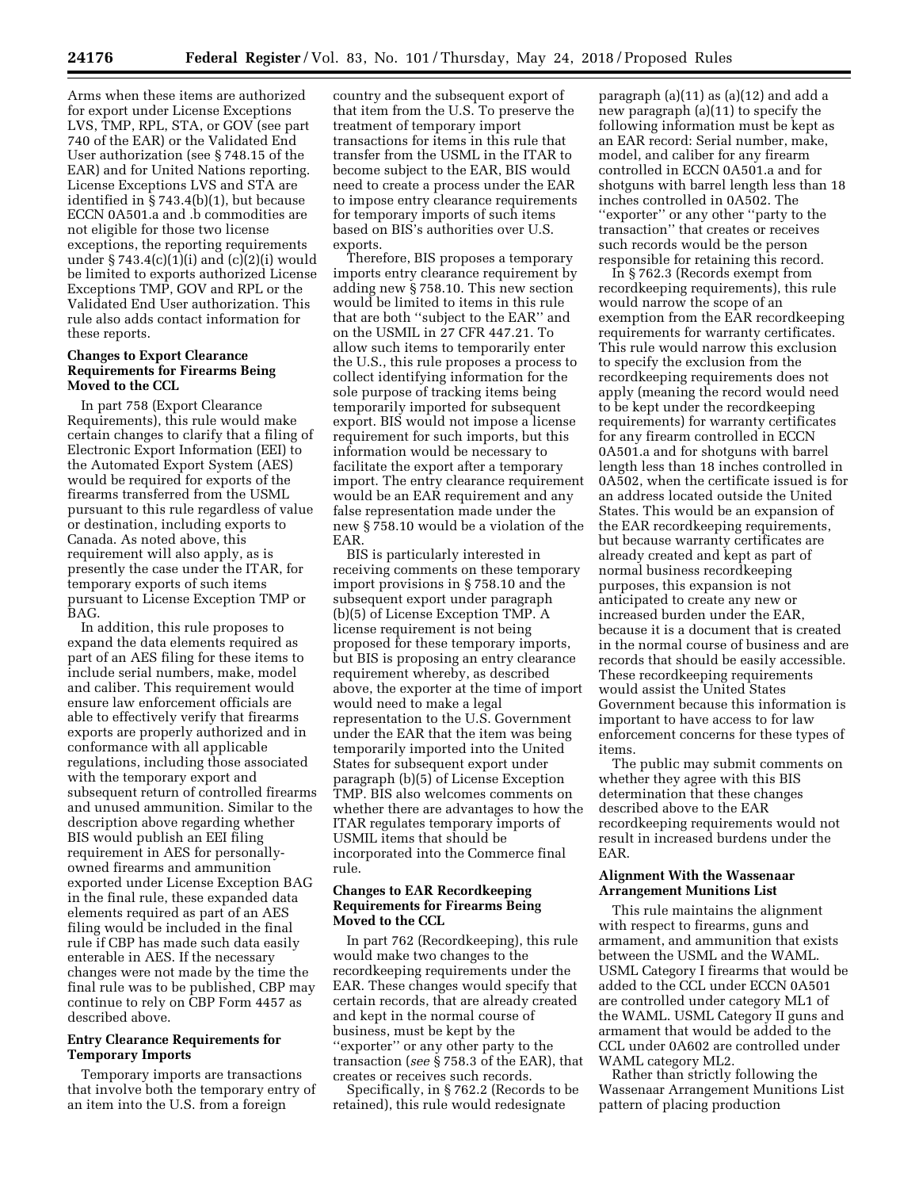Arms when these items are authorized for export under License Exceptions LVS, TMP, RPL, STA, or GOV (see part 740 of the EAR) or the Validated End User authorization (see § 748.15 of the EAR) and for United Nations reporting. License Exceptions LVS and STA are identified in § 743.4(b)(1), but because ECCN 0A501.a and .b commodities are not eligible for those two license exceptions, the reporting requirements under § 743.4(c)(1)(i) and (c)(2)(i) would be limited to exports authorized License Exceptions TMP, GOV and RPL or the Validated End User authorization. This rule also adds contact information for these reports.

# **Changes to Export Clearance Requirements for Firearms Being Moved to the CCL**

In part 758 (Export Clearance Requirements), this rule would make certain changes to clarify that a filing of Electronic Export Information (EEI) to the Automated Export System (AES) would be required for exports of the firearms transferred from the USML pursuant to this rule regardless of value or destination, including exports to Canada. As noted above, this requirement will also apply, as is presently the case under the ITAR, for temporary exports of such items pursuant to License Exception TMP or BAG.

In addition, this rule proposes to expand the data elements required as part of an AES filing for these items to include serial numbers, make, model and caliber. This requirement would ensure law enforcement officials are able to effectively verify that firearms exports are properly authorized and in conformance with all applicable regulations, including those associated with the temporary export and subsequent return of controlled firearms and unused ammunition. Similar to the description above regarding whether BIS would publish an EEI filing requirement in AES for personallyowned firearms and ammunition exported under License Exception BAG in the final rule, these expanded data elements required as part of an AES filing would be included in the final rule if CBP has made such data easily enterable in AES. If the necessary changes were not made by the time the final rule was to be published, CBP may continue to rely on CBP Form 4457 as described above.

# **Entry Clearance Requirements for Temporary Imports**

Temporary imports are transactions that involve both the temporary entry of an item into the U.S. from a foreign

country and the subsequent export of that item from the U.S. To preserve the treatment of temporary import transactions for items in this rule that transfer from the USML in the ITAR to become subject to the EAR, BIS would need to create a process under the EAR to impose entry clearance requirements for temporary imports of such items based on BIS's authorities over U.S. exports.

Therefore, BIS proposes a temporary imports entry clearance requirement by adding new § 758.10. This new section would be limited to items in this rule that are both ''subject to the EAR'' and on the USMIL in 27 CFR 447.21. To allow such items to temporarily enter the U.S., this rule proposes a process to collect identifying information for the sole purpose of tracking items being temporarily imported for subsequent export. BIS would not impose a license requirement for such imports, but this information would be necessary to facilitate the export after a temporary import. The entry clearance requirement would be an EAR requirement and any false representation made under the new § 758.10 would be a violation of the EAR.

BIS is particularly interested in receiving comments on these temporary import provisions in § 758.10 and the subsequent export under paragraph (b)(5) of License Exception TMP. A license requirement is not being proposed for these temporary imports, but BIS is proposing an entry clearance requirement whereby, as described above, the exporter at the time of import would need to make a legal representation to the U.S. Government under the EAR that the item was being temporarily imported into the United States for subsequent export under paragraph (b)(5) of License Exception TMP. BIS also welcomes comments on whether there are advantages to how the ITAR regulates temporary imports of USMIL items that should be incorporated into the Commerce final rule.

# **Changes to EAR Recordkeeping Requirements for Firearms Being Moved to the CCL**

In part 762 (Recordkeeping), this rule would make two changes to the recordkeeping requirements under the EAR. These changes would specify that certain records, that are already created and kept in the normal course of business, must be kept by the ''exporter'' or any other party to the transaction (*see* § 758.3 of the EAR), that creates or receives such records.

Specifically, in § 762.2 (Records to be retained), this rule would redesignate

paragraph (a)(11) as (a)(12) and add a new paragraph (a)(11) to specify the following information must be kept as an EAR record: Serial number, make, model, and caliber for any firearm controlled in ECCN 0A501.a and for shotguns with barrel length less than 18 inches controlled in 0A502. The ''exporter'' or any other ''party to the transaction'' that creates or receives such records would be the person responsible for retaining this record.

In § 762.3 (Records exempt from recordkeeping requirements), this rule would narrow the scope of an exemption from the EAR recordkeeping requirements for warranty certificates. This rule would narrow this exclusion to specify the exclusion from the recordkeeping requirements does not apply (meaning the record would need to be kept under the recordkeeping requirements) for warranty certificates for any firearm controlled in ECCN 0A501.a and for shotguns with barrel length less than 18 inches controlled in 0A502, when the certificate issued is for an address located outside the United States. This would be an expansion of the EAR recordkeeping requirements, but because warranty certificates are already created and kept as part of normal business recordkeeping purposes, this expansion is not anticipated to create any new or increased burden under the EAR, because it is a document that is created in the normal course of business and are records that should be easily accessible. These recordkeeping requirements would assist the United States Government because this information is important to have access to for law enforcement concerns for these types of items.

The public may submit comments on whether they agree with this BIS determination that these changes described above to the EAR recordkeeping requirements would not result in increased burdens under the EAR.

# **Alignment With the Wassenaar Arrangement Munitions List**

This rule maintains the alignment with respect to firearms, guns and armament, and ammunition that exists between the USML and the WAML. USML Category I firearms that would be added to the CCL under ECCN 0A501 are controlled under category ML1 of the WAML. USML Category II guns and armament that would be added to the CCL under 0A602 are controlled under WAML category ML2.

Rather than strictly following the Wassenaar Arrangement Munitions List pattern of placing production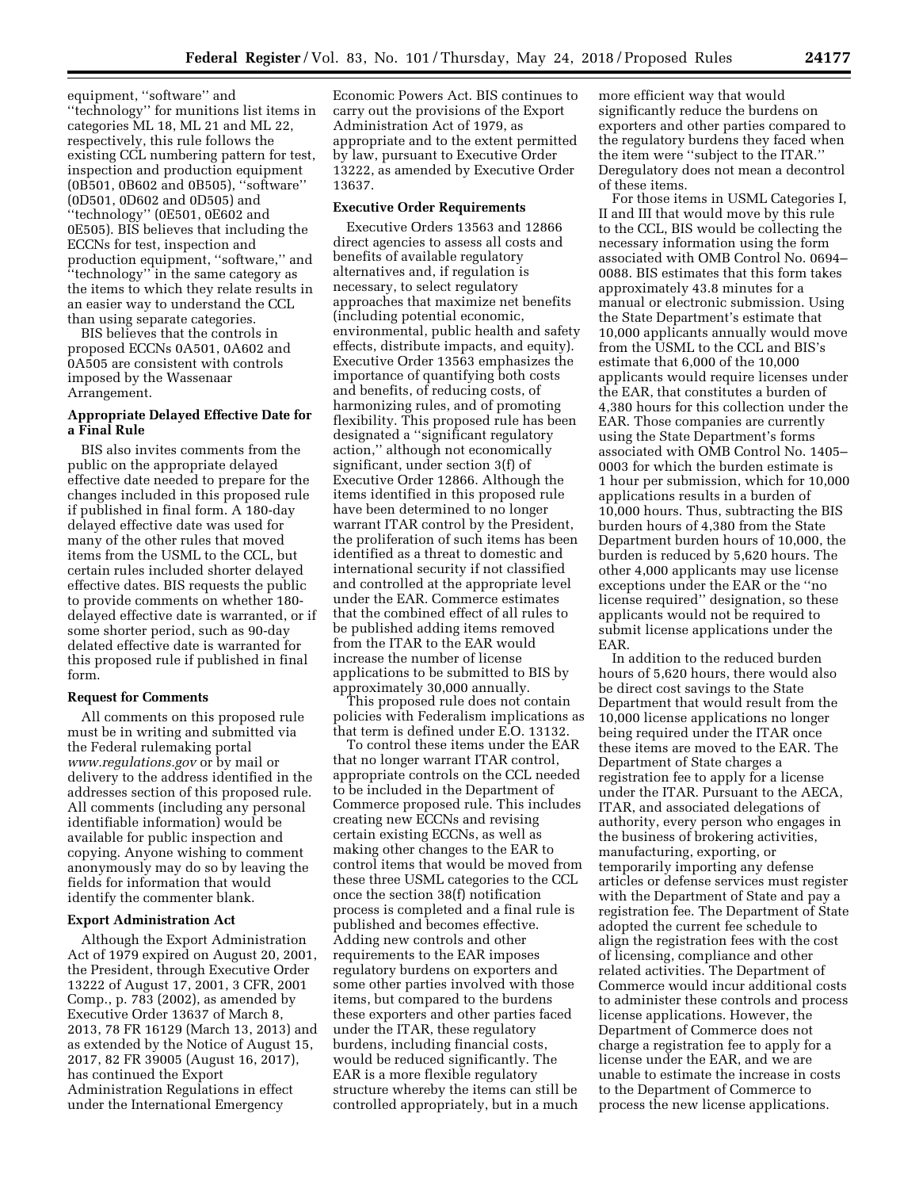equipment, ''software'' and ''technology'' for munitions list items in categories ML 18, ML 21 and ML 22, respectively, this rule follows the existing CCL numbering pattern for test, inspection and production equipment (0B501, 0B602 and 0B505), ''software'' (0D501, 0D602 and 0D505) and ''technology'' (0E501, 0E602 and 0E505). BIS believes that including the ECCNs for test, inspection and production equipment, ''software,'' and ''technology'' in the same category as the items to which they relate results in an easier way to understand the CCL than using separate categories.

BIS believes that the controls in proposed ECCNs 0A501, 0A602 and 0A505 are consistent with controls imposed by the Wassenaar Arrangement.

# **Appropriate Delayed Effective Date for a Final Rule**

BIS also invites comments from the public on the appropriate delayed effective date needed to prepare for the changes included in this proposed rule if published in final form. A 180-day delayed effective date was used for many of the other rules that moved items from the USML to the CCL, but certain rules included shorter delayed effective dates. BIS requests the public to provide comments on whether 180 delayed effective date is warranted, or if some shorter period, such as 90-day delated effective date is warranted for this proposed rule if published in final form.

## **Request for Comments**

All comments on this proposed rule must be in writing and submitted via the Federal rulemaking portal *[www.regulations.gov](http://www.regulations.gov)* or by mail or delivery to the address identified in the addresses section of this proposed rule. All comments (including any personal identifiable information) would be available for public inspection and copying. Anyone wishing to comment anonymously may do so by leaving the fields for information that would identify the commenter blank.

### **Export Administration Act**

Although the Export Administration Act of 1979 expired on August 20, 2001, the President, through Executive Order 13222 of August 17, 2001, 3 CFR, 2001 Comp., p. 783 (2002), as amended by Executive Order 13637 of March 8, 2013, 78 FR 16129 (March 13, 2013) and as extended by the Notice of August 15, 2017, 82 FR 39005 (August 16, 2017), has continued the Export Administration Regulations in effect under the International Emergency

Economic Powers Act. BIS continues to carry out the provisions of the Export Administration Act of 1979, as appropriate and to the extent permitted by law, pursuant to Executive Order 13222, as amended by Executive Order 13637.

# **Executive Order Requirements**

Executive Orders 13563 and 12866 direct agencies to assess all costs and benefits of available regulatory alternatives and, if regulation is necessary, to select regulatory approaches that maximize net benefits (including potential economic, environmental, public health and safety effects, distribute impacts, and equity). Executive Order 13563 emphasizes the importance of quantifying both costs and benefits, of reducing costs, of harmonizing rules, and of promoting flexibility. This proposed rule has been designated a ''significant regulatory action,'' although not economically significant, under section 3(f) of Executive Order 12866. Although the items identified in this proposed rule have been determined to no longer warrant ITAR control by the President, the proliferation of such items has been identified as a threat to domestic and international security if not classified and controlled at the appropriate level under the EAR. Commerce estimates that the combined effect of all rules to be published adding items removed from the ITAR to the EAR would increase the number of license applications to be submitted to BIS by approximately 30,000 annually.

This proposed rule does not contain policies with Federalism implications as that term is defined under E.O. 13132.

To control these items under the EAR that no longer warrant ITAR control, appropriate controls on the CCL needed to be included in the Department of Commerce proposed rule. This includes creating new ECCNs and revising certain existing ECCNs, as well as making other changes to the EAR to control items that would be moved from these three USML categories to the CCL once the section 38(f) notification process is completed and a final rule is published and becomes effective. Adding new controls and other requirements to the EAR imposes regulatory burdens on exporters and some other parties involved with those items, but compared to the burdens these exporters and other parties faced under the ITAR, these regulatory burdens, including financial costs, would be reduced significantly. The EAR is a more flexible regulatory structure whereby the items can still be controlled appropriately, but in a much

more efficient way that would significantly reduce the burdens on exporters and other parties compared to the regulatory burdens they faced when the item were ''subject to the ITAR.'' Deregulatory does not mean a decontrol of these items.

For those items in USML Categories I, II and III that would move by this rule to the CCL, BIS would be collecting the necessary information using the form associated with OMB Control No. 0694– 0088. BIS estimates that this form takes approximately 43.8 minutes for a manual or electronic submission. Using the State Department's estimate that 10,000 applicants annually would move from the USML to the CCL and BIS's estimate that 6,000 of the 10,000 applicants would require licenses under the EAR, that constitutes a burden of 4,380 hours for this collection under the EAR. Those companies are currently using the State Department's forms associated with OMB Control No. 1405– 0003 for which the burden estimate is 1 hour per submission, which for 10,000 applications results in a burden of 10,000 hours. Thus, subtracting the BIS burden hours of 4,380 from the State Department burden hours of 10,000, the burden is reduced by 5,620 hours. The other 4,000 applicants may use license exceptions under the EAR or the ''no license required'' designation, so these applicants would not be required to submit license applications under the EAR.

In addition to the reduced burden hours of 5,620 hours, there would also be direct cost savings to the State Department that would result from the 10,000 license applications no longer being required under the ITAR once these items are moved to the EAR. The Department of State charges a registration fee to apply for a license under the ITAR. Pursuant to the AECA, ITAR, and associated delegations of authority, every person who engages in the business of brokering activities, manufacturing, exporting, or temporarily importing any defense articles or defense services must register with the Department of State and pay a registration fee. The Department of State adopted the current fee schedule to align the registration fees with the cost of licensing, compliance and other related activities. The Department of Commerce would incur additional costs to administer these controls and process license applications. However, the Department of Commerce does not charge a registration fee to apply for a license under the EAR, and we are unable to estimate the increase in costs to the Department of Commerce to process the new license applications.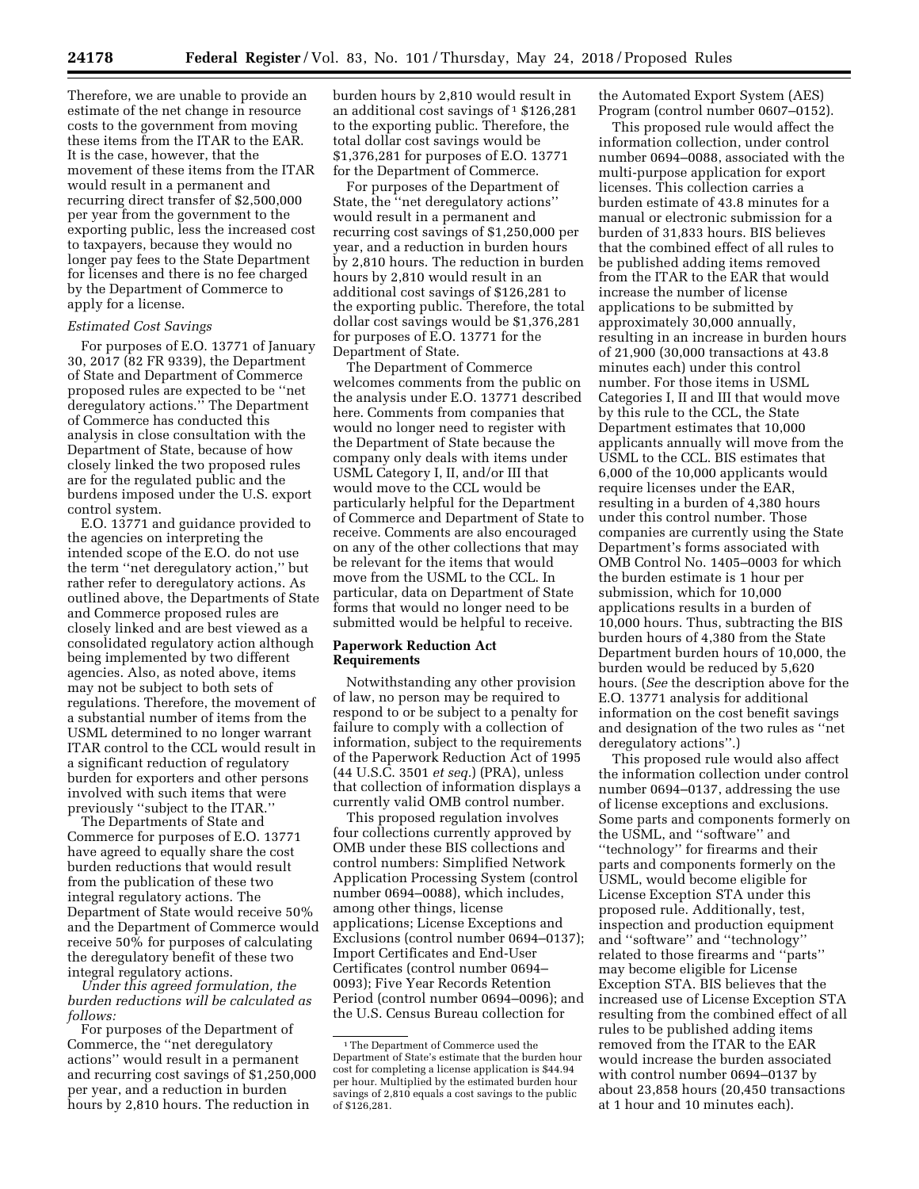Therefore, we are unable to provide an estimate of the net change in resource costs to the government from moving these items from the ITAR to the EAR. It is the case, however, that the movement of these items from the ITAR would result in a permanent and recurring direct transfer of \$2,500,000 per year from the government to the exporting public, less the increased cost to taxpayers, because they would no longer pay fees to the State Department for licenses and there is no fee charged by the Department of Commerce to apply for a license.

# *Estimated Cost Savings*

For purposes of E.O. 13771 of January 30, 2017 (82 FR 9339), the Department of State and Department of Commerce proposed rules are expected to be ''net deregulatory actions.'' The Department of Commerce has conducted this analysis in close consultation with the Department of State, because of how closely linked the two proposed rules are for the regulated public and the burdens imposed under the U.S. export control system.

E.O. 13771 and guidance provided to the agencies on interpreting the intended scope of the E.O. do not use the term ''net deregulatory action,'' but rather refer to deregulatory actions. As outlined above, the Departments of State and Commerce proposed rules are closely linked and are best viewed as a consolidated regulatory action although being implemented by two different agencies. Also, as noted above, items may not be subject to both sets of regulations. Therefore, the movement of a substantial number of items from the USML determined to no longer warrant ITAR control to the CCL would result in a significant reduction of regulatory burden for exporters and other persons involved with such items that were previously ''subject to the ITAR.''

The Departments of State and Commerce for purposes of E.O. 13771 have agreed to equally share the cost burden reductions that would result from the publication of these two integral regulatory actions. The Department of State would receive 50% and the Department of Commerce would receive 50% for purposes of calculating the deregulatory benefit of these two integral regulatory actions.

*Under this agreed formulation, the burden reductions will be calculated as follows:* 

For purposes of the Department of Commerce, the ''net deregulatory actions'' would result in a permanent and recurring cost savings of \$1,250,000 per year, and a reduction in burden hours by 2,810 hours. The reduction in

burden hours by 2,810 would result in an additional cost savings of  $1\$ \$126,281 to the exporting public. Therefore, the total dollar cost savings would be \$1,376,281 for purposes of E.O. 13771 for the Department of Commerce.

For purposes of the Department of State, the ''net deregulatory actions'' would result in a permanent and recurring cost savings of \$1,250,000 per year, and a reduction in burden hours by 2,810 hours. The reduction in burden hours by 2,810 would result in an additional cost savings of \$126,281 to the exporting public. Therefore, the total dollar cost savings would be \$1,376,281 for purposes of E.O. 13771 for the Department of State.

The Department of Commerce welcomes comments from the public on the analysis under E.O. 13771 described here. Comments from companies that would no longer need to register with the Department of State because the company only deals with items under USML Category I, II, and/or III that would move to the CCL would be particularly helpful for the Department of Commerce and Department of State to receive. Comments are also encouraged on any of the other collections that may be relevant for the items that would move from the USML to the CCL. In particular, data on Department of State forms that would no longer need to be submitted would be helpful to receive.

# **Paperwork Reduction Act Requirements**

Notwithstanding any other provision of law, no person may be required to respond to or be subject to a penalty for failure to comply with a collection of information, subject to the requirements of the Paperwork Reduction Act of 1995 (44 U.S.C. 3501 *et seq.*) (PRA), unless that collection of information displays a currently valid OMB control number.

This proposed regulation involves four collections currently approved by OMB under these BIS collections and control numbers: Simplified Network Application Processing System (control number 0694–0088), which includes, among other things, license applications; License Exceptions and Exclusions (control number 0694–0137); Import Certificates and End-User Certificates (control number 0694– 0093); Five Year Records Retention Period (control number 0694–0096); and the U.S. Census Bureau collection for

the Automated Export System (AES) Program (control number 0607–0152).

This proposed rule would affect the information collection, under control number 0694–0088, associated with the multi-purpose application for export licenses. This collection carries a burden estimate of 43.8 minutes for a manual or electronic submission for a burden of 31,833 hours. BIS believes that the combined effect of all rules to be published adding items removed from the ITAR to the EAR that would increase the number of license applications to be submitted by approximately 30,000 annually, resulting in an increase in burden hours of 21,900 (30,000 transactions at 43.8 minutes each) under this control number. For those items in USML Categories I, II and III that would move by this rule to the CCL, the State Department estimates that 10,000 applicants annually will move from the USML to the CCL. BIS estimates that 6,000 of the 10,000 applicants would require licenses under the EAR, resulting in a burden of 4,380 hours under this control number. Those companies are currently using the State Department's forms associated with OMB Control No. 1405–0003 for which the burden estimate is 1 hour per submission, which for 10,000 applications results in a burden of 10,000 hours. Thus, subtracting the BIS burden hours of 4,380 from the State Department burden hours of 10,000, the burden would be reduced by 5,620 hours. (*See* the description above for the E.O. 13771 analysis for additional information on the cost benefit savings and designation of the two rules as ''net deregulatory actions''.)

This proposed rule would also affect the information collection under control number 0694–0137, addressing the use of license exceptions and exclusions. Some parts and components formerly on the USML, and ''software'' and ''technology'' for firearms and their parts and components formerly on the USML, would become eligible for License Exception STA under this proposed rule. Additionally, test, inspection and production equipment and ''software'' and ''technology'' related to those firearms and ''parts'' may become eligible for License Exception STA. BIS believes that the increased use of License Exception STA resulting from the combined effect of all rules to be published adding items removed from the ITAR to the EAR would increase the burden associated with control number 0694–0137 by about 23,858 hours (20,450 transactions at 1 hour and 10 minutes each).

<sup>1</sup>The Department of Commerce used the Department of State's estimate that the burden hour cost for completing a license application is \$44.94 per hour. Multiplied by the estimated burden hour savings of 2,810 equals a cost savings to the public of \$126,281.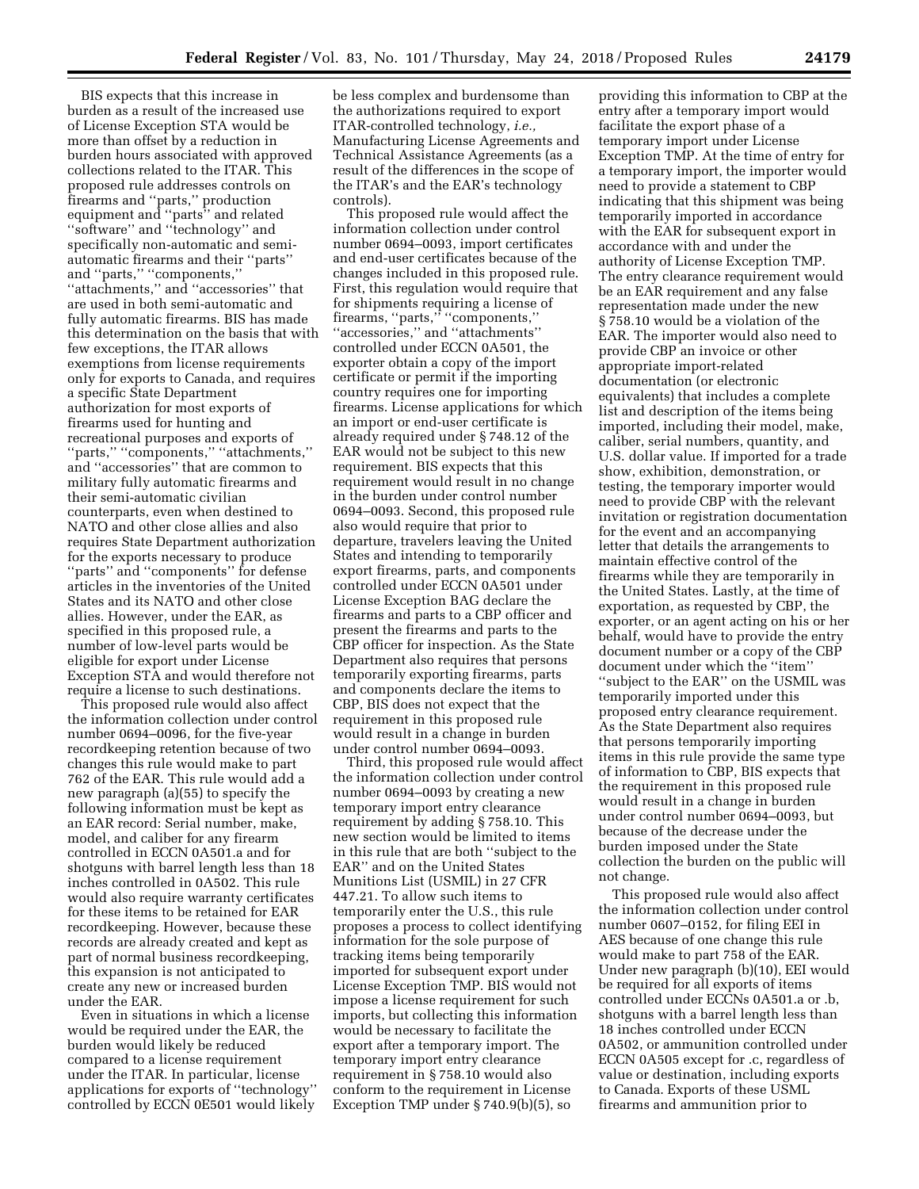BIS expects that this increase in burden as a result of the increased use of License Exception STA would be more than offset by a reduction in burden hours associated with approved collections related to the ITAR. This proposed rule addresses controls on firearms and ''parts,'' production equipment and ''parts'' and related ''software'' and ''technology'' and specifically non-automatic and semiautomatic firearms and their ''parts'' and ''parts,'' ''components,'' ''attachments,'' and ''accessories'' that are used in both semi-automatic and fully automatic firearms. BIS has made this determination on the basis that with few exceptions, the ITAR allows exemptions from license requirements only for exports to Canada, and requires a specific State Department authorization for most exports of firearms used for hunting and recreational purposes and exports of ''parts,'' ''components,'' ''attachments,'' and ''accessories'' that are common to military fully automatic firearms and their semi-automatic civilian counterparts, even when destined to NATO and other close allies and also requires State Department authorization for the exports necessary to produce ''parts'' and ''components'' for defense articles in the inventories of the United States and its NATO and other close allies. However, under the EAR, as specified in this proposed rule, a number of low-level parts would be eligible for export under License Exception STA and would therefore not require a license to such destinations.

This proposed rule would also affect the information collection under control number 0694–0096, for the five-year recordkeeping retention because of two changes this rule would make to part 762 of the EAR. This rule would add a new paragraph (a)(55) to specify the following information must be kept as an EAR record: Serial number, make, model, and caliber for any firearm controlled in ECCN 0A501.a and for shotguns with barrel length less than 18 inches controlled in 0A502. This rule would also require warranty certificates for these items to be retained for EAR recordkeeping. However, because these records are already created and kept as part of normal business recordkeeping, this expansion is not anticipated to create any new or increased burden under the EAR.

Even in situations in which a license would be required under the EAR, the burden would likely be reduced compared to a license requirement under the ITAR. In particular, license applications for exports of ''technology'' controlled by ECCN 0E501 would likely

be less complex and burdensome than the authorizations required to export ITAR-controlled technology, *i.e.,*  Manufacturing License Agreements and Technical Assistance Agreements (as a result of the differences in the scope of the ITAR's and the EAR's technology controls).

This proposed rule would affect the information collection under control number 0694–0093, import certificates and end-user certificates because of the changes included in this proposed rule. First, this regulation would require that for shipments requiring a license of firearms, ''parts,'' ''components,'' ''accessories,'' and ''attachments'' controlled under ECCN 0A501, the exporter obtain a copy of the import certificate or permit if the importing country requires one for importing firearms. License applications for which an import or end-user certificate is already required under § 748.12 of the EAR would not be subject to this new requirement. BIS expects that this requirement would result in no change in the burden under control number 0694–0093. Second, this proposed rule also would require that prior to departure, travelers leaving the United States and intending to temporarily export firearms, parts, and components controlled under ECCN 0A501 under License Exception BAG declare the firearms and parts to a CBP officer and present the firearms and parts to the CBP officer for inspection. As the State Department also requires that persons temporarily exporting firearms, parts and components declare the items to CBP, BIS does not expect that the requirement in this proposed rule would result in a change in burden under control number 0694–0093.

Third, this proposed rule would affect the information collection under control number 0694–0093 by creating a new temporary import entry clearance requirement by adding § 758.10. This new section would be limited to items in this rule that are both ''subject to the EAR'' and on the United States Munitions List (USMIL) in 27 CFR 447.21. To allow such items to temporarily enter the U.S., this rule proposes a process to collect identifying information for the sole purpose of tracking items being temporarily imported for subsequent export under License Exception TMP. BIS would not impose a license requirement for such imports, but collecting this information would be necessary to facilitate the export after a temporary import. The temporary import entry clearance requirement in § 758.10 would also conform to the requirement in License Exception TMP under § 740.9(b)(5), so

providing this information to CBP at the entry after a temporary import would facilitate the export phase of a temporary import under License Exception TMP. At the time of entry for a temporary import, the importer would need to provide a statement to CBP indicating that this shipment was being temporarily imported in accordance with the EAR for subsequent export in accordance with and under the authority of License Exception TMP. The entry clearance requirement would be an EAR requirement and any false representation made under the new § 758.10 would be a violation of the EAR. The importer would also need to provide CBP an invoice or other appropriate import-related documentation (or electronic equivalents) that includes a complete list and description of the items being imported, including their model, make, caliber, serial numbers, quantity, and U.S. dollar value. If imported for a trade show, exhibition, demonstration, or testing, the temporary importer would need to provide CBP with the relevant invitation or registration documentation for the event and an accompanying letter that details the arrangements to maintain effective control of the firearms while they are temporarily in the United States. Lastly, at the time of exportation, as requested by CBP, the exporter, or an agent acting on his or her behalf, would have to provide the entry document number or a copy of the CBP document under which the ''item'' ''subject to the EAR'' on the USMIL was temporarily imported under this proposed entry clearance requirement. As the State Department also requires that persons temporarily importing items in this rule provide the same type of information to CBP, BIS expects that the requirement in this proposed rule would result in a change in burden under control number 0694–0093, but because of the decrease under the burden imposed under the State collection the burden on the public will not change.

This proposed rule would also affect the information collection under control number 0607–0152, for filing EEI in AES because of one change this rule would make to part 758 of the EAR. Under new paragraph (b)(10), EEI would be required for all exports of items controlled under ECCNs 0A501.a or .b, shotguns with a barrel length less than 18 inches controlled under ECCN 0A502, or ammunition controlled under ECCN 0A505 except for .c, regardless of value or destination, including exports to Canada. Exports of these USML firearms and ammunition prior to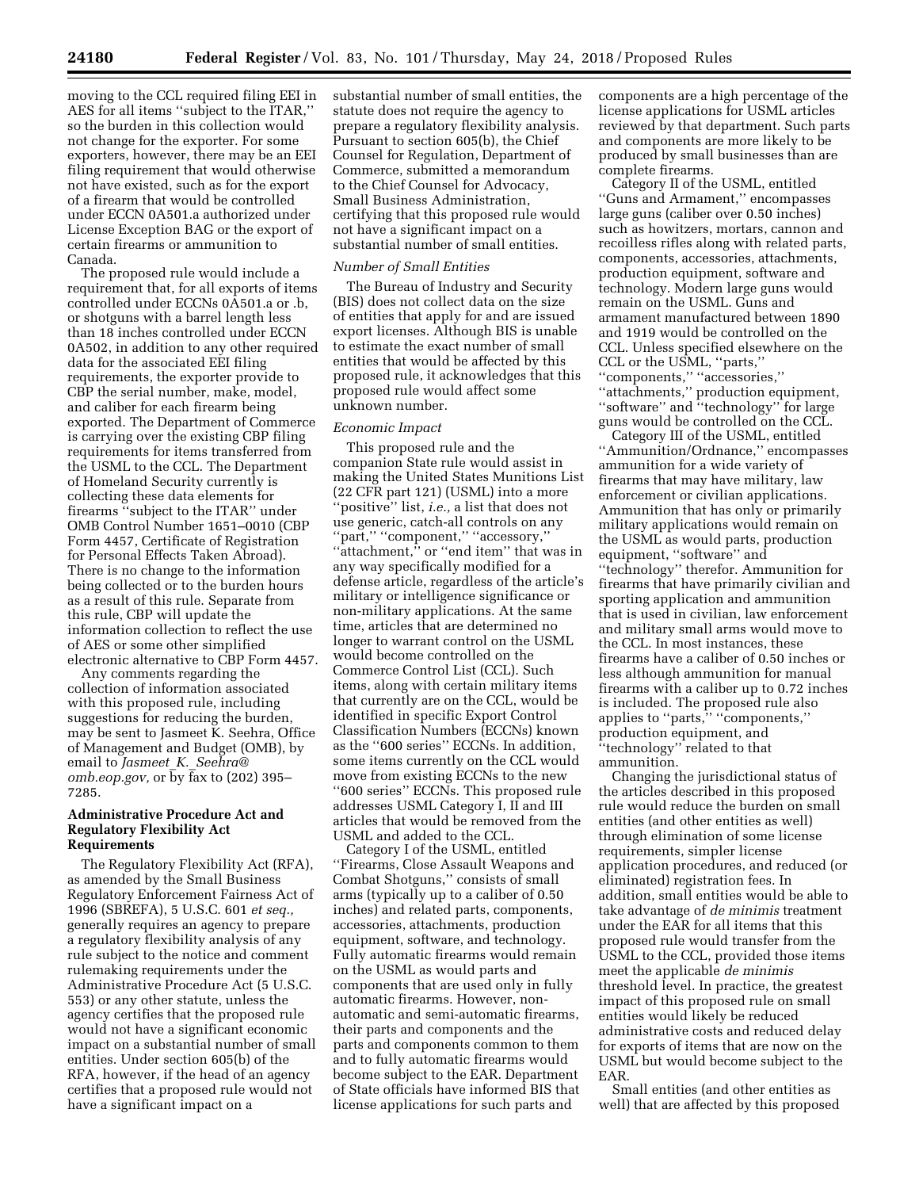moving to the CCL required filing EEI in AES for all items ''subject to the ITAR,'' so the burden in this collection would not change for the exporter. For some exporters, however, there may be an EEI filing requirement that would otherwise not have existed, such as for the export of a firearm that would be controlled under ECCN 0A501.a authorized under License Exception BAG or the export of certain firearms or ammunition to Canada.

The proposed rule would include a requirement that, for all exports of items controlled under ECCNs 0A501.a or .b, or shotguns with a barrel length less than 18 inches controlled under ECCN 0A502, in addition to any other required data for the associated EEI filing requirements, the exporter provide to CBP the serial number, make, model, and caliber for each firearm being exported. The Department of Commerce is carrying over the existing CBP filing requirements for items transferred from the USML to the CCL. The Department of Homeland Security currently is collecting these data elements for firearms ''subject to the ITAR'' under OMB Control Number 1651–0010 (CBP Form 4457, Certificate of Registration for Personal Effects Taken Abroad). There is no change to the information being collected or to the burden hours as a result of this rule. Separate from this rule, CBP will update the information collection to reflect the use of AES or some other simplified electronic alternative to CBP Form 4457.

Any comments regarding the collection of information associated with this proposed rule, including suggestions for reducing the burden, may be sent to Jasmeet K. Seehra, Office of Management and Budget (OMB), by email to *Jasmeet*\_*K.*\_*[Seehra@](mailto:Jasmeet_K._Seehra@omb.eop.gov) [omb.eop.gov,](mailto:Jasmeet_K._Seehra@omb.eop.gov)* or by fax to (202) 395– 7285.

## **Administrative Procedure Act and Regulatory Flexibility Act Requirements**

The Regulatory Flexibility Act (RFA), as amended by the Small Business Regulatory Enforcement Fairness Act of 1996 (SBREFA), 5 U.S.C. 601 *et seq.,*  generally requires an agency to prepare a regulatory flexibility analysis of any rule subject to the notice and comment rulemaking requirements under the Administrative Procedure Act (5 U.S.C. 553) or any other statute, unless the agency certifies that the proposed rule would not have a significant economic impact on a substantial number of small entities. Under section 605(b) of the RFA, however, if the head of an agency certifies that a proposed rule would not have a significant impact on a

substantial number of small entities, the statute does not require the agency to prepare a regulatory flexibility analysis. Pursuant to section 605(b), the Chief Counsel for Regulation, Department of Commerce, submitted a memorandum to the Chief Counsel for Advocacy, Small Business Administration, certifying that this proposed rule would not have a significant impact on a substantial number of small entities.

# *Number of Small Entities*

The Bureau of Industry and Security (BIS) does not collect data on the size of entities that apply for and are issued export licenses. Although BIS is unable to estimate the exact number of small entities that would be affected by this proposed rule, it acknowledges that this proposed rule would affect some unknown number.

### *Economic Impact*

This proposed rule and the companion State rule would assist in making the United States Munitions List (22 CFR part 121) (USML) into a more ''positive'' list, *i.e.,* a list that does not use generic, catch-all controls on any ''part,'' ''component,'' ''accessory,'' "attachment," or "end item" that was in any way specifically modified for a defense article, regardless of the article's military or intelligence significance or non-military applications. At the same time, articles that are determined no longer to warrant control on the USML would become controlled on the Commerce Control List (CCL). Such items, along with certain military items that currently are on the CCL, would be identified in specific Export Control Classification Numbers (ECCNs) known as the ''600 series'' ECCNs. In addition, some items currently on the CCL would move from existing ECCNs to the new ''600 series'' ECCNs. This proposed rule addresses USML Category I, II and III articles that would be removed from the USML and added to the CCL.

Category I of the USML, entitled ''Firearms, Close Assault Weapons and Combat Shotguns,'' consists of small arms (typically up to a caliber of 0.50 inches) and related parts, components, accessories, attachments, production equipment, software, and technology. Fully automatic firearms would remain on the USML as would parts and components that are used only in fully automatic firearms. However, nonautomatic and semi-automatic firearms, their parts and components and the parts and components common to them and to fully automatic firearms would become subject to the EAR. Department of State officials have informed BIS that license applications for such parts and

components are a high percentage of the license applications for USML articles reviewed by that department. Such parts and components are more likely to be produced by small businesses than are complete firearms.

Category II of the USML, entitled ''Guns and Armament,'' encompasses large guns (caliber over 0.50 inches) such as howitzers, mortars, cannon and recoilless rifles along with related parts, components, accessories, attachments, production equipment, software and technology. Modern large guns would remain on the USML. Guns and armament manufactured between 1890 and 1919 would be controlled on the CCL. Unless specified elsewhere on the CCL or the USML, ''parts,'' ''components,'' ''accessories,'' ''attachments,'' production equipment, ''software'' and ''technology'' for large guns would be controlled on the CCL.

Category III of the USML, entitled ''Ammunition/Ordnance,'' encompasses ammunition for a wide variety of firearms that may have military, law enforcement or civilian applications. Ammunition that has only or primarily military applications would remain on the USML as would parts, production equipment, ''software'' and ''technology'' therefor. Ammunition for firearms that have primarily civilian and sporting application and ammunition that is used in civilian, law enforcement and military small arms would move to the CCL. In most instances, these firearms have a caliber of 0.50 inches or less although ammunition for manual firearms with a caliber up to 0.72 inches is included. The proposed rule also applies to ''parts,'' ''components,'' production equipment, and ''technology'' related to that ammunition.

Changing the jurisdictional status of the articles described in this proposed rule would reduce the burden on small entities (and other entities as well) through elimination of some license requirements, simpler license application procedures, and reduced (or eliminated) registration fees. In addition, small entities would be able to take advantage of *de minimis* treatment under the EAR for all items that this proposed rule would transfer from the USML to the CCL, provided those items meet the applicable *de minimis*  threshold level. In practice, the greatest impact of this proposed rule on small entities would likely be reduced administrative costs and reduced delay for exports of items that are now on the USML but would become subject to the EAR.

Small entities (and other entities as well) that are affected by this proposed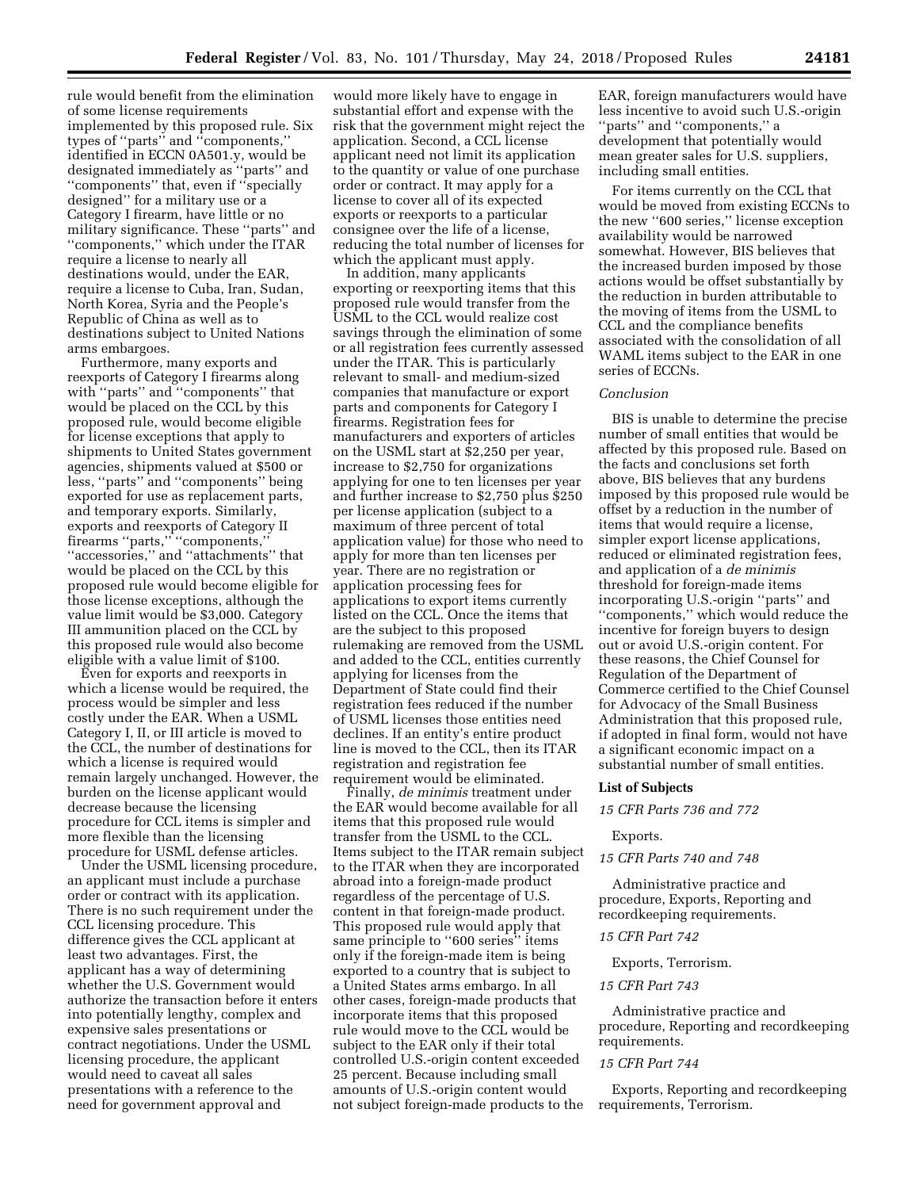rule would benefit from the elimination of some license requirements implemented by this proposed rule. Six types of ''parts'' and ''components,'' identified in ECCN 0A501.y, would be designated immediately as ''parts'' and ''components'' that, even if ''specially designed'' for a military use or a Category I firearm, have little or no military significance. These ''parts'' and ''components,'' which under the ITAR require a license to nearly all destinations would, under the EAR, require a license to Cuba, Iran, Sudan, North Korea, Syria and the People's Republic of China as well as to destinations subject to United Nations arms embargoes.

Furthermore, many exports and reexports of Category I firearms along with ''parts'' and ''components'' that would be placed on the CCL by this proposed rule, would become eligible for license exceptions that apply to shipments to United States government agencies, shipments valued at \$500 or less, ''parts'' and ''components'' being exported for use as replacement parts, and temporary exports. Similarly, exports and reexports of Category II firearms ''parts,'' ''components,'' ''accessories,'' and ''attachments'' that would be placed on the CCL by this proposed rule would become eligible for those license exceptions, although the value limit would be \$3,000. Category III ammunition placed on the CCL by this proposed rule would also become eligible with a value limit of \$100.

Even for exports and reexports in which a license would be required, the process would be simpler and less costly under the EAR. When a USML Category I, II, or III article is moved to the CCL, the number of destinations for which a license is required would remain largely unchanged. However, the burden on the license applicant would decrease because the licensing procedure for CCL items is simpler and more flexible than the licensing procedure for USML defense articles.

Under the USML licensing procedure, an applicant must include a purchase order or contract with its application. There is no such requirement under the CCL licensing procedure. This difference gives the CCL applicant at least two advantages. First, the applicant has a way of determining whether the U.S. Government would authorize the transaction before it enters into potentially lengthy, complex and expensive sales presentations or contract negotiations. Under the USML licensing procedure, the applicant would need to caveat all sales presentations with a reference to the need for government approval and

would more likely have to engage in substantial effort and expense with the risk that the government might reject the application. Second, a CCL license applicant need not limit its application to the quantity or value of one purchase order or contract. It may apply for a license to cover all of its expected exports or reexports to a particular consignee over the life of a license, reducing the total number of licenses for which the applicant must apply.

In addition, many applicants exporting or reexporting items that this proposed rule would transfer from the USML to the CCL would realize cost savings through the elimination of some or all registration fees currently assessed under the ITAR. This is particularly relevant to small- and medium-sized companies that manufacture or export parts and components for Category I firearms. Registration fees for manufacturers and exporters of articles on the USML start at \$2,250 per year, increase to \$2,750 for organizations applying for one to ten licenses per year and further increase to \$2,750 plus \$250 per license application (subject to a maximum of three percent of total application value) for those who need to apply for more than ten licenses per year. There are no registration or application processing fees for applications to export items currently listed on the CCL. Once the items that are the subject to this proposed rulemaking are removed from the USML and added to the CCL, entities currently applying for licenses from the Department of State could find their registration fees reduced if the number of USML licenses those entities need declines. If an entity's entire product line is moved to the CCL, then its ITAR registration and registration fee requirement would be eliminated.

Finally, *de minimis* treatment under the EAR would become available for all items that this proposed rule would transfer from the USML to the CCL. Items subject to the ITAR remain subject to the ITAR when they are incorporated abroad into a foreign-made product regardless of the percentage of U.S. content in that foreign-made product. This proposed rule would apply that same principle to ''600 series'' items only if the foreign-made item is being exported to a country that is subject to a United States arms embargo. In all other cases, foreign-made products that incorporate items that this proposed rule would move to the CCL would be subject to the EAR only if their total controlled U.S.-origin content exceeded 25 percent. Because including small amounts of U.S.-origin content would not subject foreign-made products to the EAR, foreign manufacturers would have less incentive to avoid such U.S.-origin ''parts'' and ''components,'' a development that potentially would mean greater sales for U.S. suppliers, including small entities.

For items currently on the CCL that would be moved from existing ECCNs to the new ''600 series,'' license exception availability would be narrowed somewhat. However, BIS believes that the increased burden imposed by those actions would be offset substantially by the reduction in burden attributable to the moving of items from the USML to CCL and the compliance benefits associated with the consolidation of all WAML items subject to the EAR in one series of ECCNs.

# *Conclusion*

BIS is unable to determine the precise number of small entities that would be affected by this proposed rule. Based on the facts and conclusions set forth above, BIS believes that any burdens imposed by this proposed rule would be offset by a reduction in the number of items that would require a license, simpler export license applications, reduced or eliminated registration fees, and application of a *de minimis*  threshold for foreign-made items incorporating U.S.-origin ''parts'' and ''components,'' which would reduce the incentive for foreign buyers to design out or avoid U.S.-origin content. For these reasons, the Chief Counsel for Regulation of the Department of Commerce certified to the Chief Counsel for Advocacy of the Small Business Administration that this proposed rule, if adopted in final form, would not have a significant economic impact on a substantial number of small entities.

#### **List of Subjects**

*15 CFR Parts 736 and 772* 

## Exports.

*15 CFR Parts 740 and 748* 

Administrative practice and procedure, Exports, Reporting and recordkeeping requirements.

#### *15 CFR Part 742*

Exports, Terrorism.

#### *15 CFR Part 743*

Administrative practice and procedure, Reporting and recordkeeping requirements.

## *15 CFR Part 744*

Exports, Reporting and recordkeeping requirements, Terrorism.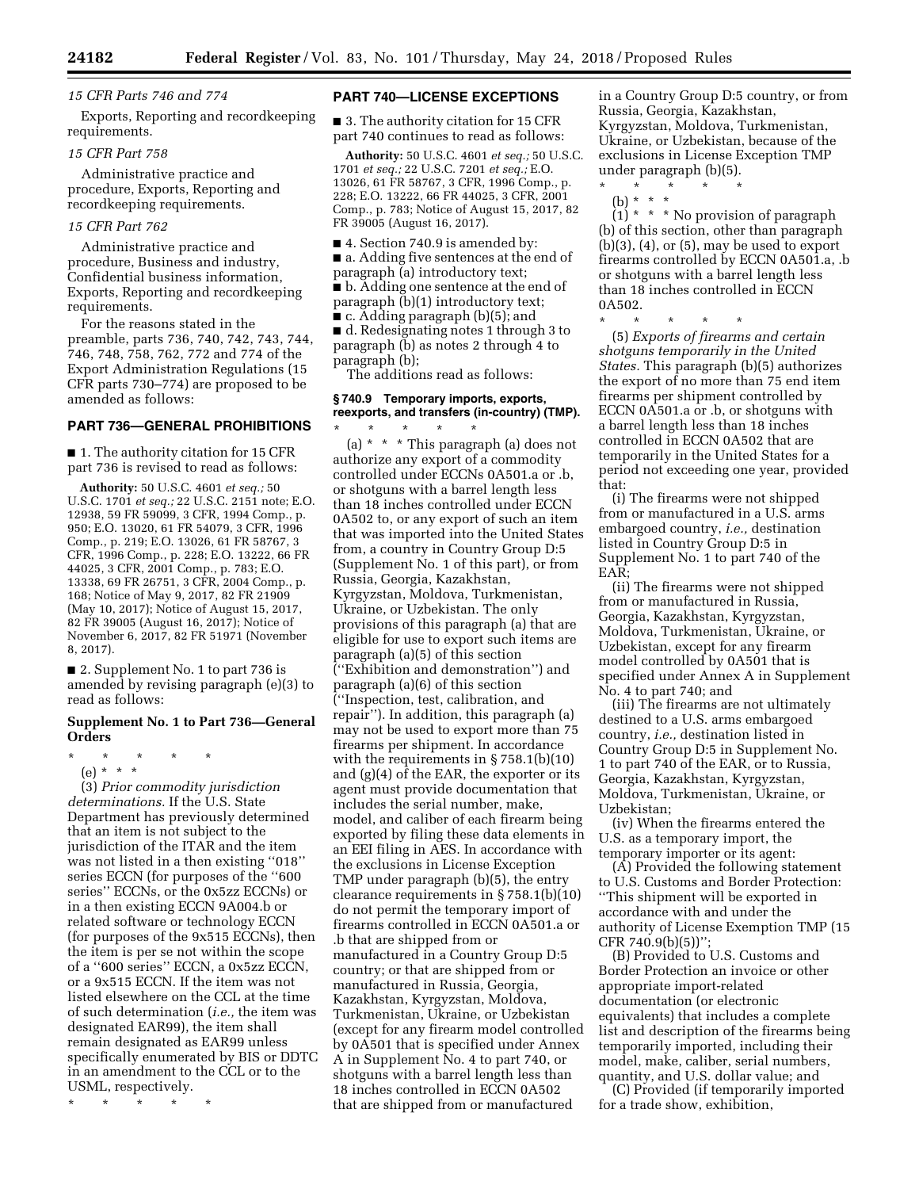### *15 CFR Parts 746 and 774*

Exports, Reporting and recordkeeping requirements.

### *15 CFR Part 758*

Administrative practice and procedure, Exports, Reporting and recordkeeping requirements.

# *15 CFR Part 762*

Administrative practice and procedure, Business and industry, Confidential business information, Exports, Reporting and recordkeeping requirements.

For the reasons stated in the preamble, parts 736, 740, 742, 743, 744, 746, 748, 758, 762, 772 and 774 of the Export Administration Regulations (15 CFR parts 730–774) are proposed to be amended as follows:

# **PART 736—GENERAL PROHIBITIONS**

■ 1. The authority citation for 15 CFR part 736 is revised to read as follows:

**Authority:** 50 U.S.C. 4601 *et seq.;* 50 U.S.C. 1701 *et seq.;* 22 U.S.C. 2151 note; E.O. 12938, 59 FR 59099, 3 CFR, 1994 Comp., p. 950; E.O. 13020, 61 FR 54079, 3 CFR, 1996 Comp., p. 219; E.O. 13026, 61 FR 58767, 3 CFR, 1996 Comp., p. 228; E.O. 13222, 66 FR 44025, 3 CFR, 2001 Comp., p. 783; E.O. 13338, 69 FR 26751, 3 CFR, 2004 Comp., p. 168; Notice of May 9, 2017, 82 FR 21909 (May 10, 2017); Notice of August 15, 2017, 82 FR 39005 (August 16, 2017); Notice of November 6, 2017, 82 FR 51971 (November 8, 2017).

■ 2. Supplement No. 1 to part 736 is amended by revising paragraph (e)(3) to read as follows:

# **Supplement No. 1 to Part 736—General Orders**

- \* \* \* \* \*
	- (e) \* \* \*

(3) *Prior commodity jurisdiction determinations.* If the U.S. State Department has previously determined that an item is not subject to the jurisdiction of the ITAR and the item was not listed in a then existing ''018'' series ECCN (for purposes of the ''600 series'' ECCNs, or the 0x5zz ECCNs) or in a then existing ECCN 9A004.b or related software or technology ECCN (for purposes of the 9x515 ECCNs), then the item is per se not within the scope of a ''600 series'' ECCN, a 0x5zz ECCN, or a 9x515 ECCN. If the item was not listed elsewhere on the CCL at the time of such determination (*i.e.,* the item was designated EAR99), the item shall remain designated as EAR99 unless specifically enumerated by BIS or DDTC in an amendment to the CCL or to the USML, respectively.

\* \* \* \* \*

# **PART 740—LICENSE EXCEPTIONS**

■ 3. The authority citation for 15 CFR part 740 continues to read as follows:

**Authority:** 50 U.S.C. 4601 *et seq.;* 50 U.S.C. 1701 *et seq.;* 22 U.S.C. 7201 *et seq.;* E.O. 13026, 61 FR 58767, 3 CFR, 1996 Comp., p. 228; E.O. 13222, 66 FR 44025, 3 CFR, 2001 Comp., p. 783; Notice of August 15, 2017, 82 FR 39005 (August 16, 2017).

■ 4. Section 740.9 is amended by: ■ a. Adding five sentences at the end of paragraph (a) introductory text; ■ b. Adding one sentence at the end of paragraph (b)(1) introductory text;

■ c. Adding paragraph (b)(5); and

■ d. Redesignating notes 1 through 3 to paragraph (b) as notes 2 through 4 to paragraph (b);

The additions read as follows:

# **§ 740.9 Temporary imports, exports, reexports, and transfers (in-country) (TMP).**

\* \* \* \* \* (a) \* \* \* This paragraph (a) does not authorize any export of a commodity controlled under ECCNs 0A501.a or .b, or shotguns with a barrel length less than 18 inches controlled under ECCN 0A502 to, or any export of such an item that was imported into the United States from, a country in Country Group D:5 (Supplement No. 1 of this part), or from Russia, Georgia, Kazakhstan, Kyrgyzstan, Moldova, Turkmenistan, Ukraine, or Uzbekistan. The only provisions of this paragraph (a) that are eligible for use to export such items are paragraph (a)(5) of this section (''Exhibition and demonstration'') and paragraph (a)(6) of this section (''Inspection, test, calibration, and repair''). In addition, this paragraph (a) may not be used to export more than 75 firearms per shipment. In accordance with the requirements in § 758.1(b)(10) and (g)(4) of the EAR, the exporter or its agent must provide documentation that includes the serial number, make, model, and caliber of each firearm being exported by filing these data elements in an EEI filing in AES. In accordance with the exclusions in License Exception TMP under paragraph (b)(5), the entry clearance requirements in § 758.1(b)(10) do not permit the temporary import of firearms controlled in ECCN 0A501.a or .b that are shipped from or manufactured in a Country Group D:5 country; or that are shipped from or manufactured in Russia, Georgia, Kazakhstan, Kyrgyzstan, Moldova, Turkmenistan, Ukraine, or Uzbekistan (except for any firearm model controlled by 0A501 that is specified under Annex A in Supplement No. 4 to part 740, or shotguns with a barrel length less than 18 inches controlled in ECCN 0A502 that are shipped from or manufactured

in a Country Group D:5 country, or from Russia, Georgia, Kazakhstan, Kyrgyzstan, Moldova, Turkmenistan, Ukraine, or Uzbekistan, because of the exclusions in License Exception TMP under paragraph (b)(5).

- \* \* \* \* \*
	- (b) \* \* \*

 $(1)$  \* \* \* No provision of paragraph (b) of this section, other than paragraph  $(b)(3)$ ,  $(4)$ , or  $(5)$ , may be used to export firearms controlled by ECCN 0A501.a, .b or shotguns with a barrel length less than 18 inches controlled in ECCN 0A502.

\* \* \* \* \* (5) *Exports of firearms and certain shotguns temporarily in the United States.* This paragraph (b)(5) authorizes the export of no more than 75 end item firearms per shipment controlled by ECCN 0A501.a or .b, or shotguns with a barrel length less than 18 inches controlled in ECCN 0A502 that are temporarily in the United States for a period not exceeding one year, provided that:

(i) The firearms were not shipped from or manufactured in a U.S. arms embargoed country, *i.e.,* destination listed in Country Group D:5 in Supplement No. 1 to part 740 of the EAR;

(ii) The firearms were not shipped from or manufactured in Russia, Georgia, Kazakhstan, Kyrgyzstan, Moldova, Turkmenistan, Ukraine, or Uzbekistan, except for any firearm model controlled by 0A501 that is specified under Annex A in Supplement No. 4 to part 740; and

(iii) The firearms are not ultimately destined to a U.S. arms embargoed country, *i.e.,* destination listed in Country Group D:5 in Supplement No. 1 to part 740 of the EAR, or to Russia, Georgia, Kazakhstan, Kyrgyzstan, Moldova, Turkmenistan, Ukraine, or Uzbekistan;

(iv) When the firearms entered the U.S. as a temporary import, the temporary importer or its agent:

(A) Provided the following statement to U.S. Customs and Border Protection: ''This shipment will be exported in accordance with and under the authority of License Exemption TMP (15 CFR 740.9(b)(5))'';

(B) Provided to U.S. Customs and Border Protection an invoice or other appropriate import-related documentation (or electronic equivalents) that includes a complete list and description of the firearms being temporarily imported, including their model, make, caliber, serial numbers, quantity, and U.S. dollar value; and

(C) Provided (if temporarily imported for a trade show, exhibition,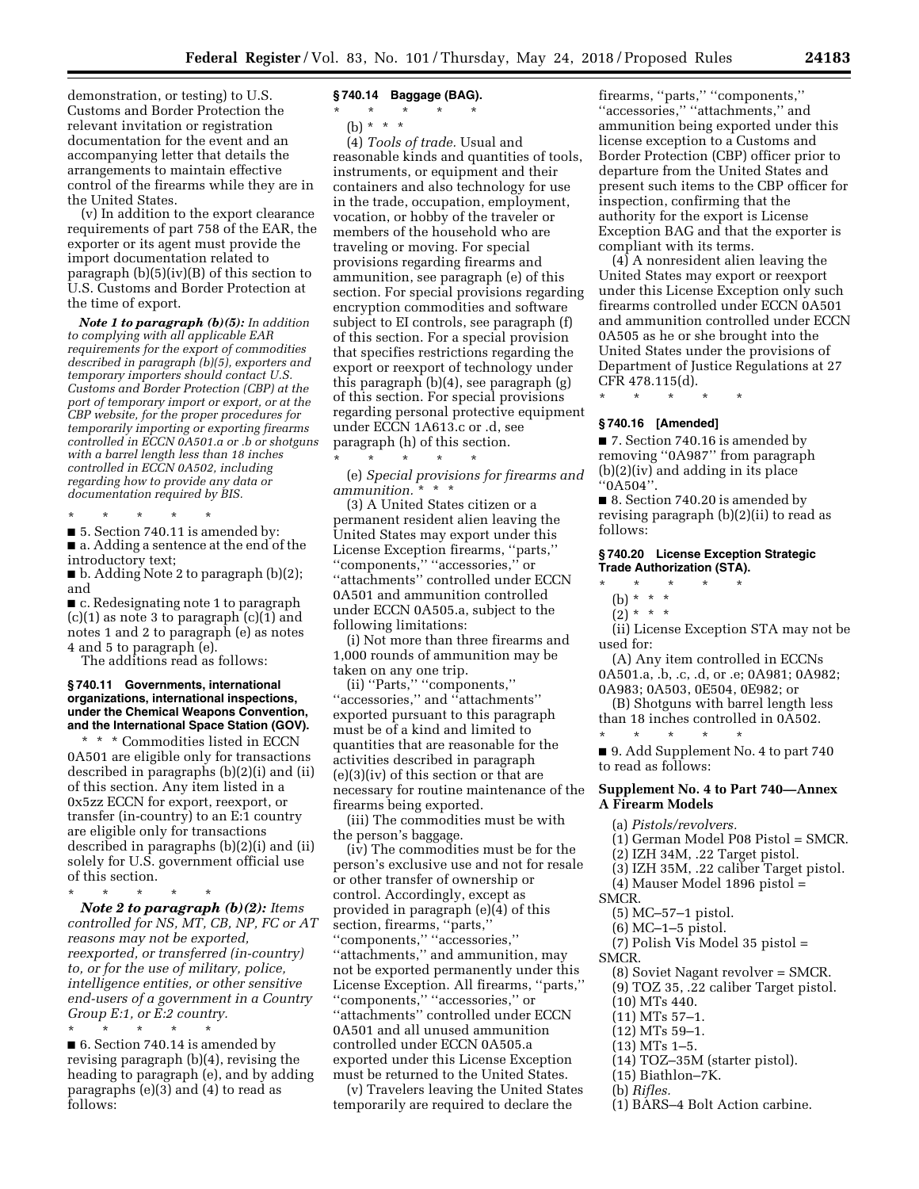demonstration, or testing) to U.S. Customs and Border Protection the relevant invitation or registration documentation for the event and an accompanying letter that details the arrangements to maintain effective control of the firearms while they are in the United States.

(v) In addition to the export clearance requirements of part 758 of the EAR, the exporter or its agent must provide the import documentation related to paragraph (b)(5)(iv)(B) of this section to U.S. Customs and Border Protection at the time of export.

*Note 1 to paragraph (b)(5): In addition to complying with all applicable EAR requirements for the export of commodities described in paragraph (b)(5), exporters and temporary importers should contact U.S. Customs and Border Protection (CBP) at the port of temporary import or export, or at the CBP website, for the proper procedures for temporarily importing or exporting firearms controlled in ECCN 0A501.a or .b or shotguns with a barrel length less than 18 inches controlled in ECCN 0A502, including regarding how to provide any data or documentation required by BIS.* 

\* \* \* \* \*

■ 5. Section 740.11 is amended by: ■ a. Adding a sentence at the end of the introductory text;

■ b. Adding Note 2 to paragraph (b)(2); and

■ c. Redesignating note 1 to paragraph (c)(1) as note 3 to paragraph (c)(1) and notes 1 and 2 to paragraph (e) as notes 4 and 5 to paragraph (e).

The additions read as follows:

### **§ 740.11 Governments, international organizations, international inspections, under the Chemical Weapons Convention, and the International Space Station (GOV).**

\* \* \* Commodities listed in ECCN 0A501 are eligible only for transactions described in paragraphs (b)(2)(i) and (ii) of this section. Any item listed in a 0x5zz ECCN for export, reexport, or transfer (in-country) to an E:1 country are eligible only for transactions described in paragraphs (b)(2)(i) and (ii) solely for U.S. government official use of this section.

\* \* \* \* \* *Note 2 to paragraph (b)(2): Items controlled for NS, MT, CB, NP, FC or AT* 

*reasons may not be exported, reexported, or transferred (in-country) to, or for the use of military, police, intelligence entities, or other sensitive end-users of a government in a Country Group E:1, or E:2 country.* 

\* \* \* \* \* ■ 6. Section 740.14 is amended by revising paragraph (b)(4), revising the heading to paragraph (e), and by adding paragraphs (e)(3) and (4) to read as follows:

# **§ 740.14 Baggage (BAG).**

\* \* \* \* \*

(b) \* \* \*

(4) *Tools of trade.* Usual and reasonable kinds and quantities of tools, instruments, or equipment and their containers and also technology for use in the trade, occupation, employment, vocation, or hobby of the traveler or members of the household who are traveling or moving. For special provisions regarding firearms and ammunition, see paragraph (e) of this section. For special provisions regarding encryption commodities and software subject to EI controls, see paragraph (f) of this section. For a special provision that specifies restrictions regarding the export or reexport of technology under this paragraph (b)(4), see paragraph (g) of this section. For special provisions regarding personal protective equipment under ECCN 1A613.c or .d, see paragraph (h) of this section. \* \* \* \* \*

(e) *Special provisions for firearms and ammunition.* \* \* \*

(3) A United States citizen or a permanent resident alien leaving the United States may export under this License Exception firearms, ''parts,'' ''components,'' ''accessories,'' or ''attachments'' controlled under ECCN 0A501 and ammunition controlled under ECCN 0A505.a, subject to the following limitations:

(i) Not more than three firearms and 1,000 rounds of ammunition may be taken on any one trip.

(ii) ''Parts,'' ''components,'' ''accessories,'' and ''attachments'' exported pursuant to this paragraph must be of a kind and limited to quantities that are reasonable for the activities described in paragraph (e)(3)(iv) of this section or that are necessary for routine maintenance of the firearms being exported.

(iii) The commodities must be with the person's baggage.

(iv) The commodities must be for the person's exclusive use and not for resale or other transfer of ownership or control. Accordingly, except as provided in paragraph (e)(4) of this section, firearms, ''parts,'' ''components,'' ''accessories,'' ''attachments,'' and ammunition, may not be exported permanently under this License Exception. All firearms, ''parts,'' ''components,'' ''accessories,'' or ''attachments'' controlled under ECCN 0A501 and all unused ammunition controlled under ECCN 0A505.a exported under this License Exception must be returned to the United States.

(v) Travelers leaving the United States temporarily are required to declare the

firearms, ''parts,'' ''components,'' ''accessories,'' ''attachments,'' and ammunition being exported under this license exception to a Customs and Border Protection (CBP) officer prior to departure from the United States and present such items to the CBP officer for inspection, confirming that the authority for the export is License Exception BAG and that the exporter is compliant with its terms.

(4) A nonresident alien leaving the United States may export or reexport under this License Exception only such firearms controlled under ECCN 0A501 and ammunition controlled under ECCN 0A505 as he or she brought into the United States under the provisions of Department of Justice Regulations at 27 CFR 478.115(d).

\* \* \* \* \*

## **§ 740.16 [Amended]**

■ 7. Section 740.16 is amended by removing ''0A987'' from paragraph (b)(2)(iv) and adding in its place ''0A504''.

■ 8. Section 740.20 is amended by revising paragraph (b)(2)(ii) to read as follows:

### **§ 740.20 License Exception Strategic Trade Authorization (STA).**

- \* \* \* \* \*
	- (b) \* \* \*
	- $(2)^* * * *$

(ii) License Exception STA may not be used for:

(A) Any item controlled in ECCNs 0A501.a, .b, .c, .d, or .e; 0A981; 0A982; 0A983; 0A503, 0E504, 0E982; or

(B) Shotguns with barrel length less than 18 inches controlled in 0A502. \* \* \* \* \*

■ 9. Add Supplement No. 4 to part 740 to read as follows:

# **Supplement No. 4 to Part 740—Annex A Firearm Models**

- (a) *Pistols/revolvers.*
- (1) German Model P08 Pistol = SMCR.
- (2) IZH 34M, .22 Target pistol.
- (3) IZH 35M, .22 caliber Target pistol.
- (4) Mauser Model 1896 pistol =
- SMCR.
	- (5) MC–57–1 pistol.
	- (6) MC–1–5 pistol.
	- (7) Polish Vis Model 35 pistol =

SMCR.

- (8) Soviet Nagant revolver = SMCR.
- (9) TOZ 35, .22 caliber Target pistol.
- (10) MTs 440.
- (11) MTs 57–1.
- (12) MTs 59–1.
- (13) MTs 1–5.
- (14) TOZ–35M (starter pistol).
- (15) Biathlon–7K.
- (b) *Rifles.*
- (1) BARS–4 Bolt Action carbine.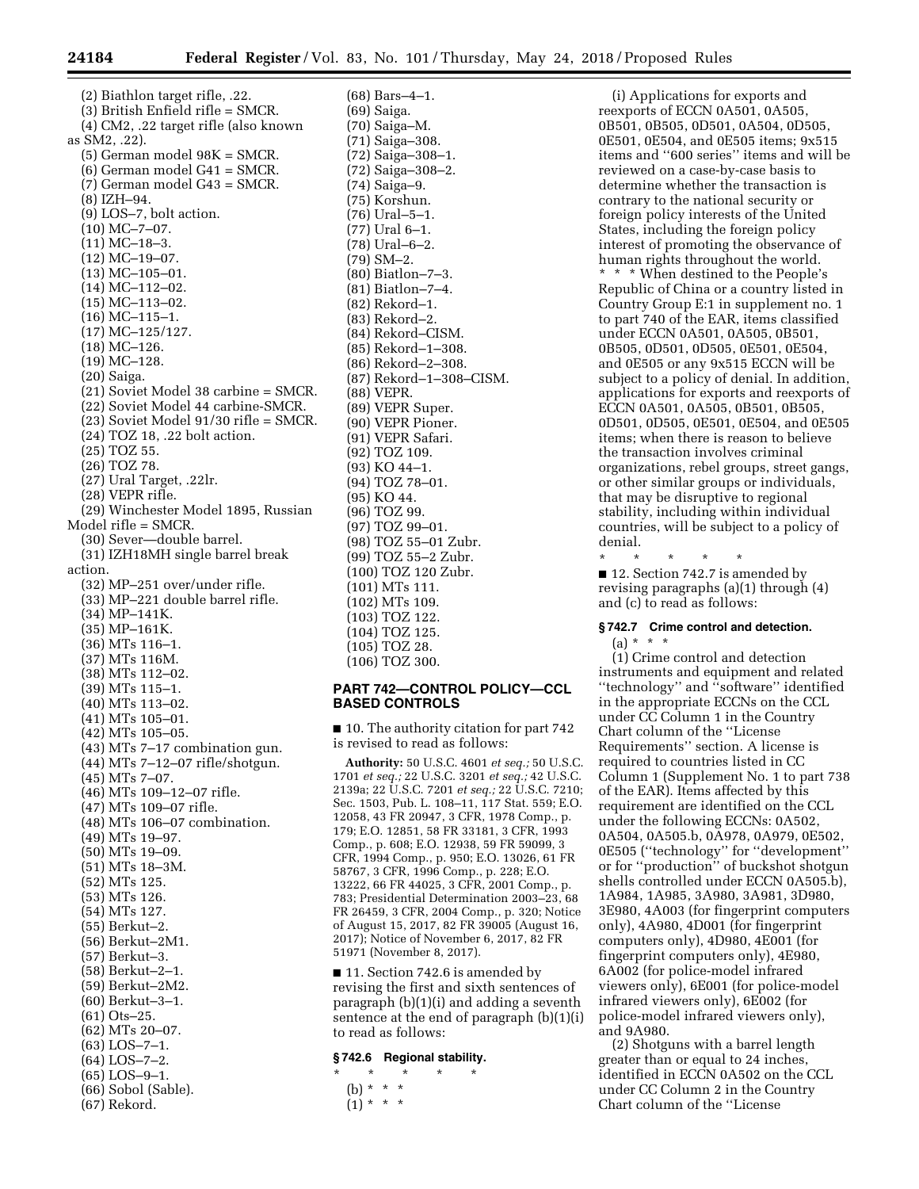(2) Biathlon target rifle, .22. (3) British Enfield rifle = SMCR. (4) CM2, .22 target rifle (also known as SM2, .22). (5) German model 98K = SMCR. (6) German model G41 = SMCR. (7) German model G43 = SMCR. (8) IZH–94. (9) LOS–7, bolt action. (10) MC–7–07. (11) MC–18–3. (12) MC–19–07. (13) MC–105–01. (14) MC–112–02. (15) MC–113–02. (16) MC–115–1. (17) MC–125/127.  $(18)$  MC-126. (19) MC–128. (20) Saiga. (21) Soviet Model 38 carbine = SMCR. (22) Soviet Model 44 carbine-SMCR. (23) Soviet Model 91/30 rifle = SMCR. (24) TOZ 18, .22 bolt action. (25) TOZ 55. (26) TOZ 78. (27) Ural Target, .22lr. (28) VEPR rifle. (29) Winchester Model 1895, Russian Model rifle = SMCR. (30) Sever—double barrel. (31) IZH18MH single barrel break action. (32) MP–251 over/under rifle. (33) MP–221 double barrel rifle. (34) MP–141K. (35) MP–161K. (36) MTs 116–1. (37) MTs 116M. (38) MTs 112–02. (39) MTs 115–1. (40) MTs 113–02. (41) MTs 105–01. (42) MTs 105–05. (43) MTs 7–17 combination gun. (44) MTs 7–12–07 rifle/shotgun. (45) MTs 7–07. (46) MTs 109–12–07 rifle. (47) MTs 109–07 rifle. (48) MTs 106–07 combination. (49) MTs 19–97. (50) MTs 19–09. (51) MTs 18–3M. (52) MTs 125. (53) MTs 126. (54) MTs 127. (55) Berkut–2. (56) Berkut–2M1. (57) Berkut–3. (58) Berkut–2–1. (59) Berkut–2M2. (60) Berkut–3–1. (61) Ots–25. (62) MTs 20–07. (63) LOS–7–1. (64) LOS–7–2. (65) LOS–9–1. (66) Sobol (Sable).

(67) Rekord.

(68) Bars–4–1. (69) Saiga. (70) Saiga–M. (71) Saiga–308. (72) Saiga–308–1. (72) Saiga–308–2. (74) Saiga–9. (75) Korshun. (76) Ural–5–1. (77) Ural 6–1. (78) Ural–6–2. (79) SM–2. (80) Biatlon–7–3. (81) Biatlon–7–4. (82) Rekord–1. (83) Rekord–2. (84) Rekord–CISM. (85) Rekord–1–308. (86) Rekord–2–308. (87) Rekord–1–308–CISM. (88) VEPR. (89) VEPR Super. (90) VEPR Pioner. (91) VEPR Safari. (92) TOZ 109. (93) KO 44–1. (94) TOZ 78–01. (95) KO 44. (96) TOZ 99. (97) TOZ 99–01. (98) TOZ 55–01 Zubr. (99) TOZ 55–2 Zubr. (100) TOZ 120 Zubr. (101) MTs 111. (102) MTs 109. (103) TOZ 122. (104) TOZ 125. (105) TOZ 28. (106) TOZ 300.

# **PART 742—CONTROL POLICY—CCL BASED CONTROLS**

■ 10. The authority citation for part 742 is revised to read as follows:

**Authority:** 50 U.S.C. 4601 *et seq.;* 50 U.S.C. 1701 *et seq.;* 22 U.S.C. 3201 *et seq.;* 42 U.S.C. 2139a; 22 U.S.C. 7201 *et seq.;* 22 U.S.C. 7210; Sec. 1503, Pub. L. 108–11, 117 Stat. 559; E.O. 12058, 43 FR 20947, 3 CFR, 1978 Comp., p. 179; E.O. 12851, 58 FR 33181, 3 CFR, 1993 Comp., p. 608; E.O. 12938, 59 FR 59099, 3 CFR, 1994 Comp., p. 950; E.O. 13026, 61 FR 58767, 3 CFR, 1996 Comp., p. 228; E.O. 13222, 66 FR 44025, 3 CFR, 2001 Comp., p. 783; Presidential Determination 2003–23, 68 FR 26459, 3 CFR, 2004 Comp., p. 320; Notice of August 15, 2017, 82 FR 39005 (August 16, 2017); Notice of November 6, 2017, 82 FR 51971 (November 8, 2017).

■ 11. Section 742.6 is amended by revising the first and sixth sentences of paragraph (b)(1)(i) and adding a seventh sentence at the end of paragraph (b)(1)(i) to read as follows:

# **§ 742.6 Regional stability.**

- \* \* \* \* \* (b) \* \* \*
- $(1) * * * *$

(i) Applications for exports and reexports of ECCN 0A501, 0A505, 0B501, 0B505, 0D501, 0A504, 0D505, 0E501, 0E504, and 0E505 items; 9x515 items and ''600 series'' items and will be reviewed on a case-by-case basis to determine whether the transaction is contrary to the national security or foreign policy interests of the United States, including the foreign policy interest of promoting the observance of human rights throughout the world. \* \* \* When destined to the People's Republic of China or a country listed in Country Group E:1 in supplement no. 1 to part 740 of the EAR, items classified under ECCN 0A501, 0A505, 0B501, 0B505, 0D501, 0D505, 0E501, 0E504, and 0E505 or any 9x515 ECCN will be subject to a policy of denial. In addition, applications for exports and reexports of ECCN 0A501, 0A505, 0B501, 0B505, 0D501, 0D505, 0E501, 0E504, and 0E505 items; when there is reason to believe the transaction involves criminal organizations, rebel groups, street gangs, or other similar groups or individuals, that may be disruptive to regional stability, including within individual countries, will be subject to a policy of denial.

\* \* \* \* \* ■ 12. Section 742.7 is amended by revising paragraphs (a)(1) through (4) and (c) to read as follows:

# **§ 742.7 Crime control and detection.**  (a) \* \* \*

(1) Crime control and detection instruments and equipment and related ''technology'' and ''software'' identified in the appropriate ECCNs on the CCL under CC Column 1 in the Country Chart column of the ''License Requirements'' section. A license is required to countries listed in CC Column 1 (Supplement No. 1 to part 738 of the EAR). Items affected by this requirement are identified on the CCL under the following ECCNs: 0A502, 0A504, 0A505.b, 0A978, 0A979, 0E502, 0E505 (''technology'' for ''development'' or for ''production'' of buckshot shotgun shells controlled under ECCN 0A505.b), 1A984, 1A985, 3A980, 3A981, 3D980, 3E980, 4A003 (for fingerprint computers only), 4A980, 4D001 (for fingerprint computers only), 4D980, 4E001 (for fingerprint computers only), 4E980, 6A002 (for police-model infrared viewers only), 6E001 (for police-model infrared viewers only), 6E002 (for police-model infrared viewers only), and 9A980.

(2) Shotguns with a barrel length greater than or equal to 24 inches, identified in ECCN 0A502 on the CCL under CC Column 2 in the Country Chart column of the ''License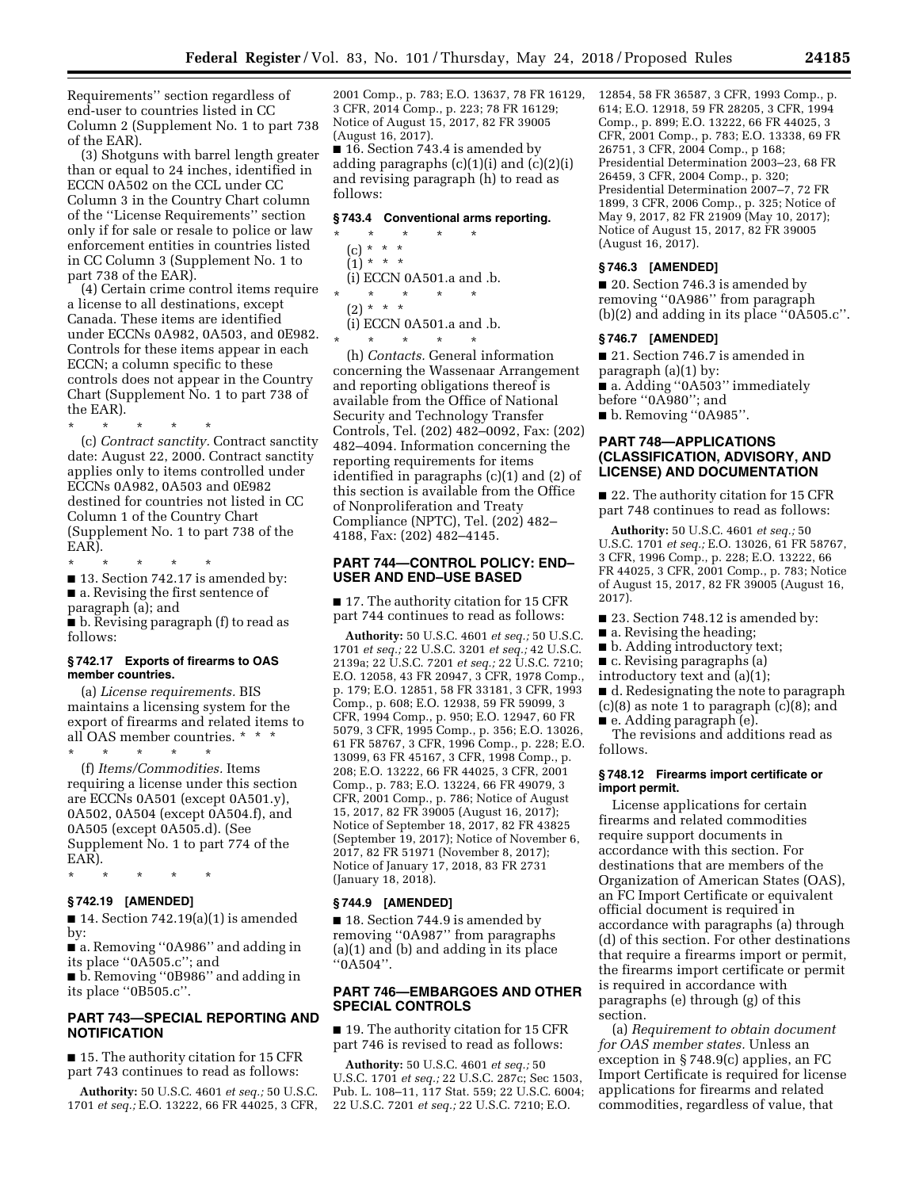Requirements'' section regardless of end-user to countries listed in CC Column 2 (Supplement No. 1 to part 738 of the EAR).

(3) Shotguns with barrel length greater than or equal to 24 inches, identified in ECCN 0A502 on the CCL under CC Column 3 in the Country Chart column of the ''License Requirements'' section only if for sale or resale to police or law enforcement entities in countries listed in CC Column 3 (Supplement No. 1 to part 738 of the EAR).

(4) Certain crime control items require a license to all destinations, except Canada. These items are identified under ECCNs 0A982, 0A503, and 0E982. Controls for these items appear in each ECCN; a column specific to these controls does not appear in the Country Chart (Supplement No. 1 to part 738 of the EAR).

\* \* \* \* \* (c) *Contract sanctity.* Contract sanctity date: August 22, 2000. Contract sanctity applies only to items controlled under ECCNs 0A982, 0A503 and 0E982 destined for countries not listed in CC Column 1 of the Country Chart (Supplement No. 1 to part 738 of the EAR).

\* \* \* \* \* ■ 13. Section 742.17 is amended by: ■ a. Revising the first sentence of paragraph (a); and ■ b. Revising paragraph (f) to read as follows:

### **§ 742.17 Exports of firearms to OAS member countries.**

(a) *License requirements.* BIS maintains a licensing system for the export of firearms and related items to all OAS member countries. \* \* \*

\* \* \* \* \* (f) *Items/Commodities.* Items requiring a license under this section are ECCNs 0A501 (except 0A501.y), 0A502, 0A504 (except 0A504.f), and 0A505 (except 0A505.d). (See Supplement No. 1 to part 774 of the EAR).

\* \* \* \* \*

# **§ 742.19 [AMENDED]**

 $\blacksquare$  14. Section 742.19(a)(1) is amended by:

■ a. Removing "0A986" and adding in its place ''0A505.c''; and

■ b. Removing "0B986" and adding in its place ''0B505.c''.

# **PART 743—SPECIAL REPORTING AND NOTIFICATION**

■ 15. The authority citation for 15 CFR part 743 continues to read as follows:

**Authority:** 50 U.S.C. 4601 *et seq.;* 50 U.S.C. 1701 *et seq.;* E.O. 13222, 66 FR 44025, 3 CFR, 2001 Comp., p. 783; E.O. 13637, 78 FR 16129, 3 CFR, 2014 Comp., p. 223; 78 FR 16129; Notice of August 15, 2017, 82 FR 39005 (August 16, 2017).

■ 16. Section 743.4 is amended by adding paragraphs (c)(1)(i) and (c)(2)(i) and revising paragraph (h) to read as follows:

# **§ 743.4 Conventional arms reporting.**

- \* \* \* \* \* (c) \* \* \*  $(1) * * * *$ (i) ECCN 0A501.a and .b. \* \* \* \* \*
- $(2) * * * *$
- (i) ECCN 0A501.a and .b.

\* \* \* \* \* (h) *Contacts.* General information concerning the Wassenaar Arrangement and reporting obligations thereof is available from the Office of National Security and Technology Transfer Controls, Tel. (202) 482–0092, Fax: (202) 482–4094. Information concerning the reporting requirements for items identified in paragraphs (c)(1) and (2) of this section is available from the Office of Nonproliferation and Treaty Compliance (NPTC), Tel. (202) 482– 4188, Fax: (202) 482–4145.

# **PART 744—CONTROL POLICY: END– USER AND END–USE BASED**

■ 17. The authority citation for 15 CFR part 744 continues to read as follows:

**Authority:** 50 U.S.C. 4601 *et seq.;* 50 U.S.C. 1701 *et seq.;* 22 U.S.C. 3201 *et seq.;* 42 U.S.C. 2139a; 22 U.S.C. 7201 *et seq.;* 22 U.S.C. 7210; E.O. 12058, 43 FR 20947, 3 CFR, 1978 Comp., p. 179; E.O. 12851, 58 FR 33181, 3 CFR, 1993 Comp., p. 608; E.O. 12938, 59 FR 59099, 3 CFR, 1994 Comp., p. 950; E.O. 12947, 60 FR 5079, 3 CFR, 1995 Comp., p. 356; E.O. 13026, 61 FR 58767, 3 CFR, 1996 Comp., p. 228; E.O. 13099, 63 FR 45167, 3 CFR, 1998 Comp., p. 208; E.O. 13222, 66 FR 44025, 3 CFR, 2001 Comp., p. 783; E.O. 13224, 66 FR 49079, 3 CFR, 2001 Comp., p. 786; Notice of August 15, 2017, 82 FR 39005 (August 16, 2017); Notice of September 18, 2017, 82 FR 43825 (September 19, 2017); Notice of November 6, 2017, 82 FR 51971 (November 8, 2017); Notice of January 17, 2018, 83 FR 2731 (January 18, 2018).

## **§ 744.9 [AMENDED]**

■ 18. Section 744.9 is amended by removing ''0A987'' from paragraphs (a)(1) and (b) and adding in its place ''0A504''.

# **PART 746—EMBARGOES AND OTHER SPECIAL CONTROLS**

■ 19. The authority citation for 15 CFR part 746 is revised to read as follows:

**Authority:** 50 U.S.C. 4601 *et seq.;* 50 U.S.C. 1701 *et seq.;* 22 U.S.C. 287c; Sec 1503, Pub. L. 108–11, 117 Stat. 559; 22 U.S.C. 6004; 22 U.S.C. 7201 *et seq.;* 22 U.S.C. 7210; E.O.

12854, 58 FR 36587, 3 CFR, 1993 Comp., p. 614; E.O. 12918, 59 FR 28205, 3 CFR, 1994 Comp., p. 899; E.O. 13222, 66 FR 44025, 3 CFR, 2001 Comp., p. 783; E.O. 13338, 69 FR 26751, 3 CFR, 2004 Comp., p 168; Presidential Determination 2003–23, 68 FR 26459, 3 CFR, 2004 Comp., p. 320; Presidential Determination 2007–7, 72 FR 1899, 3 CFR, 2006 Comp., p. 325; Notice of May 9, 2017, 82 FR 21909 (May 10, 2017); Notice of August 15, 2017, 82 FR 39005 (August 16, 2017).

### **§ 746.3 [AMENDED]**

■ 20. Section 746.3 is amended by removing ''0A986'' from paragraph (b)(2) and adding in its place ''0A505.c''.

### **§ 746.7 [AMENDED]**

■ 21. Section 746.7 is amended in

paragraph (a)(1) by:

■ a. Adding ''0A503'' immediately before ''0A980''; and

■ b. Removing "0A985".

# **PART 748—APPLICATIONS (CLASSIFICATION, ADVISORY, AND LICENSE) AND DOCUMENTATION**

■ 22. The authority citation for 15 CFR part 748 continues to read as follows:

**Authority:** 50 U.S.C. 4601 *et seq.;* 50 U.S.C. 1701 *et seq.;* E.O. 13026, 61 FR 58767, 3 CFR, 1996 Comp., p. 228; E.O. 13222, 66 FR 44025, 3 CFR, 2001 Comp., p. 783; Notice of August 15, 2017, 82 FR 39005 (August 16, 2017).

- 23. Section 748.12 is amended by:
- a. Revising the heading;
- b. Adding introductory text;
- c. Revising paragraphs (a)
- introductory text and (a)(1);

■ d. Redesignating the note to paragraph (c)(8) as note 1 to paragraph (c)(8); and

■ e. Adding paragraph (e).

The revisions and additions read as follows.

# **§ 748.12 Firearms import certificate or import permit.**

License applications for certain firearms and related commodities require support documents in accordance with this section. For destinations that are members of the Organization of American States (OAS), an FC Import Certificate or equivalent official document is required in accordance with paragraphs (a) through (d) of this section. For other destinations that require a firearms import or permit, the firearms import certificate or permit is required in accordance with paragraphs (e) through (g) of this section.

(a) *Requirement to obtain document for OAS member states.* Unless an exception in § 748.9(c) applies, an FC Import Certificate is required for license applications for firearms and related commodities, regardless of value, that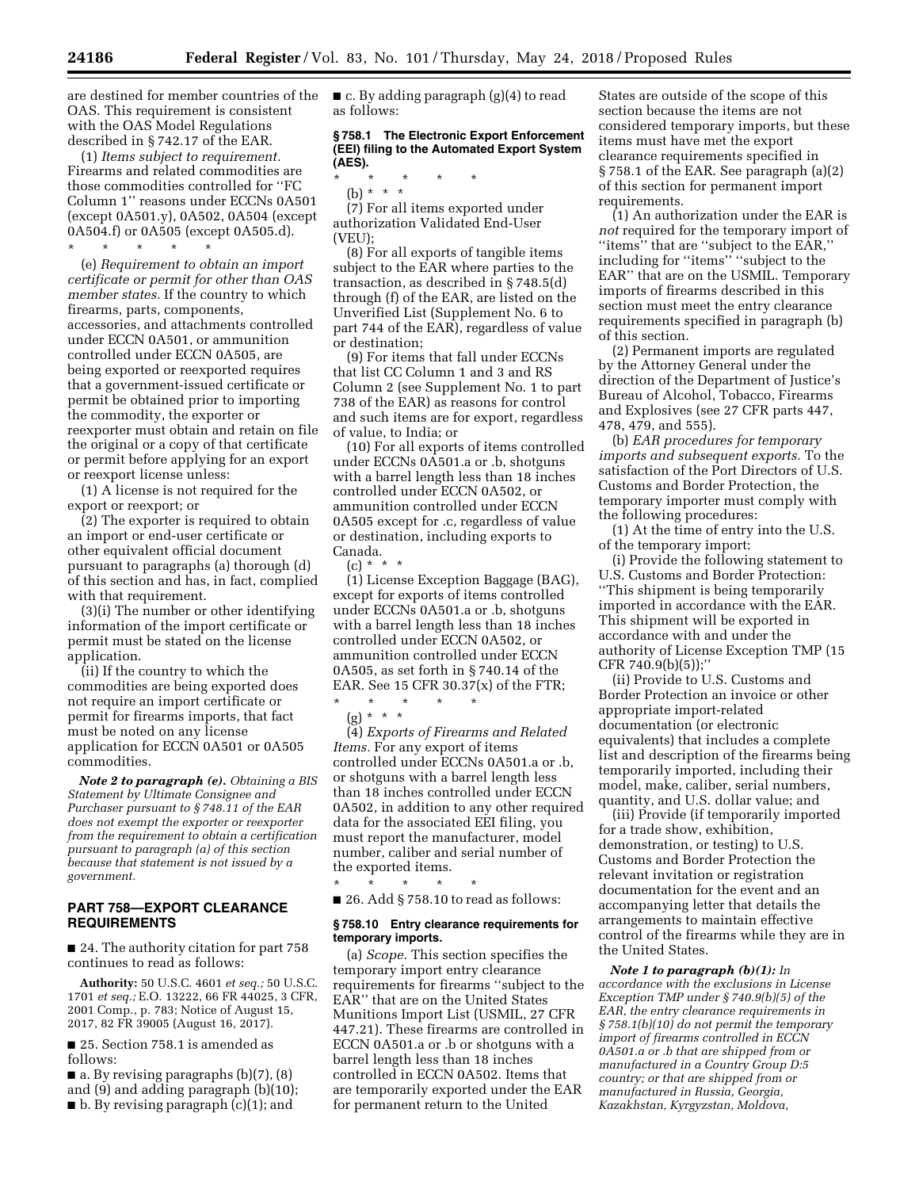are destined for member countries of the OAS. This requirement is consistent with the OAS Model Regulations described in § 742.17 of the EAR.

(1) *Items subject to requirement.*  Firearms and related commodities are those commodities controlled for ''FC Column 1'' reasons under ECCNs 0A501 (except 0A501.y), 0A502, 0A504 (except 0A504.f) or 0A505 (except 0A505.d). \* \* \* \* \*

(e) *Requirement to obtain an import certificate or permit for other than OAS member states.* If the country to which firearms, parts, components, accessories, and attachments controlled under ECCN 0A501, or ammunition controlled under ECCN 0A505, are being exported or reexported requires that a government-issued certificate or permit be obtained prior to importing the commodity, the exporter or reexporter must obtain and retain on file the original or a copy of that certificate or permit before applying for an export or reexport license unless:

(1) A license is not required for the export or reexport; or

(2) The exporter is required to obtain an import or end-user certificate or other equivalent official document pursuant to paragraphs (a) thorough (d) of this section and has, in fact, complied with that requirement.

(3)(i) The number or other identifying information of the import certificate or permit must be stated on the license application.

(ii) If the country to which the commodities are being exported does not require an import certificate or permit for firearms imports, that fact must be noted on any license application for ECCN 0A501 or 0A505 commodities.

*Note 2 to paragraph (e). Obtaining a BIS Statement by Ultimate Consignee and Purchaser pursuant to § 748.11 of the EAR does not exempt the exporter or reexporter from the requirement to obtain a certification pursuant to paragraph (a) of this section because that statement is not issued by a government.* 

# **PART 758—EXPORT CLEARANCE REQUIREMENTS**

■ 24. The authority citation for part 758 continues to read as follows:

**Authority:** 50 U.S.C. 4601 *et seq.;* 50 U.S.C. 1701 *et seq.;* E.O. 13222, 66 FR 44025, 3 CFR, 2001 Comp., p. 783; Notice of August 15, 2017, 82 FR 39005 (August 16, 2017).

■ 25. Section 758.1 is amended as follows:

 $\blacksquare$  a. By revising paragraphs (b)(7), (8) and (9) and adding paragraph (b)(10); ■ b. By revising paragraph (c)(1); and

 $\blacksquare$  c. By adding paragraph (g)(4) to read as follows:

# **§ 758.1 The Electronic Export Enforcement (EEI) filing to the Automated Export System (AES).**

\* \* \* \* \*

(b) \* \* \* (7) For all items exported under authorization Validated End-User (VEU);

(8) For all exports of tangible items subject to the EAR where parties to the transaction, as described in § 748.5(d) through (f) of the EAR, are listed on the Unverified List (Supplement No. 6 to part 744 of the EAR), regardless of value or destination;

(9) For items that fall under ECCNs that list CC Column 1 and 3 and RS Column 2 (see Supplement No. 1 to part 738 of the EAR) as reasons for control and such items are for export, regardless of value, to India; or

(10) For all exports of items controlled under ECCNs 0A501.a or .b, shotguns with a barrel length less than 18 inches controlled under ECCN 0A502, or ammunition controlled under ECCN 0A505 except for .c, regardless of value or destination, including exports to Canada.

(c) \* \* \*

(1) License Exception Baggage (BAG), except for exports of items controlled under ECCNs 0A501.a or .b, shotguns with a barrel length less than 18 inches controlled under ECCN 0A502, or ammunition controlled under ECCN 0A505, as set forth in § 740.14 of the EAR. See 15 CFR 30.37(x) of the FTR;

\* \* \* \* \*  $(g) * * * *$ 

(4) *Exports of Firearms and Related Items.* For any export of items controlled under ECCNs 0A501.a or .b, or shotguns with a barrel length less than 18 inches controlled under ECCN 0A502, in addition to any other required data for the associated EEI filing, you must report the manufacturer, model number, caliber and serial number of the exported items.

\* \* \* \* \*  $\blacksquare$  26. Add § 758.10 to read as follows:

# **§ 758.10 Entry clearance requirements for temporary imports.**

(a) *Scope.* This section specifies the temporary import entry clearance requirements for firearms ''subject to the EAR'' that are on the United States Munitions Import List (USMIL, 27 CFR 447.21). These firearms are controlled in ECCN 0A501.a or .b or shotguns with a barrel length less than 18 inches controlled in ECCN 0A502. Items that are temporarily exported under the EAR for permanent return to the United

States are outside of the scope of this section because the items are not considered temporary imports, but these items must have met the export clearance requirements specified in § 758.1 of the EAR. See paragraph (a)(2) of this section for permanent import requirements.

(1) An authorization under the EAR is *not* required for the temporary import of ''items'' that are ''subject to the EAR,'' including for ''items'' ''subject to the EAR'' that are on the USMIL. Temporary imports of firearms described in this section must meet the entry clearance requirements specified in paragraph (b) of this section.

(2) Permanent imports are regulated by the Attorney General under the direction of the Department of Justice's Bureau of Alcohol, Tobacco, Firearms and Explosives (see 27 CFR parts 447, 478, 479, and 555).

(b) *EAR procedures for temporary imports and subsequent exports.* To the satisfaction of the Port Directors of U.S. Customs and Border Protection, the temporary importer must comply with the following procedures:

(1) At the time of entry into the U.S. of the temporary import:

(i) Provide the following statement to U.S. Customs and Border Protection: ''This shipment is being temporarily imported in accordance with the EAR. This shipment will be exported in accordance with and under the authority of License Exception TMP (15 CFR 740.9(b)(5));''

(ii) Provide to U.S. Customs and Border Protection an invoice or other appropriate import-related documentation (or electronic equivalents) that includes a complete list and description of the firearms being temporarily imported, including their model, make, caliber, serial numbers, quantity, and U.S. dollar value; and

(iii) Provide (if temporarily imported for a trade show, exhibition, demonstration, or testing) to U.S. Customs and Border Protection the relevant invitation or registration documentation for the event and an accompanying letter that details the arrangements to maintain effective control of the firearms while they are in the United States.

*Note 1 to paragraph (b)(1): In accordance with the exclusions in License Exception TMP under § 740.9(b)(5) of the EAR, the entry clearance requirements in § 758.1(b)(10) do not permit the temporary import of firearms controlled in ECCN 0A501.a or .b that are shipped from or manufactured in a Country Group D:5 country; or that are shipped from or manufactured in Russia, Georgia, Kazakhstan, Kyrgyzstan, Moldova,*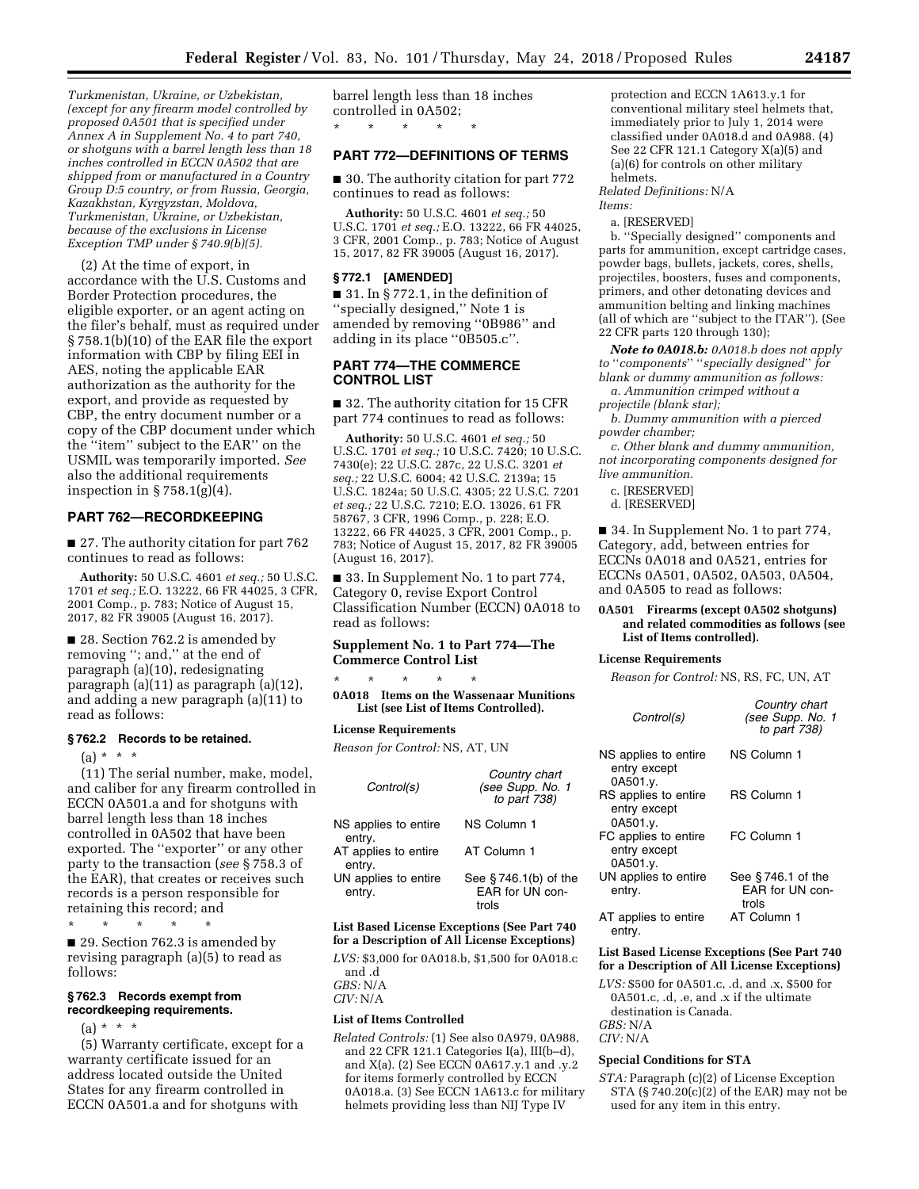*Turkmenistan, Ukraine, or Uzbekistan, (except for any firearm model controlled by proposed 0A501 that is specified under Annex A in Supplement No. 4 to part 740, or shotguns with a barrel length less than 18 inches controlled in ECCN 0A502 that are shipped from or manufactured in a Country Group D:5 country, or from Russia, Georgia, Kazakhstan, Kyrgyzstan, Moldova, Turkmenistan, Ukraine, or Uzbekistan, because of the exclusions in License Exception TMP under § 740.9(b)(5).* 

(2) At the time of export, in accordance with the U.S. Customs and Border Protection procedures, the eligible exporter, or an agent acting on the filer's behalf, must as required under § 758.1(b)(10) of the EAR file the export information with CBP by filing EEI in AES, noting the applicable EAR authorization as the authority for the export, and provide as requested by CBP, the entry document number or a copy of the CBP document under which the ''item'' subject to the EAR'' on the USMIL was temporarily imported. *See*  also the additional requirements inspection in § 758.1(g)(4).

#### **PART 762—RECORDKEEPING**

■ 27. The authority citation for part 762 continues to read as follows:

**Authority:** 50 U.S.C. 4601 *et seq.;* 50 U.S.C. 1701 *et seq.;* E.O. 13222, 66 FR 44025, 3 CFR, 2001 Comp., p. 783; Notice of August 15, 2017, 82 FR 39005 (August 16, 2017).

■ 28. Section 762.2 is amended by removing ''; and,'' at the end of paragraph (a)(10), redesignating paragraph (a)(11) as paragraph (a)(12), and adding a new paragraph (a)(11) to read as follows:

#### **§ 762.2 Records to be retained.**

 $(a) * * * *$ 

(11) The serial number, make, model, and caliber for any firearm controlled in ECCN 0A501.a and for shotguns with barrel length less than 18 inches controlled in 0A502 that have been exported. The ''exporter'' or any other party to the transaction (*see* § 758.3 of the EAR), that creates or receives such records is a person responsible for retaining this record; and

\* \* \* \* \*

■ 29. Section 762.3 is amended by revising paragraph (a)(5) to read as follows:

#### **§ 762.3 Records exempt from recordkeeping requirements.**

 $(a) * * * *$ 

(5) Warranty certificate, except for a warranty certificate issued for an address located outside the United States for any firearm controlled in ECCN 0A501.a and for shotguns with

barrel length less than 18 inches controlled in 0A502; \* \* \* \* \*

# **PART 772—DEFINITIONS OF TERMS**

■ 30. The authority citation for part 772 continues to read as follows:

**Authority:** 50 U.S.C. 4601 *et seq.;* 50 U.S.C. 1701 *et seq.;* E.O. 13222, 66 FR 44025, 3 CFR, 2001 Comp., p. 783; Notice of August 15, 2017, 82 FR 39005 (August 16, 2017).

#### **§ 772.1 [AMENDED]**

 $\blacksquare$  31. In § 772.1, in the definition of ''specially designed,'' Note 1 is amended by removing ''0B986'' and adding in its place ''0B505.c''.

## **PART 774—THE COMMERCE CONTROL LIST**

■ 32. The authority citation for 15 CFR part 774 continues to read as follows:

**Authority:** 50 U.S.C. 4601 *et seq.;* 50 U.S.C. 1701 *et seq.;* 10 U.S.C. 7420; 10 U.S.C. 7430(e); 22 U.S.C. 287c, 22 U.S.C. 3201 *et seq.;* 22 U.S.C. 6004; 42 U.S.C. 2139a; 15 U.S.C. 1824a; 50 U.S.C. 4305; 22 U.S.C. 7201 *et seq.;* 22 U.S.C. 7210; E.O. 13026, 61 FR 58767, 3 CFR, 1996 Comp., p. 228; E.O. 13222, 66 FR 44025, 3 CFR, 2001 Comp., p. 783; Notice of August 15, 2017, 82 FR 39005 (August 16, 2017).

■ 33. In Supplement No. 1 to part 774, Category 0, revise Export Control Classification Number (ECCN) 0A018 to read as follows:

# **Supplement No. 1 to Part 774—The Commerce Control List**

\* \* \* \* \* **0A018 Items on the Wassenaar Munitions List (see List of Items Controlled).** 

#### **License Requirements**

*Reason for Control:* NS, AT, UN

| Control(s)                     | Country chart<br>(see Supp. No. 1)<br>to part $738$ ) |
|--------------------------------|-------------------------------------------------------|
| NS applies to entire<br>entry. | NS Column 1                                           |
| AT applies to entire<br>entry. | AT Column 1                                           |
| UN applies to entire<br>entry. | See §746.1(b) of the<br>EAR for UN con-<br>trols      |

# **List Based License Exceptions (See Part 740 for a Description of All License Exceptions)**

*LVS:* \$3,000 for 0A018.b, \$1,500 for 0A018.c and .d

*GBS:* N/A *CIV:* N/A

#### **List of Items Controlled**

*Related Controls:* (1) See also 0A979, 0A988, and 22 CFR 121.1 Categories I(a), III(b–d), and X(a). (2) See ECCN 0A617.y.1 and .y.2 for items formerly controlled by ECCN 0A018.a. (3) See ECCN 1A613.c for military helmets providing less than NIJ Type IV

protection and ECCN 1A613.y.1 for conventional military steel helmets that, immediately prior to July 1, 2014 were classified under 0A018.d and 0A988. (4) See 22 CFR 121.1 Category X(a)(5) and (a)(6) for controls on other military helmets.

*Related Definitions:* N/A *Items:* 

a. [RESERVED]

b. ''Specially designed'' components and parts for ammunition, except cartridge cases, powder bags, bullets, jackets, cores, shells, projectiles, boosters, fuses and components, primers, and other detonating devices and ammunition belting and linking machines (all of which are ''subject to the ITAR''). (See 22 CFR parts 120 through 130);

*Note to 0A018.b: 0A018.b does not apply to* ''*components*'' ''*specially designed*'' *for blank or dummy ammunition as follows:* 

*a. Ammunition crimped without a projectile (blank star);* 

*b. Dummy ammunition with a pierced powder chamber;* 

*c. Other blank and dummy ammunition, not incorporating components designed for live ammunition.* 

c. [RESERVED]

d. [RESERVED]

■ 34. In Supplement No. 1 to part 774, Category, add, between entries for ECCNs 0A018 and 0A521, entries for ECCNs 0A501, 0A502, 0A503, 0A504, and 0A505 to read as follows:

## **0A501 Firearms (except 0A502 shotguns) and related commodities as follows (see List of Items controlled).**

#### **License Requirements**

*Reason for Control:* NS, RS, FC, UN, AT

| Control(s)                                       | Country chart<br>(see Supp. No. 1<br>to part 738) |
|--------------------------------------------------|---------------------------------------------------|
| NS applies to entire<br>entry except<br>0A501.y. | NS Column 1                                       |
| RS applies to entire<br>entry except<br>0A501.y. | RS Column 1                                       |
| FC applies to entire<br>entry except<br>0A501.y. | FC Column 1                                       |
| UN applies to entire<br>entry.                   | See $§746.1$ of the<br>FAR for UN con-<br>trols   |
| AT applies to entire<br>entry.                   | AT Column 1                                       |

### **List Based License Exceptions (See Part 740 for a Description of All License Exceptions)**

*LVS:* \$500 for 0A501.c, .d, and .x, \$500 for 0A501.c, .d, .e, and .x if the ultimate destination is Canada.

*GBS:* N/A *CIV:* N/A

# **Special Conditions for STA**

*STA:* Paragraph (c)(2) of License Exception STA  $(S 740.20(c)(2)$  of the EAR) may not be used for any item in this entry.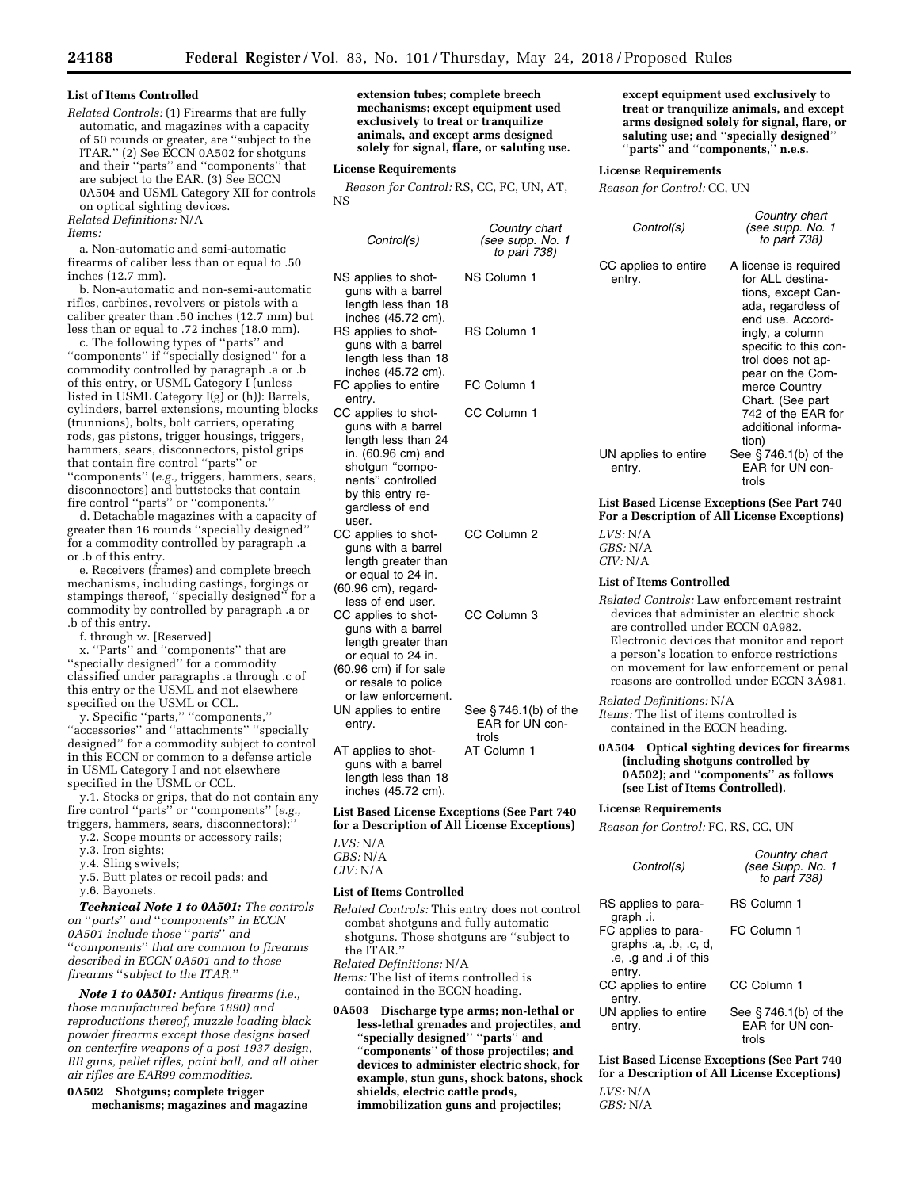### **List of Items Controlled**

*Related Controls:* (1) Firearms that are fully automatic, and magazines with a capacity of 50 rounds or greater, are ''subject to the ITAR.'' (2) See ECCN 0A502 for shotguns and their ''parts'' and ''components'' that are subject to the EAR. (3) See ECCN 0A504 and USML Category XII for controls on optical sighting devices.

*Related Definitions:* N/A

#### *Items:*

a. Non-automatic and semi-automatic firearms of caliber less than or equal to .50 inches (12.7 mm).

b. Non-automatic and non-semi-automatic rifles, carbines, revolvers or pistols with a caliber greater than .50 inches (12.7 mm) but less than or equal to .72 inches (18.0 mm).

c. The following types of ''parts'' and ''components'' if ''specially designed'' for a commodity controlled by paragraph .a or .b of this entry, or USML Category I (unless listed in USML Category I(g) or (h)): Barrels, cylinders, barrel extensions, mounting blocks (trunnions), bolts, bolt carriers, operating rods, gas pistons, trigger housings, triggers, hammers, sears, disconnectors, pistol grips that contain fire control ''parts'' or ''components'' (*e.g.,* triggers, hammers, sears, disconnectors) and buttstocks that contain fire control ''parts'' or ''components.''

d. Detachable magazines with a capacity of greater than 16 rounds ''specially designed'' for a commodity controlled by paragraph .a or .b of this entry.

e. Receivers (frames) and complete breech mechanisms, including castings, forgings or stampings thereof, ''specially designed'' for a commodity by controlled by paragraph .a or .b of this entry.

f. through w. [Reserved]

x. ''Parts'' and ''components'' that are ''specially designed'' for a commodity classified under paragraphs .a through .c of this entry or the USML and not elsewhere specified on the USML or CCL.

y. Specific ''parts,'' ''components,'' ''accessories'' and ''attachments'' ''specially designed'' for a commodity subject to control in this ECCN or common to a defense article in USML Category I and not elsewhere specified in the USML or CCL.

y.1. Stocks or grips, that do not contain any fire control ''parts'' or ''components'' (*e.g.,*  triggers, hammers, sears, disconnectors);''

y.2. Scope mounts or accessory rails;

- y.3. Iron sights;
- y.4. Sling swivels;

y.5. Butt plates or recoil pads; and y.6. Bayonets.

*Technical Note 1 to 0A501: The controls on* ''*parts*'' *and* ''*components*'' *in ECCN 0A501 include those* ''*parts*'' *and*  ''*components*'' *that are common to firearms described in ECCN 0A501 and to those firearms* ''*subject to the ITAR.*''

*Note 1 to 0A501: Antique firearms (i.e., those manufactured before 1890) and reproductions thereof, muzzle loading black powder firearms except those designs based on centerfire weapons of a post 1937 design, BB guns, pellet rifles, paint ball, and all other air rifles are EAR99 commodities.* 

**0A502 Shotguns; complete trigger mechanisms; magazines and magazine**  **extension tubes; complete breech mechanisms; except equipment used exclusively to treat or tranquilize animals, and except arms designed solely for signal, flare, or saluting use.** 

#### **License Requirements**

*Reason for Control:* RS, CC, FC, UN, AT, NS

*Control(s) Country chart (see supp.* to part 7 NS applies to shotguns with a barrel length less than 18 inches (45.72 cm). NS Column 1 RS applies to shotguns with a barrel length less than 18 inches (45.72 cm). RS Column 1 FC applies to entire entry. FC Column 1 CC applies to shotguns with a barrel length less than 24 in. (60.96 cm) and shotgun "components'' controlled by this entry regardless of end user. CC Column 1 CC applies to shotguns with a barrel length greater than or equal to 24 in. (60.96 cm), regardless of end user. CC Column 2 CC applies to shotguns with a barrel length greater than or equal to 24 in. (60.96 cm) if for sale or resale to police or law enforcement. CC Column 3 UN applies to entire entry. See § 746.1(b) of the EAR for UN controls AT applies to shotguns with a barrel length less than 18 inches (45.72 cm). AT Column 1

**List Based License Exceptions (See Part 740 for a Description of All License Exceptions) LIVE NI** 

| LV S: N/A |  |
|-----------|--|
| GBS: N/A  |  |
| CIV: N/A  |  |

#### **List of Items Controlled**

*Related Controls:* This entry does not control combat shotguns and fully automatic shotguns. Those shotguns are ''subject to the ITAR.'' *Related Definitions:* N/A *Items:* The list of items controlled is

contained in the ECCN heading.

**0A503 Discharge type arms; non-lethal or less-lethal grenades and projectiles, and**  ''**specially designed**'' ''**parts**'' **and**  ''**components**'' **of those projectiles; and devices to administer electric shock, for example, stun guns, shock batons, shock shields, electric cattle prods, immobilization guns and projectiles;** 

**except equipment used exclusively to treat or tranquilize animals, and except arms designed solely for signal, flare, or saluting use; and** ''**specially designed**'' ''**parts**'' **and** ''**components,**'' **n.e.s.** 

#### **License Requirements**

*Reason for Control:* CC, UN

| chart<br>No. 1<br>'38) | Control(s)                     | Country chart<br>(see supp. No. 1<br>to part 738)                                                                                                                                                                                                                                         |
|------------------------|--------------------------------|-------------------------------------------------------------------------------------------------------------------------------------------------------------------------------------------------------------------------------------------------------------------------------------------|
|                        | CC applies to entire<br>entry. | A license is required<br>for ALL destina-<br>tions, except Can-<br>ada, regardless of<br>end use. Accord-<br>ingly, a column<br>specific to this con-<br>trol does not ap-<br>pear on the Com-<br>merce Country<br>Chart. (See part<br>742 of the EAR for<br>additional informa-<br>tion) |
|                        | UN applies to entire<br>entry. | See $\S$ 746.1(b) of the<br>EAR for UN con-<br>trols                                                                                                                                                                                                                                      |

# **List Based License Exceptions (See Part 740 For a Description of All License Exceptions)**

*LVS:* N/A *GBS:* N/A *CIV:* N/A

### **List of Items Controlled**

*Related Controls:* Law enforcement restraint devices that administer an electric shock are controlled under ECCN 0A982. Electronic devices that monitor and report a person's location to enforce restrictions on movement for law enforcement or penal reasons are controlled under ECCN 3A981.

#### *Related Definitions:* N/A

*Items:* The list of items controlled is contained in the ECCN heading.

**0A504 Optical sighting devices for firearms (including shotguns controlled by 0A502); and** ''**components**'' **as follows (see List of Items Controlled).** 

# **License Requirements**

*Reason for Control:* FC, RS, CC, UN

| Control(s)                                                                   | Country chart<br>(see Supp. No. 1<br>to part 738)   |
|------------------------------------------------------------------------------|-----------------------------------------------------|
| RS applies to para-<br>graph .i.                                             | RS Column 1                                         |
| FC applies to para-<br>graphs .a, .b, .c, d,<br>e, g and i of this<br>entry. | FC Column 1                                         |
| CC applies to entire<br>entry.                                               | CC Column 1                                         |
| UN applies to entire<br>entry.                                               | See $§$ 746.1(b) of the<br>EAR for UN con-<br>trols |

**List Based License Exceptions (See Part 740 for a Description of All License Exceptions)** 

 $LVS \cdot N/A$ *GBS:* N/A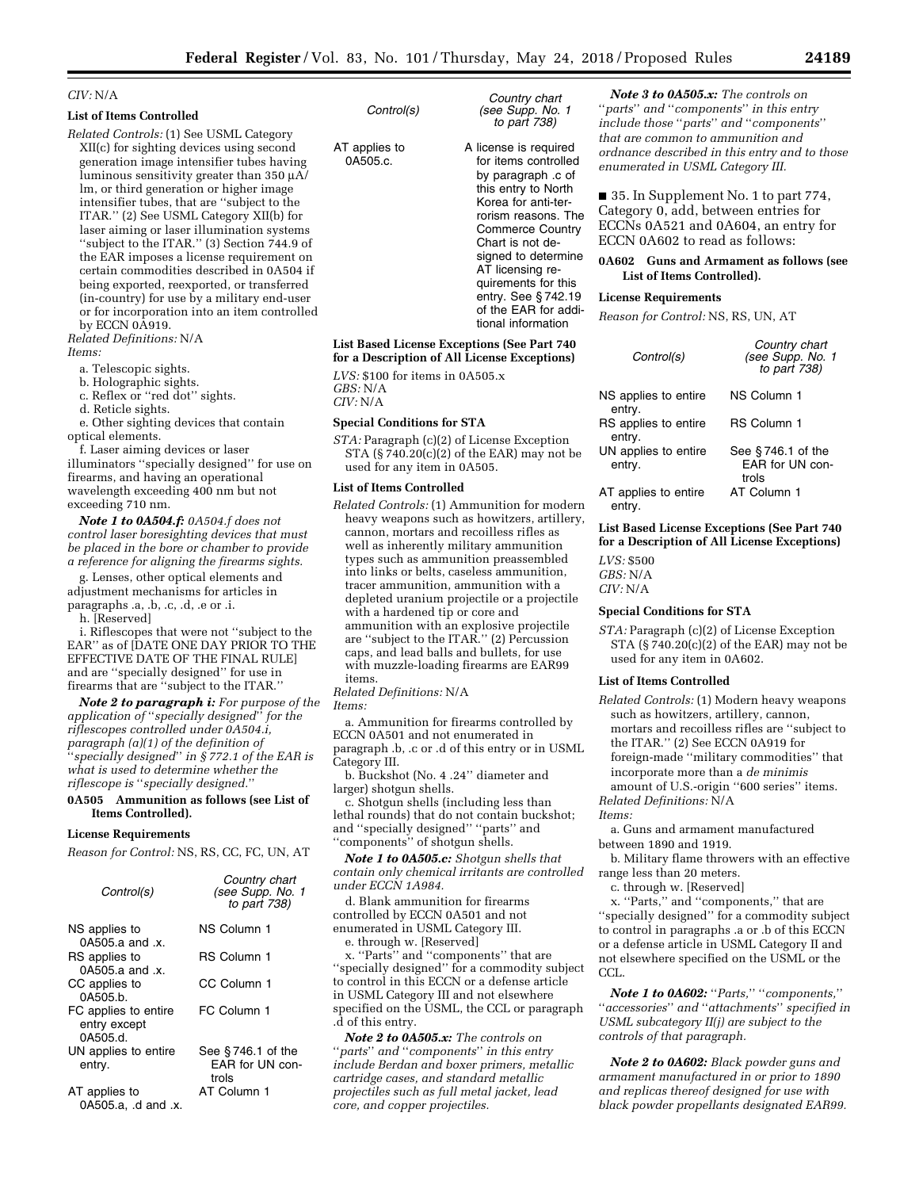# *CIV:* N/A

# **List of Items Controlled**

*Related Controls:* (1) See USML Category XII(c) for sighting devices using second generation image intensifier tubes having luminous sensitivity greater than 350  $\mu$ A/ lm, or third generation or higher image intensifier tubes, that are ''subject to the ITAR.'' (2) See USML Category XII(b) for laser aiming or laser illumination systems ''subject to the ITAR.'' (3) Section 744.9 of the EAR imposes a license requirement on certain commodities described in 0A504 if being exported, reexported, or transferred (in-country) for use by a military end-user or for incorporation into an item controlled by ECCN 0A919.

*Related Definitions:* N/A *Items:* 

a. Telescopic sights.

b. Holographic sights.

c. Reflex or ''red dot'' sights.

d. Reticle sights.

e. Other sighting devices that contain optical elements.

f. Laser aiming devices or laser illuminators ''specially designed'' for use on firearms, and having an operational wavelength exceeding 400 nm but not exceeding 710 nm.

*Note 1 to 0A504.f: 0A504.f does not control laser boresighting devices that must be placed in the bore or chamber to provide a reference for aligning the firearms sights.* 

g. Lenses, other optical elements and adjustment mechanisms for articles in paragraphs .a, .b, .c, .d, .e or .i.

h. [Reserved]

i. Riflescopes that were not ''subject to the EAR'' as of [DATE ONE DAY PRIOR TO THE EFFECTIVE DATE OF THE FINAL RULE] and are ''specially designed'' for use in firearms that are ''subject to the ITAR.''

*Note 2 to paragraph i: For purpose of the application of* ''*specially designed*'' *for the riflescopes controlled under 0A504.i, paragraph (a)(1) of the definition of*  ''*specially designed*'' *in § 772.1 of the EAR is what is used to determine whether the riflescope is* ''*specially designed.*''

### **0A505 Ammunition as follows (see List of Items Controlled).**

#### **License Requirements**

*Reason for Control:* NS, RS, CC, FC, UN, AT

| Control(s)                                       | Country chart<br>(see Supp. No. 1<br>to part 738) |
|--------------------------------------------------|---------------------------------------------------|
| NS applies to<br>$0A505.a$ and $x$ .             | NS Column 1                                       |
| RS applies to<br>0A505.a and .x.                 | RS Column 1                                       |
| CC applies to<br>0A505.b.                        | CC Column 1                                       |
| FC applies to entire<br>entry except<br>0A505.d. | FC Column 1                                       |
| UN applies to entire<br>entry.                   | See $§746.1$ of the<br>FAR for UN con-<br>trols   |
| AT applies to<br>0A505.a, .d and .x.             | AT Column 1                                       |

*Control(s)* 

AT applies to 0A505.c.

A license is required for items controlled by paragraph .c of this entry to North Korea for anti-terrorism reasons. The Commerce Country Chart is not designed to determine AT licensing requirements for this entry. See § 742.19 of the EAR for additional information

*Country chart (see Supp. No. 1 to part 738)* 

**List Based License Exceptions (See Part 740 for a Description of All License Exceptions)**  *LVS:* \$100 for items in 0A505.x

*GBS:* N/A *CIV:* N/A

#### **Special Conditions for STA**

*STA:* Paragraph (c)(2) of License Exception STA (§ 740.20(c)(2) of the EAR) may not be used for any item in 0A505.

# **List of Items Controlled**

*Related Controls:* (1) Ammunition for modern heavy weapons such as howitzers, artillery, cannon, mortars and recoilless rifles as well as inherently military ammunition types such as ammunition preassembled into links or belts, caseless ammunition, tracer ammunition, ammunition with a depleted uranium projectile or a projectile with a hardened tip or core and ammunition with an explosive projectile are ''subject to the ITAR.'' (2) Percussion caps, and lead balls and bullets, for use with muzzle-loading firearms are EAR99 items.

*Related Definitions:* N/A

*Items:* 

a. Ammunition for firearms controlled by ECCN 0A501 and not enumerated in paragraph .b, .c or .d of this entry or in USML Category III.

b. Buckshot (No. 4 .24'' diameter and larger) shotgun shells.

c. Shotgun shells (including less than lethal rounds) that do not contain buckshot; and ''specially designed'' ''parts'' and ''components'' of shotgun shells.

*Note 1 to 0A505.c: Shotgun shells that contain only chemical irritants are controlled under ECCN 1A984.* 

d. Blank ammunition for firearms controlled by ECCN 0A501 and not enumerated in USML Category III.

e. through w. [Reserved]

x. ''Parts'' and ''components'' that are ''specially designed'' for a commodity subject to control in this ECCN or a defense article in USML Category III and not elsewhere specified on the USML, the CCL or paragraph .d of this entry.

*Note 2 to 0A505.x: The controls on*  ''*parts*'' *and* ''*components*'' *in this entry include Berdan and boxer primers, metallic cartridge cases, and standard metallic projectiles such as full metal jacket, lead core, and copper projectiles.* 

*Note 3 to 0A505.x: The controls on*  ''*parts*'' *and* ''*components*'' *in this entry include those* ''*parts*'' *and* ''*components*'' *that are common to ammunition and ordnance described in this entry and to those enumerated in USML Category III.* 

■ 35. In Supplement No. 1 to part 774, Category 0, add, between entries for ECCNs 0A521 and 0A604, an entry for ECCN 0A602 to read as follows:

### **0A602 Guns and Armament as follows (see List of Items Controlled).**

### **License Requirements**

*Reason for Control:* NS, RS, UN, AT

| Control(s)                     | Country chart<br>(see Supp. No. 1<br>to part 738) |
|--------------------------------|---------------------------------------------------|
| NS applies to entire<br>entry. | NS Column 1                                       |
| RS applies to entire<br>entry. | RS Column 1                                       |
| UN applies to entire<br>entry. | See $§746.1$ of the<br>EAR for UN con-<br>trols   |
| AT applies to entire<br>entrv. | AT Column 1                                       |

**List Based License Exceptions (See Part 740 for a Description of All License Exceptions)** 

*LVS:* \$500 *GBS:* N/A *CIV:* N/A

# **Special Conditions for STA**

*STA:* Paragraph (c)(2) of License Exception STA  $(S740.20(c)(2)$  of the EAR) may not be used for any item in 0A602.

### **List of Items Controlled**

*Related Controls:* (1) Modern heavy weapons such as howitzers, artillery, cannon, mortars and recoilless rifles are ''subject to the ITAR.'' (2) See ECCN 0A919 for foreign-made ''military commodities'' that incorporate more than a *de minimis*  amount of U.S.-origin ''600 series'' items. *Related Definitions:* N/A

*Items:* 

a. Guns and armament manufactured between 1890 and 1919.

b. Military flame throwers with an effective range less than 20 meters.

c. through w. [Reserved]

x. ''Parts,'' and ''components,'' that are ''specially designed'' for a commodity subject to control in paragraphs .a or .b of this ECCN or a defense article in USML Category II and not elsewhere specified on the USML or the CCL.

*Note 1 to 0A602:* ''*Parts,*'' ''*components,*'' ''*accessories*'' *and* ''*attachments*'' *specified in USML subcategory II(j) are subject to the controls of that paragraph.* 

*Note 2 to 0A602: Black powder guns and armament manufactured in or prior to 1890 and replicas thereof designed for use with black powder propellants designated EAR99.*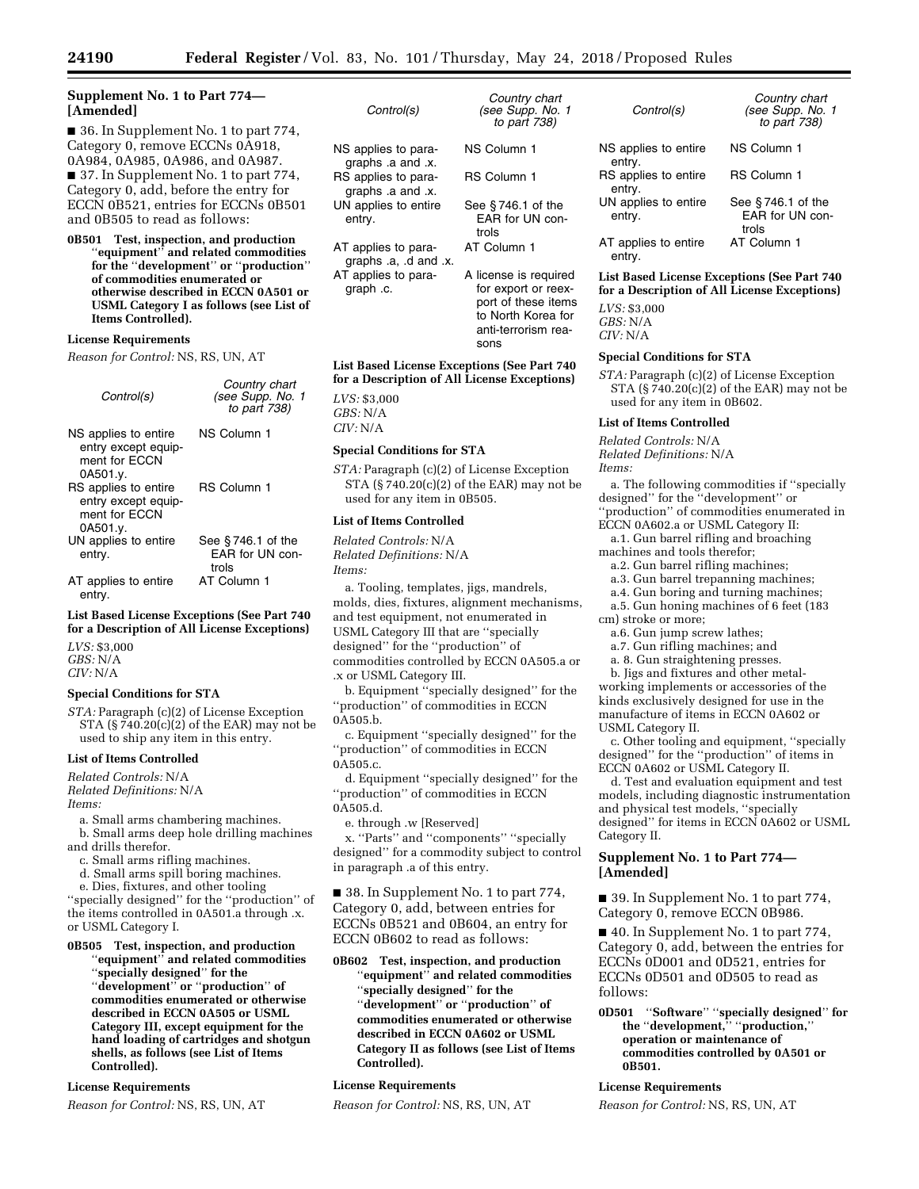*Country chart (see Supp. No. 1 to part 738)* 

license is required for export or reexport of these items to North Korea for anti-terrorism rea-

sons

# **Supplement No. 1 to Part 774— [Amended]**

■ 36. In Supplement No. 1 to part 774, Category 0, remove ECCNs 0A918, 0A984, 0A985, 0A986, and 0A987. ■ 37. In Supplement No. 1 to part 774, Category 0, add, before the entry for ECCN 0B521, entries for ECCNs 0B501 and 0B505 to read as follows:

**0B501 Test, inspection, and production**  ''**equipment**'' **and related commodities for the** ''**development**'' **or** ''**production**'' **of commodities enumerated or otherwise described in ECCN 0A501 or USML Category I as follows (see List of Items Controlled).** 

#### **License Requirements**

*Reason for Control:* NS, RS, UN, AT

| Control(s)                                                               | Country chart<br>(see Supp. No. 1<br>to part 738) |
|--------------------------------------------------------------------------|---------------------------------------------------|
| NS applies to entire<br>entry except equip-<br>ment for FCCN<br>0A501.y. | NS Column 1                                       |
| RS applies to entire<br>entry except equip-<br>ment for ECCN<br>0A501.y. | <b>RS Column 1</b>                                |
| UN applies to entire<br>entry.                                           | See $§746.1$ of the<br>EAR for UN con-<br>trols   |
| AT applies to entire<br>entry.                                           | AT Column 1                                       |

**List Based License Exceptions (See Part 740 for a Description of All License Exceptions)**  *LVS:* \$3,000 *GBS:* N/A *CIV:* N/A

## **Special Conditions for STA**

*STA:* Paragraph (c)(2) of License Exception STA  $(\frac{5}{7}40.20(c)(2)$  of the EAR) may not be used to ship any item in this entry.

#### **List of Items Controlled**

*Related Controls:* N/A *Related Definitions:* N/A *Items:* 

a. Small arms chambering machines.

b. Small arms deep hole drilling machines and drills therefor.

c. Small arms rifling machines.

d. Small arms spill boring machines.

e. Dies, fixtures, and other tooling ''specially designed'' for the ''production'' of the items controlled in 0A501.a through .x. or USML Category I.

# **0B505 Test, inspection, and production**

''**equipment**'' **and related commodities**  ''**specially designed**'' **for the**  ''**development**'' **or** ''**production**'' **of commodities enumerated or otherwise described in ECCN 0A505 or USML Category III, except equipment for the hand loading of cartridges and shotgun shells, as follows (see List of Items Controlled).** 

# **License Requirements**

*Reason for Control:* NS, RS, UN, AT

| <b>UUITUUR</b> 31                            | $1500$ Jupp. $180$ .<br>to part 738)                                                                              |
|----------------------------------------------|-------------------------------------------------------------------------------------------------------------------|
| NS applies to para-<br>araphs .a and .x.     | NS Column 1                                                                                                       |
| RS applies to para-<br>qraphs .a and .x.     | RS Column 1                                                                                                       |
| UN applies to entire<br>entry.               | See $§$ 746.1 of the<br>EAR for UN con<br>trols                                                                   |
| AT applies to para-<br>graphs .a, .d and .x. | AT Column 1                                                                                                       |
| AT applies to para-<br>graph .c.             | A license is require<br>for export or ree<br>port of these iter<br>to North Korea f<br>anti-terrorism rea<br>conc |

*Control(s)* 

# **List Based License Exceptions (See Part 740 for a Description of All License Exceptions)**

*LVS:* \$3,000 *GBS:* N/A *CIV:* N/A

#### **Special Conditions for STA**

*STA:* Paragraph (c)(2) of License Exception STA (§ 740.20(c)(2) of the EAR) may not be used for any item in 0B505.

#### **List of Items Controlled**

*Related Controls:* N/A *Related Definitions:* N/A *Items:* 

a. Tooling, templates, jigs, mandrels, molds, dies, fixtures, alignment mechanisms, and test equipment, not enumerated in USML Category III that are ''specially designed'' for the ''production'' of commodities controlled by ECCN 0A505.a or .x or USML Category III.

b. Equipment ''specially designed'' for the ''production'' of commodities in ECCN 0A505.b.

c. Equipment ''specially designed'' for the ''production'' of commodities in ECCN 0A505.c.

d. Equipment ''specially designed'' for the ''production'' of commodities in ECCN 0A505.d.

e. through .w [Reserved]

x. ''Parts'' and ''components'' ''specially designed'' for a commodity subject to control in paragraph .a of this entry.

■ 38. In Supplement No. 1 to part 774, Category 0, add, between entries for ECCNs 0B521 and 0B604, an entry for ECCN 0B602 to read as follows:

**0B602 Test, inspection, and production**  ''**equipment**'' **and related commodities**  ''**specially designed**'' **for the**  ''**development**'' **or** ''**production**'' **of commodities enumerated or otherwise described in ECCN 0A602 or USML Category II as follows (see List of Items Controlled).** 

# **License Requirements**

*Reason for Control:* NS, RS, UN, AT

| Control(s)                     | Country chart<br>(see Supp. No.<br>to part 738) |
|--------------------------------|-------------------------------------------------|
| NS applies to entire<br>entry. | NS Column 1                                     |
| RS applies to entire<br>entry. | <b>RS Column 1</b>                              |
| UN applies to entire<br>entry. | See $§746.1$ of the<br>EAR for UN con-<br>trols |
| AT applies to entire<br>entrv. | AT Column 1                                     |

**List Based License Exceptions (See Part 740 for a Description of All License Exceptions)** 

*(see Supp. No. 1* 

*LVS:* \$3,000 *GBS:* N/A *CIV:* N/A

# **Special Conditions for STA**

*STA:* Paragraph (c)(2) of License Exception STA (§ 740.20(c)(2) of the EAR) may not be used for any item in 0B602.

#### **List of Items Controlled**

*Related Controls:* N/A *Related Definitions:* N/A *Items:* 

a. The following commodities if ''specially designed'' for the ''development'' or ''production'' of commodities enumerated in ECCN 0A602.a or USML Category II:

a.1. Gun barrel rifling and broaching machines and tools therefor;

- a.2. Gun barrel rifling machines;
- a.3. Gun barrel trepanning machines;
- a.4. Gun boring and turning machines;

a.5. Gun honing machines of 6 feet (183 cm) stroke or more;

- a.6. Gun jump screw lathes;
- a.7. Gun rifling machines; and
- a. 8. Gun straightening presses.

b. Jigs and fixtures and other metalworking implements or accessories of the kinds exclusively designed for use in the manufacture of items in ECCN 0A602 or USML Category II.

c. Other tooling and equipment, ''specially designed'' for the ''production'' of items in ECCN 0A602 or USML Category II.

d. Test and evaluation equipment and test models, including diagnostic instrumentation and physical test models, ''specially designed'' for items in ECCN 0A602 or USML Category II.

# **Supplement No. 1 to Part 774— [Amended]**

■ 39. In Supplement No. 1 to part 774, Category 0, remove ECCN 0B986.

■ 40. In Supplement No. 1 to part 774, Category 0, add, between the entries for ECCNs 0D001 and 0D521, entries for ECCNs 0D501 and 0D505 to read as follows:

**0D501** ''**Software**'' ''**specially designed**'' **for the** ''**development,**'' ''**production,**'' **operation or maintenance of commodities controlled by 0A501 or 0B501.** 

#### **License Requirements**

*Reason for Control:* NS, RS, UN, AT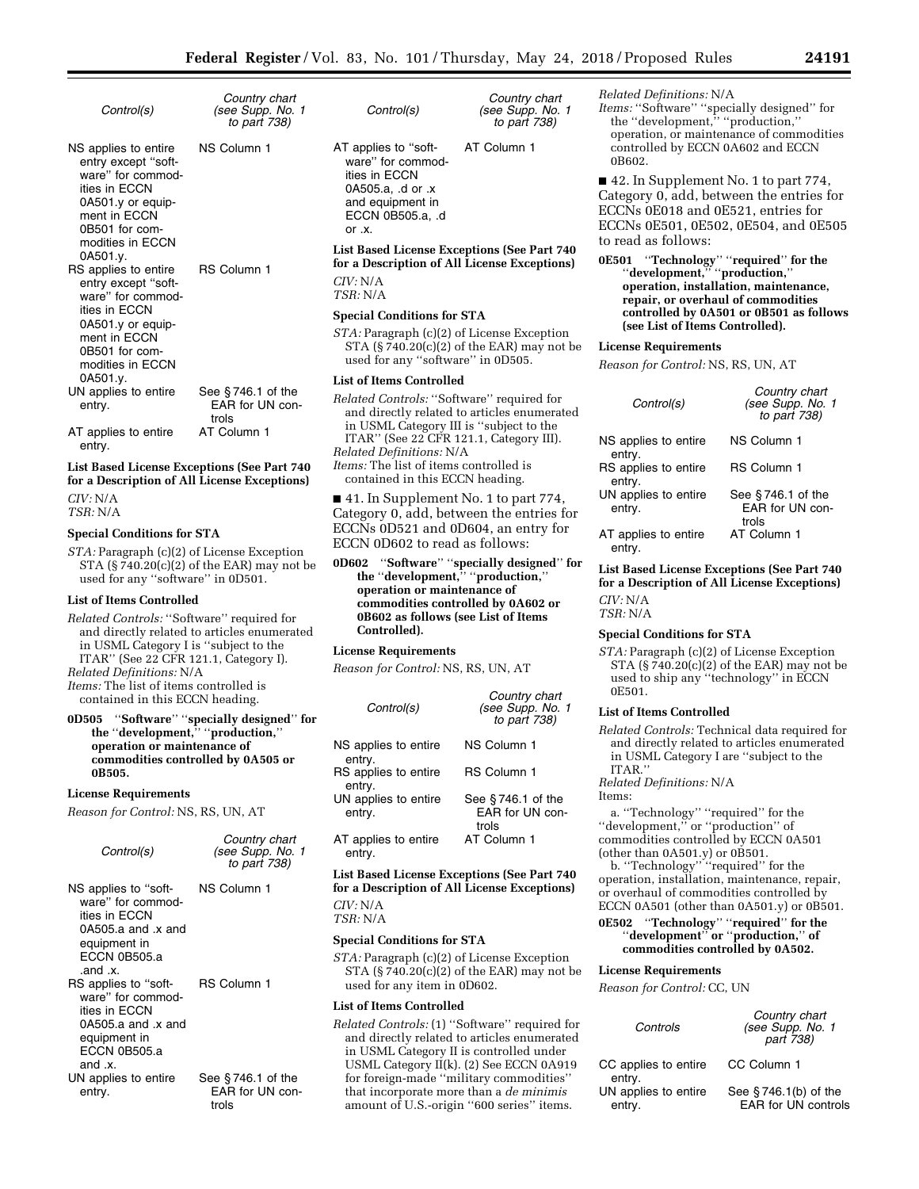*Country chart (see Supp. No. 1* 

| Control(s)                                                                                                                                                               | Country chart<br>(see Supp. No. 1<br>to part 738) |
|--------------------------------------------------------------------------------------------------------------------------------------------------------------------------|---------------------------------------------------|
| NS applies to entire<br>entry except "soft-<br>ware" for commod-<br>ities in ECCN<br>0A501.y or equip-<br>ment in FCCN<br>0B501 for com-<br>modities in FCCN<br>0A501.y. | NS Column 1                                       |
| RS applies to entire<br>entry except "soft-<br>ware" for commod-<br>ities in ECCN<br>0A501.y or equip-<br>ment in FCCN                                                   | RS Column 1                                       |

ment in ECCN 0B501 for commodities in ECCN 0A501.y. UN applies to entire entry. See § 746.1 of the EAR for UN controls AT applies to entire entry. AT Column 1

**List Based License Exceptions (See Part 740 for a Description of All License Exceptions)**  *CIV:* N/A *TSR:* N/A

### **Special Conditions for STA**

*STA:* Paragraph (c)(2) of License Exception STA (§ 740.20(c)(2) of the EAR) may not be used for any ''software'' in 0D501.

#### **List of Items Controlled**

*Related Controls:* ''Software'' required for and directly related to articles enumerated in USML Category I is ''subject to the ITAR'' (See 22 CFR 121.1, Category I).

*Related Definitions:* N/A

*Items:* The list of items controlled is contained in this ECCN heading.

### **0D505** ''**Software**'' ''**specially designed**'' **for the** ''**development,**'' ''**production,**'' **operation or maintenance of commodities controlled by 0A505 or 0B505.**

# **License Requirements**

*Reason for Control:* NS, RS, UN, AT

| Control(s)                                                                                                                     | Country chart<br>(see Supp. No. 1<br>to part 738) |
|--------------------------------------------------------------------------------------------------------------------------------|---------------------------------------------------|
| NS applies to "soft-<br>ware" for commod-<br>ities in FCCN<br>0A505.a and $.x$ and<br>equipment in<br>ECCN 0B505.a<br>.and .x. | NS Column 1                                       |
| RS applies to "soft-<br>ware" for commod-<br>ities in ECCN<br>0A505.a and $.x$ and<br>equipment in<br>ECCN 0B505.a<br>and .x.  | <b>RS Column 1</b>                                |
| UN applies to entire<br>entry.                                                                                                 | See $§$ 746.1 of the<br>EAR for UN con-<br>trols  |

| Control(s) |  |
|------------|--|

*to part 738)*  AT applies to ''software'' for commodities in ECCN 0A505.a, .d or .x and equipment in ECCN 0B505.a, .d AT Column 1

**List Based License Exceptions (See Part 740 for a Description of All License Exceptions)**  *CIV:* N/A

*TSR:* N/A

or .x.

# **Special Conditions for STA**

*STA:* Paragraph (c)(2) of License Exception STA (§ 740.20(c)(2) of the EAR) may not be used for any ''software'' in 0D505.

# **List of Items Controlled**

*Related Controls:* ''Software'' required for and directly related to articles enumerated in USML Category III is ''subject to the ITAR'' (See 22 CFR 121.1, Category III). *Related Definitions:* N/A *Items:* The list of items controlled is contained in this ECCN heading.

■ 41. In Supplement No. 1 to part 774, Category 0, add, between the entries for ECCNs 0D521 and 0D604, an entry for ECCN 0D602 to read as follows:

**0D602** ''**Software**'' ''**specially designed**'' **for the** ''**development,**'' ''**production,**'' **operation or maintenance of commodities controlled by 0A602 or 0B602 as follows (see List of Items Controlled).** 

#### **License Requirements**

*Reason for Control:* NS, RS, UN, AT

| Control(s)                     | Country chart<br>(see Supp. No. 1<br>to part 738) |
|--------------------------------|---------------------------------------------------|
| NS applies to entire<br>entry. | NS Column 1                                       |
| RS applies to entire<br>entry. | <b>RS Column 1</b>                                |
| UN applies to entire<br>entry. | See $§746.1$ of the<br>FAR for UN con-<br>trols   |
| AT applies to entire<br>entry. | AT Column 1                                       |

**List Based License Exceptions (See Part 740 for a Description of All License Exceptions)**  *CIV:* N/A

*TSR:* N/A

### **Special Conditions for STA**

*STA:* Paragraph (c)(2) of License Exception STA (§ 740.20(c)(2) of the EAR) may not be used for any item in 0D602.

#### **List of Items Controlled**

*Related Controls:* (1) ''Software'' required for and directly related to articles enumerated in USML Category II is controlled under USML Category II(k). (2) See ECCN 0A919 for foreign-made ''military commodities'' that incorporate more than a *de minimis*  amount of U.S.-origin ''600 series'' items.

*Related Definitions:* N/A

*Items:* ''Software'' ''specially designed'' for the ''development,'' ''production,'' operation, or maintenance of commodities controlled by ECCN 0A602 and ECCN 0B602.

■ 42. In Supplement No. 1 to part 774, Category 0, add, between the entries for ECCNs 0E018 and 0E521, entries for ECCNs 0E501, 0E502, 0E504, and 0E505 to read as follows:

**0E501** ''**Technology**'' ''**required**'' **for the**  ''**development,**'' ''**production,**'' **operation, installation, maintenance, repair, or overhaul of commodities controlled by 0A501 or 0B501 as follows (see List of Items Controlled).** 

#### **License Requirements**

*Reason for Control:* NS, RS, UN, AT

| Control(s)                     | Country chart<br>(see Supp. No. 1<br>to part 738) |
|--------------------------------|---------------------------------------------------|
| NS applies to entire<br>entry. | NS Column 1                                       |
| RS applies to entire<br>entry. | <b>RS Column 1</b>                                |
| UN applies to entire<br>entry. | See $§746.1$ of the<br>EAR for UN con-<br>trols   |
| AT applies to entire<br>entry. | AT Column 1                                       |

**List Based License Exceptions (See Part 740 for a Description of All License Exceptions)**  *CIV:* N/A

*TSR:* N/A

#### **Special Conditions for STA**

*STA:* Paragraph (c)(2) of License Exception STA  $(S740.20(c)(2)$  of the EAR) may not be used to ship any ''technology'' in ECCN 0E501.

#### **List of Items Controlled**

*Related Controls:* Technical data required for and directly related to articles enumerated in USML Category I are ''subject to the ITAR.''

*Related Definitions:* N/A

Items:

a. ''Technology'' ''required'' for the ''development,'' or ''production'' of commodities controlled by ECCN 0A501 (other than 0A501.y) or 0B501.

b. ''Technology'' ''required'' for the operation, installation, maintenance, repair, or overhaul of commodities controlled by ECCN 0A501 (other than 0A501.y) or 0B501.

**0E502** ''**Technology**'' ''**required**'' **for the**  ''**development**'' **or** ''**production,**'' **of commodities controlled by 0A502.** 

#### **License Requirements**

*Controls* 

*Reason for Control:* CC, UN

| r | Controls                       | (see Supp. No. 1<br>part 738)                         |
|---|--------------------------------|-------------------------------------------------------|
|   | CC applies to entire<br>entry. | CC Column 1                                           |
|   | UN applies to entire<br>entry. | See $§$ 746.1(b) of the<br><b>EAR for UN controls</b> |

*Country chart*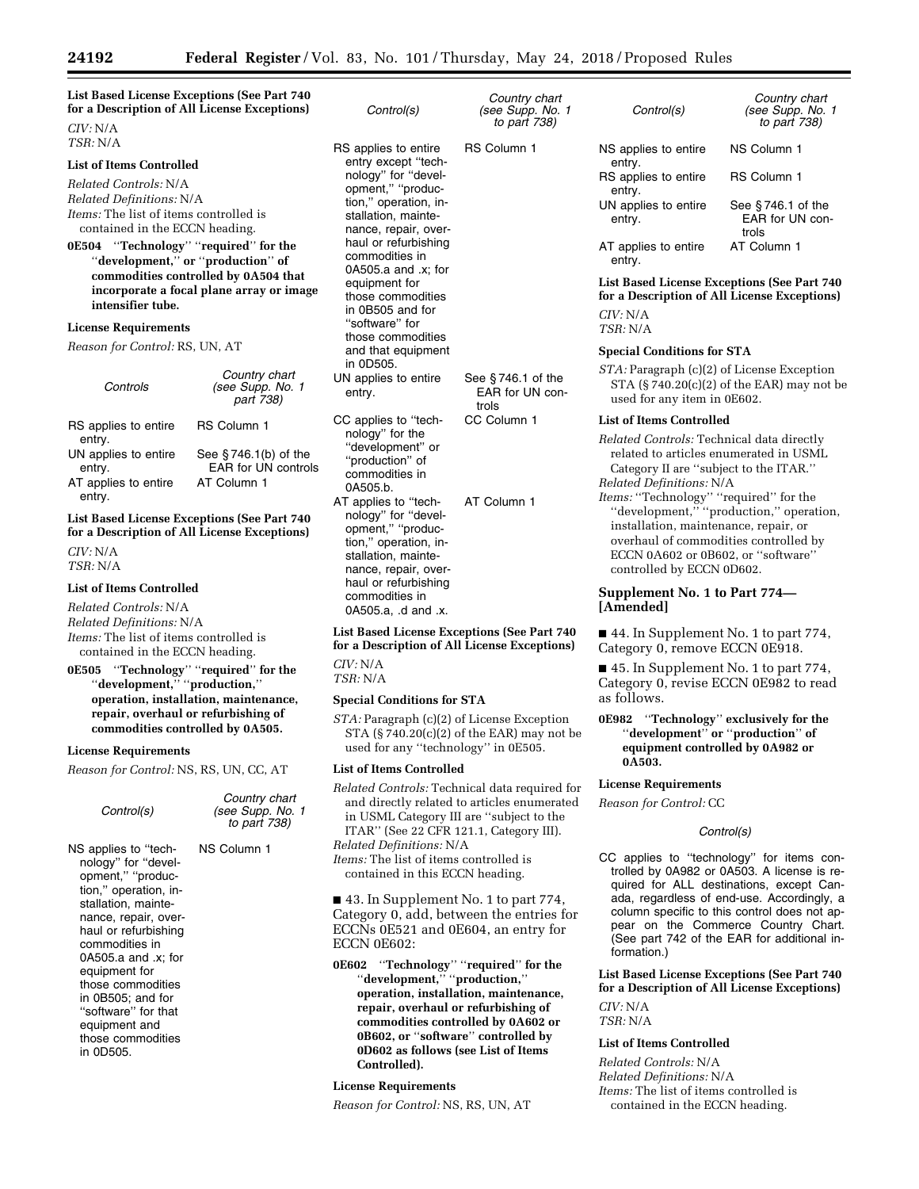| <i>CIV:</i> N/A                                                                 | <b>List Based License Exceptions (See Part 740</b><br>for a Description of All License Exceptions)                                                       | Control(s)                                                                                                                           | Country chart<br>(see Supp. No. 1<br>to part 738) |
|---------------------------------------------------------------------------------|----------------------------------------------------------------------------------------------------------------------------------------------------------|--------------------------------------------------------------------------------------------------------------------------------------|---------------------------------------------------|
| TSR: N/A                                                                        |                                                                                                                                                          | RS applies to entire                                                                                                                 | RS Column 1                                       |
| <b>List of Items Controlled</b>                                                 |                                                                                                                                                          | entry except "tech-                                                                                                                  |                                                   |
| Related Controls: N/A<br>Related Definitions: N/A                               |                                                                                                                                                          | nology" for "devel-<br>opment," "produc-                                                                                             |                                                   |
| <i>Items:</i> The list of items controlled is<br>contained in the ECCN heading. |                                                                                                                                                          | tion," operation, in-<br>stallation, mainte-<br>nance, repair, over-                                                                 |                                                   |
| 0E504<br>intensifier tube.                                                      | "Technology" "required" for the<br>"development," or "production" of<br>commodities controlled by 0A504 that<br>incorporate a focal plane array or image | haul or refurbishing<br>commodities in<br>0A505.a and .x; for<br>equipment for<br>those commodities<br>in 0B505 and for              |                                                   |
| <b>License Requirements</b>                                                     |                                                                                                                                                          | "software" for                                                                                                                       |                                                   |
| <i>Reason for Control: RS, UN, AT</i>                                           |                                                                                                                                                          | those commodities<br>and that equipment<br>in 0D505.                                                                                 |                                                   |
| Controls                                                                        | Country chart<br>(see Supp. No. 1<br>part 738)                                                                                                           | UN applies to entire<br>entry.                                                                                                       | See $§$ 746.1 of the<br>EAR for UN con-<br>trols  |
| RS applies to entire<br>entry.                                                  | RS Column 1                                                                                                                                              | CC applies to "tech-<br>nology" for the                                                                                              | CC Column 1                                       |
| UN applies to entire<br>entry.<br>AT applies to entire<br>entry.                | See $\S$ 746.1(b) of the<br><b>EAR for UN controls</b><br>AT Column 1                                                                                    | "development" or<br>"production" of<br>commodities in<br>0A505.b.                                                                    |                                                   |
|                                                                                 | <b>List Based License Exceptions (See Part 740</b><br>for a Description of All License Exceptions)                                                       | AT applies to "tech-<br>nology" for "devel-<br>opment," "produc-                                                                     | AT Column 1                                       |
| CIV: N/A<br>TSR: N/A                                                            |                                                                                                                                                          | tion," operation, in-<br>stallation, mainte-<br>nance, repair, over-                                                                 |                                                   |
| <b>List of Items Controlled</b>                                                 |                                                                                                                                                          | haul or refurbishing<br>commodities in                                                                                               |                                                   |
| Related Controls: N/A<br>Related Definitions: N/A                               |                                                                                                                                                          | 0A505.a, .d and .x.                                                                                                                  |                                                   |
| <i>Items:</i> The list of items controlled is<br>contained in the ECCN heading. |                                                                                                                                                          | <b>List Based License Exceptions (See Part 740)</b><br>for a Description of All License Exceptions)                                  |                                                   |
| 0E505<br>"development," "production,"                                           | "Technology" "required" for the                                                                                                                          | CIV: N/A<br>TSR: N/A                                                                                                                 |                                                   |
|                                                                                 | operation, installation, maintenance,                                                                                                                    | <b>Special Conditions for STA</b>                                                                                                    |                                                   |
| repair, overhaul or refurbishing of<br>commodities controlled by 0A505.         |                                                                                                                                                          | <i>STA:</i> Paragraph (c)(2) of License Exception<br>used for any "technology" in 0E505.                                             | $STA (§ 740.20(c)(2) of the EAR) may not be$      |
| <b>License Requirements</b>                                                     |                                                                                                                                                          | <b>List of Items Controlled</b>                                                                                                      |                                                   |
| <i>Reason for Control: NS, RS, UN, CC, AT</i><br>Control(s)                     | Country chart<br>(see Supp. No. 1<br>to part 738)                                                                                                        | Related Controls: Technical data required for<br>in USML Category III are "subject to the<br>ITAR" (See 22 CFR 121.1, Category III). | and directly related to articles enumerated       |

NS applies to ''technology'' for ''development,'' ''production,'' operation, installation, maintenance, repair, overhaul or refurbishing commodities in 0A505.a and .x; for equipment for those commodities in 0B505; and for ''software'' for that equipment and those commodities in 0D505. NS Column 1

contained in this ECCN heading. ■ 43. In Supplement No. 1 to part 774, Category 0, add, between the entries for ECCNs 0E521 and 0E604, an entry for ECCN 0E602:

**0E602** ''**Technology**'' ''**required**'' **for the**  ''**development,**'' ''**production,**'' **operation, installation, maintenance, repair, overhaul or refurbishing of commodities controlled by 0A602 or 0B602, or** ''**software**'' **controlled by 0D602 as follows (see List of Items Controlled).** 

**License Requirements** 

*Related Definitions:* N/A

*Items:* The list of items controlled is

*Reason for Control:* NS, RS, UN, AT

UN applies to entire entry. See § 746.1 of the EAR for UN controls AT applies to entire entry. AT Column 1 **List Based License Exceptions (See Part 740 for a Description of All License Exceptions)** 

*Country chart (see Supp. No. 1 to part 738)* 

NS Column 1

RS Column 1

*CIV:* N/A *TSR:* N/A

#### **Special Conditions for STA**

*Control(s)* 

NS applies to entire

RS applies to entire

entry.

entry.

*STA:* Paragraph (c)(2) of License Exception STA  $(S740.20(c)(2)$  of the EAR) may not be used for any item in 0E602.

#### **List of Items Controlled**

*Related Controls:* Technical data directly related to articles enumerated in USML Category II are ''subject to the ITAR.'' *Related Definitions:* N/A

*Items:* ''Technology'' ''required'' for the ''development,'' ''production,'' operation, installation, maintenance, repair, or overhaul of commodities controlled by ECCN 0A602 or 0B602, or ''software'' controlled by ECCN 0D602.

# **Supplement No. 1 to Part 774— [Amended]**

■ 44. In Supplement No. 1 to part 774, Category 0, remove ECCN 0E918.

■ 45. In Supplement No. 1 to part 774, Category 0, revise ECCN 0E982 to read as follows.

# **0E982** ''**Technology**'' **exclusively for the**  ''**development**'' **or** ''**production**'' **of equipment controlled by 0A982 or 0A503.**

### **License Requirements**

*Reason for Control:* CC

### *Control(s)*

CC applies to ''technology'' for items controlled by 0A982 or 0A503. A license is required for ALL destinations, except Canada, regardless of end-use. Accordingly, a column specific to this control does not appear on the Commerce Country Chart. (See part 742 of the EAR for additional information.)

**List Based License Exceptions (See Part 740 for a Description of All License Exceptions)**  *CIV:* N/A

*TSR:* N/A

# **List of Items Controlled**

*Related Controls:* N/A *Related Definitions:* N/A *Items:* The list of items controlled is contained in the ECCN heading.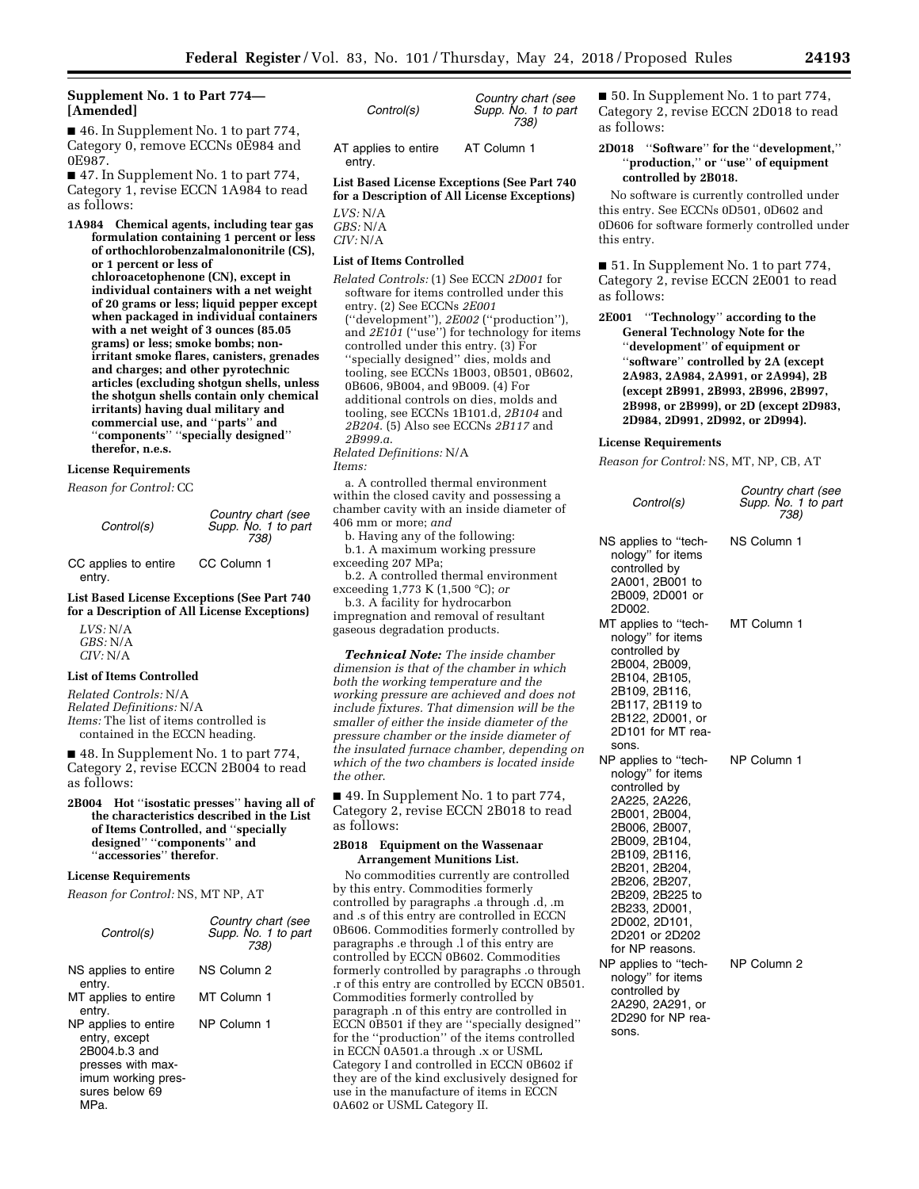# **Supplement No. 1 to Part 774— [Amended]**

■ 46. In Supplement No. 1 to part 774, Category 0, remove ECCNs 0E984 and 0E987.

■ 47. In Supplement No. 1 to part 774, Category 1, revise ECCN 1A984 to read as follows:

**1A984 Chemical agents, including tear gas formulation containing 1 percent or less of orthochlorobenzalmalononitrile (CS), or 1 percent or less of chloroacetophenone (CN), except in individual containers with a net weight of 20 grams or less; liquid pepper except when packaged in individual containers with a net weight of 3 ounces (85.05 grams) or less; smoke bombs; nonirritant smoke flares, canisters, grenades and charges; and other pyrotechnic articles (excluding shotgun shells, unless the shotgun shells contain only chemical irritants) having dual military and commercial use, and** ''**parts**'' **and**  ''**components**'' ''**specially designed**'' **therefor, n.e.s.** 

## **License Requirements**

*Reason for Control:* CC

CC applies to entire entry. CC Column 1

**List Based License Exceptions (See Part 740 for a Description of All License Exceptions)** 

*LVS:* N/A *GBS:* N/A *CIV:* N/A

# **List of Items Controlled**

*Related Controls:* N/A *Related Definitions:* N/A *Items:* The list of items controlled is contained in the ECCN heading.

■ 48. In Supplement No. 1 to part 774, Category 2, revise ECCN 2B004 to read as follows:

#### **2B004 Hot** ''**isostatic presses**'' **having all of the characteristics described in the List of Items Controlled, and** ''**specially designed**'' ''**components**'' **and**  'accessories'' therefor.

# **License Requirements**

*Reason for Control:* NS, MT NP, AT

| Control(s)                                                                                                                  | Country chart (see<br>Supp. No. 1 to part<br>738) |
|-----------------------------------------------------------------------------------------------------------------------------|---------------------------------------------------|
| NS applies to entire<br>entry.                                                                                              | NS Column 2                                       |
| MT applies to entire<br>entry.                                                                                              | MT Column 1                                       |
| NP applies to entire<br>entry, except<br>2B004.b.3 and<br>presses with max-<br>imum working pres-<br>sures below 69<br>MPa. | NP Column 1                                       |

| Control(s)                     | Country chart (see<br>Supp. No. 1 to part<br>738) |
|--------------------------------|---------------------------------------------------|
| AT applies to entire<br>entry. | AT Column 1                                       |

**List Based License Exceptions (See Part 740 for a Description of All License Exceptions)** 

*LVS:* N/A *GBS:* N/A *CIV:* N/A

# **List of Items Controlled**

*Related Controls:* (1) See ECCN *2D001* for software for items controlled under this entry. (2) See ECCNs *2E001*  (''development''), *2E002* (''production''), and *2E101* (''use'') for technology for items controlled under this entry. (3) For ''specially designed'' dies, molds and tooling, see ECCNs 1B003, 0B501, 0B602, 0B606, 9B004, and 9B009. (4) For additional controls on dies, molds and tooling, see ECCNs 1B101.d, *2B104* and *2B204*. (5) Also see ECCNs *2B117* and *2B999.a*. *Related Definitions:* N/A

*Items:* 

a. A controlled thermal environment within the closed cavity and possessing a chamber cavity with an inside diameter of 406 mm or more; *and* 

b. Having any of the following: b.1. A maximum working pressure exceeding 207 MPa;

b.2. A controlled thermal environment exceeding 1,773 K (1,500 °C); *or* 

b.3. A facility for hydrocarbon impregnation and removal of resultant gaseous degradation products.

*Technical Note: The inside chamber dimension is that of the chamber in which both the working temperature and the working pressure are achieved and does not include fixtures. That dimension will be the smaller of either the inside diameter of the pressure chamber or the inside diameter of the insulated furnace chamber, depending on which of the two chambers is located inside the other*.

■ 49. In Supplement No. 1 to part 774, Category 2, revise ECCN 2B018 to read as follows:

#### **2B018 Equipment on the Wassenaar Arrangement Munitions List.**

No commodities currently are controlled by this entry. Commodities formerly controlled by paragraphs .a through .d, .m and .s of this entry are controlled in ECCN 0B606. Commodities formerly controlled by paragraphs .e through .l of this entry are controlled by ECCN 0B602. Commodities formerly controlled by paragraphs .o through .r of this entry are controlled by ECCN 0B501. Commodities formerly controlled by paragraph .n of this entry are controlled in ECCN 0B501 if they are ''specially designed'' for the ''production'' of the items controlled in ECCN 0A501.a through .x or USML Category I and controlled in ECCN 0B602 if they are of the kind exclusively designed for use in the manufacture of items in ECCN 0A602 or USML Category II.

■ 50. In Supplement No. 1 to part 774, Category 2, revise ECCN 2D018 to read as follows:

# **2D018** ''**Software**'' **for the** ''**development,**'' ''**production,**'' **or** ''**use**'' **of equipment controlled by 2B018.**

No software is currently controlled under this entry. See ECCNs 0D501, 0D602 and 0D606 for software formerly controlled under this entry.

■ 51. In Supplement No. 1 to part 774, Category 2, revise ECCN 2E001 to read as follows:

**2E001** ''**Technology**'' **according to the General Technology Note for the**  ''**development**'' **of equipment or**  ''**software**'' **controlled by 2A (except 2A983, 2A984, 2A991, or 2A994), 2B (except 2B991, 2B993, 2B996, 2B997, 2B998, or 2B999), or 2D (except 2D983, 2D984, 2D991, 2D992, or 2D994).** 

### **License Requirements**

*Reason for Control:* NS, MT, NP, CB, AT

| Control(s)                                                                                                                                                                                                                                                                  | Country chart (see<br>Supp. No. 1 to part<br>738) |
|-----------------------------------------------------------------------------------------------------------------------------------------------------------------------------------------------------------------------------------------------------------------------------|---------------------------------------------------|
| NS applies to "tech-<br>nology" for items<br>controlled by<br>2A001, 2B001 to<br>2B009, 2D001 or<br>2D002.                                                                                                                                                                  | NS Column 1                                       |
| MT applies to "tech-<br>nology" for items<br>controlled by<br>2B004, 2B009,<br>2B104, 2B105,<br>2B109, 2B116,<br>2B117, 2B119 to<br>2B122, 2D001, or<br>2D101 for MT rea-<br>sons.                                                                                          | MT Column 1                                       |
| NP applies to "tech-<br>nology" for items<br>controlled by<br>2A225, 2A226,<br>2B001, 2B004,<br>2B006, 2B007,<br>2B009, 2B104,<br>2B109, 2B116,<br>2B201, 2B204,<br>2B206, 2B207,<br>2B209, 2B225 to<br>2B233, 2D001,<br>2D002, 2D101,<br>2D201 or 2D202<br>for NP reasons. | NP Column 1                                       |
| NP applies to "tech-<br>nology" for items<br>controlled by<br>2A290, 2A291, or<br>2D290 for NP rea-<br>sons.                                                                                                                                                                | NP Column 2                                       |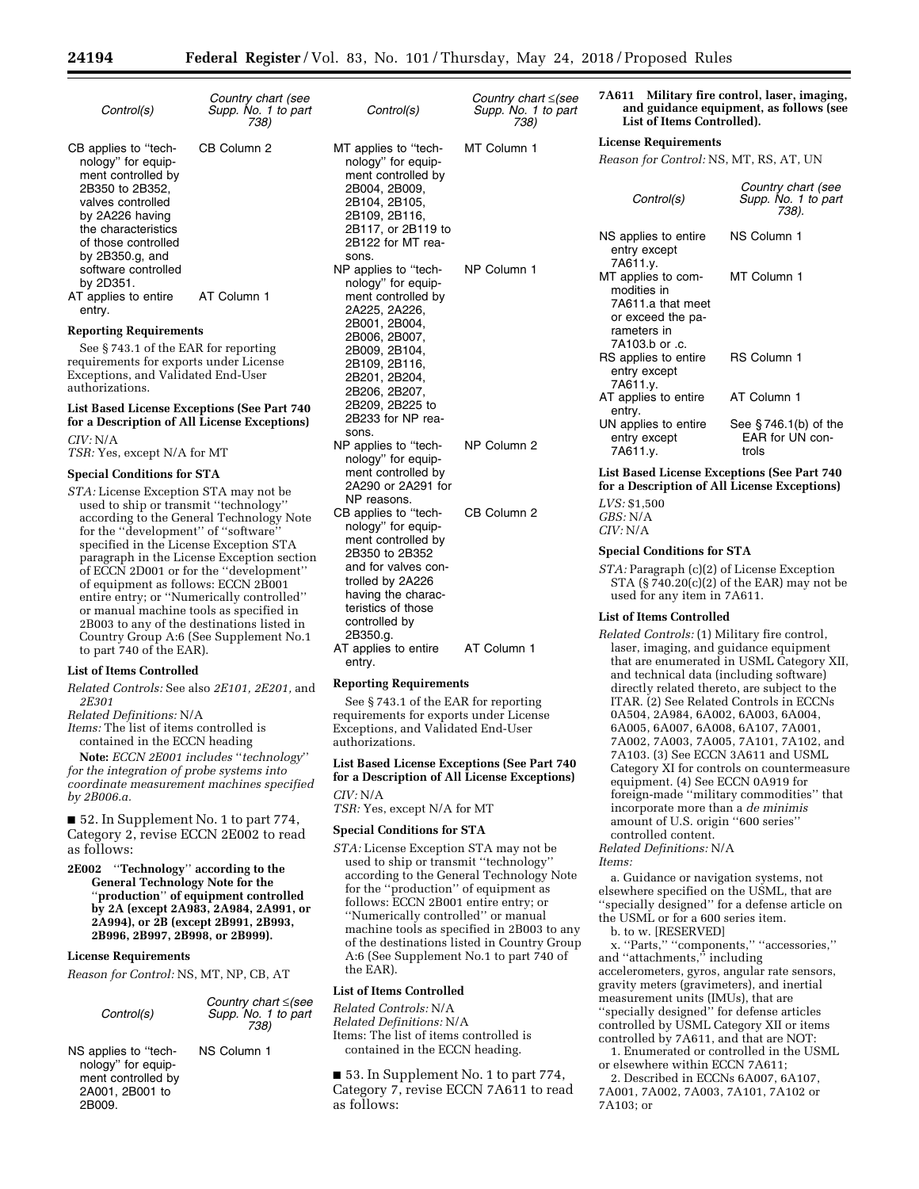*Country chart* ≤*(see* 

| Control(s)                                                                                                                                                                                                                          | Country chart (see<br>Supp. No. 1 to part<br>738) |
|-------------------------------------------------------------------------------------------------------------------------------------------------------------------------------------------------------------------------------------|---------------------------------------------------|
| CB applies to "tech-<br>nology" for equip-<br>ment controlled by<br>2B350 to 2B352.<br>valves controlled<br>by 2A226 having<br>the characteristics<br>of those controlled<br>by $2B350.q$ , and<br>software controlled<br>by 2D351. | CB Column 2                                       |
| AT applies to entire<br>entry.                                                                                                                                                                                                      | AT Column 1                                       |

### **Reporting Requirements**

See § 743.1 of the EAR for reporting requirements for exports under License Exceptions, and Validated End-User authorizations.

## **List Based License Exceptions (See Part 740 for a Description of All License Exceptions)**  *CIV:* N/A

*TSR:* Yes, except N/A for MT

#### **Special Conditions for STA**

*STA:* License Exception STA may not be used to ship or transmit ''technology'' according to the General Technology Note for the "development" of "software specified in the License Exception STA paragraph in the License Exception section of ECCN 2D001 or for the ''development'' of equipment as follows: ECCN 2B001 entire entry; or ''Numerically controlled'' or manual machine tools as specified in 2B003 to any of the destinations listed in Country Group A:6 (See Supplement No.1 to part 740 of the EAR).

#### **List of Items Controlled**

*Related Controls:* See also *2E101, 2E201,* and *2E301* 

### *Related Definitions:* N/A

*Items:* The list of items controlled is contained in the ECCN heading

**Note:** *ECCN 2E001 includes* ''*technology*'' *for the integration of probe systems into coordinate measurement machines specified by 2B006.a.* 

■ 52. In Supplement No. 1 to part 774, Category 2, revise ECCN 2E002 to read as follows:

**2E002** ''**Technology**'' **according to the General Technology Note for the**  ''**production**'' **of equipment controlled by 2A (except 2A983, 2A984, 2A991, or 2A994), or 2B (except 2B991, 2B993, 2B996, 2B997, 2B998, or 2B999).** 

### **License Requirements**

*Reason for Control:* NS, MT, NP, CB, AT

| Control(s)                                                                                 | Country chart $\leq$ (see<br>Supp. No. 1 to part<br>738) |
|--------------------------------------------------------------------------------------------|----------------------------------------------------------|
| NS applies to "tech-<br>nology" for equip-<br>ment controlled by<br>2A001, 2B001 to<br>2BC | NS Column 1                                              |

*Control(s) Supp. No. 1 to part 738)*  MT applies to ''technology'' for equipment controlled by 2B004, 2B009, 2B104, 2B105, 2B109, 2B116, 2B117, or 2B119 to 2B122 for MT reasons. MT Column 1 NP applies to ''technology'' for equipment controlled by 2A225, 2A226, 2B001, 2B004, 2B006, 2B007, 2B009, 2B104, 2B109, 2B116, 2B201, 2B204, 2B206, 2B207, 2B209, 2B225 to 2B233 for NP reasons. NP Column 1 NP applies to ''technology'' for equipment controlled by 2A290 or 2A291 for NP reasons. NP Column 2 CB applies to ''technology'' for equipment controlled by 2B350 to 2B352 and for valves controlled by 2A226 having the characteristics of those controlled by 2B350.g. CB Column 2 AT applies to entire entry. AT Column 1

# **Reporting Requirements**

See § 743.1 of the EAR for reporting requirements for exports under License Exceptions, and Validated End-User authorizations.

## **List Based License Exceptions (See Part 740 for a Description of All License Exceptions)**  *CIV:* N/A

*TSR:* Yes, except N/A for MT

#### **Special Conditions for STA**

*STA:* License Exception STA may not be used to ship or transmit ''technology'' according to the General Technology Note for the ''production'' of equipment as follows: ECCN 2B001 entire entry; or ''Numerically controlled'' or manual machine tools as specified in 2B003 to any of the destinations listed in Country Group A:6 (See Supplement No.1 to part 740 of the EAR).

## **List of Items Controlled**

*Related Controls:* N/A *Related Definitions:* N/A Items: The list of items controlled is contained in the ECCN heading.

■ 53. In Supplement No. 1 to part 774, Category 7, revise ECCN 7A611 to read as follows:

#### **7A611 Military fire control, laser, imaging, and guidance equipment, as follows (see List of Items Controlled).**

#### **License Requirements**

*Reason for Control:* NS, MT, RS, AT, UN

| Control(s)                                                                                                   | Country chart (see<br>Supp. No. 1 to part<br>738). |
|--------------------------------------------------------------------------------------------------------------|----------------------------------------------------|
| NS applies to entire<br>entry except<br>7A611.y.                                                             | NS Column 1                                        |
| MT applies to com-<br>modities in<br>7A611.a that meet<br>or exceed the pa-<br>rameters in<br>7A103.b or .c. | MT Column 1                                        |
| RS applies to entire<br>entry except<br>7A611.y.                                                             | <b>RS Column 1</b>                                 |
| AT applies to entire<br>entry.                                                                               | AT Column 1                                        |
| UN applies to entire<br>entry except<br>7A611.y.                                                             | See §746.1(b) of the<br>EAR for UN con-<br>trols   |

### **List Based License Exceptions (See Part 740 for a Description of All License Exceptions)**

*LVS:* \$1,500 *GBS:* N/A *CIV:* N/A

### **Special Conditions for STA**

*STA:* Paragraph (c)(2) of License Exception STA  $(S740.20(c)(2)$  of the EAR) may not be used for any item in 7A611.

#### **List of Items Controlled**

*Related Controls:* (1) Military fire control, laser, imaging, and guidance equipment that are enumerated in USML Category XII, and technical data (including software) directly related thereto, are subject to the ITAR. (2) See Related Controls in ECCNs 0A504, 2A984, 6A002, 6A003, 6A004, 6A005, 6A007, 6A008, 6A107, 7A001, 7A002, 7A003, 7A005, 7A101, 7A102, and 7A103. (3) See ECCN 3A611 and USML Category XI for controls on countermeasure equipment. (4) See ECCN 0A919 for foreign-made ''military commodities'' that incorporate more than a *de minimis*  amount of U.S. origin ''600 series'' controlled content.

*Related Definitions:* N/A *Items:* 

a. Guidance or navigation systems, not elsewhere specified on the USML, that are ''specially designed'' for a defense article on the USML or for a 600 series item.

b. to w. [RESERVED]

x. ''Parts,'' ''components,'' ''accessories,'' and "attachments," including accelerometers, gyros, angular rate sensors, gravity meters (gravimeters), and inertial measurement units (IMUs), that are ''specially designed'' for defense articles controlled by USML Category XII or items controlled by 7A611, and that are NOT: 1. Enumerated or controlled in the USML

or elsewhere within ECCN 7A611;

2. Described in ECCNs 6A007, 6A107, 7A001, 7A002, 7A003, 7A101, 7A102 or 7A103; or